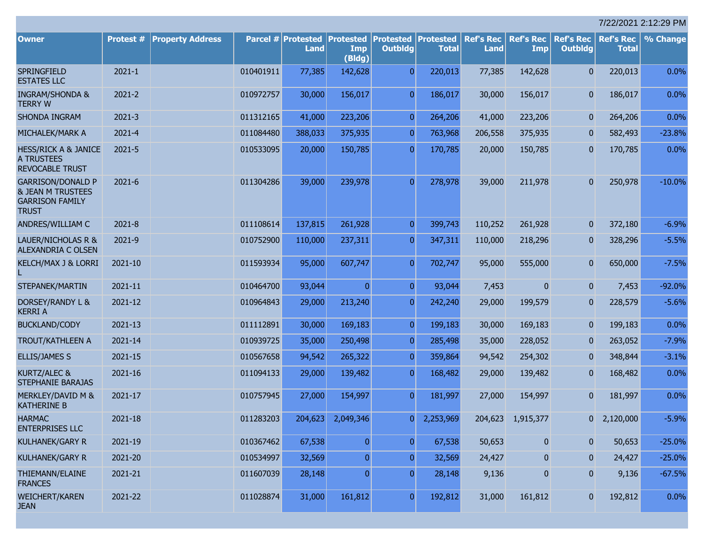|                                                                                                    |            |                         |           |                                   |                                   |                                              |              |                                 |                         |                                    |                                  | 7/22/2021 2:12:29 PM |
|----------------------------------------------------------------------------------------------------|------------|-------------------------|-----------|-----------------------------------|-----------------------------------|----------------------------------------------|--------------|---------------------------------|-------------------------|------------------------------------|----------------------------------|----------------------|
| <b>Owner</b>                                                                                       | Protest #  | <b>Property Address</b> |           | Parcel # Protested<br><b>Land</b> | <b>Protested</b><br>Imp<br>(Bldg) | <b>Protested Protested</b><br><b>Outbldg</b> | <b>Total</b> | <b>Ref's Rec</b><br><b>Land</b> | <b>Ref's Rec</b><br>Imp | <b>Ref's Rec</b><br><b>Outbldg</b> | <b>Ref's Rec</b><br><b>Total</b> | % Change             |
| SPRINGFIELD<br><b>ESTATES LLC</b>                                                                  | $2021 - 1$ |                         | 010401911 | 77,385                            | 142,628                           | $\overline{0}$                               | 220,013      | 77,385                          | 142,628                 | $\overline{0}$                     | 220,013                          | 0.0%                 |
| <b>INGRAM/SHONDA &amp;</b><br><b>TERRY W</b>                                                       | $2021 - 2$ |                         | 010972757 | 30,000                            | 156,017                           | $\overline{0}$                               | 186,017      | 30,000                          | 156,017                 | $\overline{0}$                     | 186,017                          | 0.0%                 |
| SHONDA INGRAM                                                                                      | $2021 - 3$ |                         | 011312165 | 41,000                            | 223,206                           | $\overline{0}$                               | 264,206      | 41,000                          | 223,206                 | $\mathbf{0}$                       | 264,206                          | 0.0%                 |
| MICHALEK/MARK A                                                                                    | 2021-4     |                         | 011084480 | 388,033                           | 375,935                           | $\overline{0}$                               | 763,968      | 206,558                         | 375,935                 | $\mathbf{0}$                       | 582,493                          | $-23.8%$             |
| <b>HESS/RICK A &amp; JANICE</b><br><b>A TRUSTEES</b><br><b>REVOCABLE TRUST</b>                     | 2021-5     |                         | 010533095 | 20,000                            | 150,785                           | $\overline{0}$                               | 170,785      | 20,000                          | 150,785                 | $\overline{0}$                     | 170,785                          | 0.0%                 |
| <b>GARRISON/DONALD P</b><br><b>&amp; JEAN M TRUSTEES</b><br><b>GARRISON FAMILY</b><br><b>TRUST</b> | 2021-6     |                         | 011304286 | 39,000                            | 239,978                           | $\Omega$                                     | 278,978      | 39,000                          | 211,978                 | $\overline{0}$                     | 250,978                          | $-10.0%$             |
| ANDRES/WILLIAM C                                                                                   | 2021-8     |                         | 011108614 | 137,815                           | 261,928                           | $\overline{0}$                               | 399,743      | 110,252                         | 261,928                 | $\mathbf{0}$                       | 372,180                          | $-6.9%$              |
| LAUER/NICHOLAS R &<br><b>ALEXANDRIA C OLSEN</b>                                                    | 2021-9     |                         | 010752900 | 110,000                           | 237,311                           | $\overline{0}$                               | 347,311      | 110,000                         | 218,296                 | $\mathbf{0}$                       | 328,296                          | $-5.5%$              |
| KELCH/MAX J & LORRI                                                                                | 2021-10    |                         | 011593934 | 95,000                            | 607,747                           | $\Omega$                                     | 702,747      | 95,000                          | 555,000                 | $\overline{0}$                     | 650,000                          | $-7.5%$              |
| STEPANEK/MARTIN                                                                                    | 2021-11    |                         | 010464700 | 93,044                            | $\Omega$                          | $\overline{0}$                               | 93,044       | 7,453                           | $\mathbf{0}$            | $\overline{0}$                     | 7,453                            | $-92.0%$             |
| DORSEY/RANDY L &<br><b>KERRI A</b>                                                                 | 2021-12    |                         | 010964843 | 29,000                            | 213,240                           | $\overline{0}$                               | 242,240      | 29,000                          | 199,579                 | $\mathbf{0}$                       | 228,579                          | $-5.6%$              |
| <b>BUCKLAND/CODY</b>                                                                               | 2021-13    |                         | 011112891 | 30,000                            | 169,183                           | $\overline{0}$                               | 199,183      | 30,000                          | 169,183                 | $\mathbf{0}$                       | 199,183                          | 0.0%                 |
| <b>TROUT/KATHLEEN A</b>                                                                            | 2021-14    |                         | 010939725 | 35,000                            | 250,498                           | $\overline{0}$                               | 285,498      | 35,000                          | 228,052                 | $\mathbf{0}$                       | 263,052                          | $-7.9%$              |
| <b>ELLIS/JAMES S</b>                                                                               | 2021-15    |                         | 010567658 | 94,542                            | 265,322                           | $\overline{0}$                               | 359,864      | 94,542                          | 254,302                 | $\mathbf{0}$                       | 348,844                          | $-3.1%$              |
| KURTZ/ALEC &<br>STEPHANIE BARAJAS                                                                  | 2021-16    |                         | 011094133 | 29,000                            | 139,482                           | $\overline{0}$                               | 168,482      | 29,000                          | 139,482                 | $\mathbf{0}$                       | 168,482                          | 0.0%                 |
| MERKLEY/DAVID M &<br><b>KATHERINE B</b>                                                            | 2021-17    |                         | 010757945 | 27,000                            | 154,997                           | $\Omega$                                     | 181,997      | 27,000                          | 154,997                 | $\overline{0}$                     | 181,997                          | 0.0%                 |
| <b>HARMAC</b><br><b>ENTERPRISES LLC</b>                                                            | 2021-18    |                         | 011283203 | 204,623                           | 2,049,346                         | 0                                            | 2,253,969    |                                 | 204,623 1,915,377       |                                    | $0\quad 2,120,000$               | $-5.9%$              |
| <b>KULHANEK/GARY R</b>                                                                             | 2021-19    |                         | 010367462 | 67,538                            | $\overline{0}$                    | $\overline{0}$                               | 67,538       | 50,653                          | $\boldsymbol{0}$        | $\overline{0}$                     | 50,653                           | $-25.0%$             |
| KULHANEK/GARY R                                                                                    | 2021-20    |                         | 010534997 | 32,569                            | $\overline{0}$                    | $\overline{0}$                               | 32,569       | 24,427                          | $\boldsymbol{0}$        | $\mathbf{0}$                       | 24,427                           | $-25.0%$             |
| THIEMANN/ELAINE<br><b>FRANCES</b>                                                                  | 2021-21    |                         | 011607039 | 28,148                            | $\overline{0}$                    | $\overline{0}$                               | 28,148       | 9,136                           | $\pmb{0}$               | $\bf{0}$                           | 9,136                            | $-67.5%$             |
| <b>WEICHERT/KAREN</b><br><b>JEAN</b>                                                               | 2021-22    |                         | 011028874 | 31,000                            | 161,812                           | $\overline{0}$                               | 192,812      | 31,000                          | 161,812                 | $\mathbf{0}$                       | 192,812                          | 0.0%                 |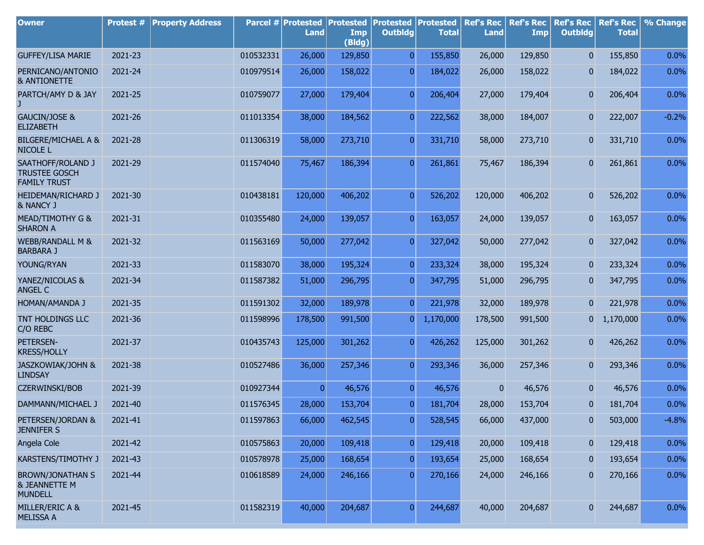| <b>Owner</b>                                                          | Protest # | <b>Property Address</b> |           | Parcel # Protested<br>Land | <b>Protested</b><br>Imp<br>(Bldg) | <b>Protested Protested</b><br><b>Outbldg</b> | <b>Total</b> | <b>Ref's Rec</b><br><b>Land</b> | <b>Ref's Rec</b><br>Imp | <b>Ref's Rec</b><br><b>Outbldg</b> | <b>Ref's Rec</b><br><b>Total</b> | % Change |
|-----------------------------------------------------------------------|-----------|-------------------------|-----------|----------------------------|-----------------------------------|----------------------------------------------|--------------|---------------------------------|-------------------------|------------------------------------|----------------------------------|----------|
| <b>GUFFEY/LISA MARIE</b>                                              | 2021-23   |                         | 010532331 | 26,000                     | 129,850                           | $\overline{0}$                               | 155,850      | 26,000                          | 129,850                 | $\mathbf{0}$                       | 155,850                          | 0.0%     |
| PERNICANO/ANTONIO<br><b>&amp; ANTIONETTE</b>                          | 2021-24   |                         | 010979514 | 26,000                     | 158,022                           | $\overline{0}$                               | 184,022      | 26,000                          | 158,022                 | 0                                  | 184,022                          | 0.0%     |
| PARTCH/AMY D & JAY                                                    | 2021-25   |                         | 010759077 | 27,000                     | 179,404                           | $\overline{0}$                               | 206,404      | 27,000                          | 179,404                 | 0                                  | 206,404                          | 0.0%     |
| GAUCIN/JOSE &<br><b>ELIZABETH</b>                                     | 2021-26   |                         | 011013354 | 38,000                     | 184,562                           | $\overline{0}$                               | 222,562      | 38,000                          | 184,007                 | 0                                  | 222,007                          | $-0.2%$  |
| <b>BILGERE/MICHAEL A &amp;</b><br><b>NICOLE L</b>                     | 2021-28   |                         | 011306319 | 58,000                     | 273,710                           | $\overline{0}$                               | 331,710      | 58,000                          | 273,710                 | 0                                  | 331,710                          | 0.0%     |
| SAATHOFF/ROLAND J<br><b>TRUSTEE GOSCH</b><br><b>FAMILY TRUST</b>      | 2021-29   |                         | 011574040 | 75,467                     | 186,394                           | $\overline{0}$                               | 261,861      | 75,467                          | 186,394                 | 0                                  | 261,861                          | 0.0%     |
| HEIDEMAN/RICHARD J<br>& NANCY J                                       | 2021-30   |                         | 010438181 | 120,000                    | 406,202                           | $\overline{0}$                               | 526,202      | 120,000                         | 406,202                 | 0                                  | 526,202                          | 0.0%     |
| MEAD/TIMOTHY G &<br><b>SHARON A</b>                                   | 2021-31   |                         | 010355480 | 24,000                     | 139,057                           | $\overline{0}$                               | 163,057      | 24,000                          | 139,057                 | 0                                  | 163,057                          | 0.0%     |
| <b>WEBB/RANDALL M &amp;</b><br><b>BARBARA J</b>                       | 2021-32   |                         | 011563169 | 50,000                     | 277,042                           | $\overline{0}$                               | 327,042      | 50,000                          | 277,042                 | 0                                  | 327,042                          | 0.0%     |
| YOUNG/RYAN                                                            | 2021-33   |                         | 011583070 | 38,000                     | 195,324                           | $\overline{0}$                               | 233,324      | 38,000                          | 195,324                 | 0                                  | 233,324                          | 0.0%     |
| YANEZ/NICOLAS &<br><b>ANGEL C</b>                                     | 2021-34   |                         | 011587382 | 51,000                     | 296,795                           | $\overline{0}$                               | 347,795      | 51,000                          | 296,795                 | $\bf{0}$                           | 347,795                          | 0.0%     |
| HOMAN/AMANDA J                                                        | 2021-35   |                         | 011591302 | 32,000                     | 189,978                           | $\overline{0}$                               | 221,978      | 32,000                          | 189,978                 | $\overline{0}$                     | 221,978                          | 0.0%     |
| TNT HOLDINGS LLC<br>C/O REBC                                          | 2021-36   |                         | 011598996 | 178,500                    | 991,500                           | $\overline{0}$                               | 1,170,000    | 178,500                         | 991,500                 | $\overline{0}$                     | 1,170,000                        | 0.0%     |
| PETERSEN-<br><b>KRESS/HOLLY</b>                                       | 2021-37   |                         | 010435743 | 125,000                    | 301,262                           | $\overline{0}$                               | 426,262      | 125,000                         | 301,262                 | 0                                  | 426,262                          | 0.0%     |
| <b>JASZKOWIAK/JOHN &amp;</b><br><b>LINDSAY</b>                        | 2021-38   |                         | 010527486 | 36,000                     | 257,346                           | $\overline{0}$                               | 293,346      | 36,000                          | 257,346                 | $\mathbf{0}$                       | 293,346                          | 0.0%     |
| <b>CZERWINSKI/BOB</b>                                                 | 2021-39   |                         | 010927344 | $\overline{0}$             | 46,576                            | $\overline{0}$                               | 46,576       | $\overline{0}$                  | 46,576                  | 0                                  | 46,576                           | 0.0%     |
| DAMMANN/MICHAEL J                                                     | 2021-40   |                         | 011576345 | 28,000                     | 153,704                           | $\overline{0}$                               | 181,704      | 28,000                          | 153,704                 | $\overline{0}$                     | 181,704                          | 0.0%     |
| PETERSEN/JORDAN &<br><b>JENNIFER S</b>                                | 2021-41   |                         | 011597863 | 66,000                     | 462,545                           | $\boldsymbol{0}$                             | 528,545      | 66,000                          | 437,000                 | 0                                  | 503,000                          | $-4.8%$  |
| Angela Cole                                                           | 2021-42   |                         | 010575863 | 20,000                     | 109,418                           | $\overline{0}$                               | 129,418      | 20,000                          | 109,418                 | 0                                  | 129,418                          | 0.0%     |
| KARSTENS/TIMOTHY J                                                    | 2021-43   |                         | 010578978 | 25,000                     | 168,654                           | $\overline{0}$                               | 193,654      | 25,000                          | 168,654                 | 0                                  | 193,654                          | 0.0%     |
| <b>BROWN/JONATHAN S</b><br><b>&amp; JEANNETTE M</b><br><b>MUNDELL</b> | 2021-44   |                         | 010618589 | 24,000                     | 246,166                           | $\overline{0}$                               | 270,166      | 24,000                          | 246,166                 | $\mathbf{0}$                       | 270,166                          | 0.0%     |
| MILLER/ERIC A &<br><b>MELISSA A</b>                                   | 2021-45   |                         | 011582319 | 40,000                     | 204,687                           | $\overline{0}$                               | 244,687      | 40,000                          | 204,687                 | $\mathbf{0}$                       | 244,687                          | 0.0%     |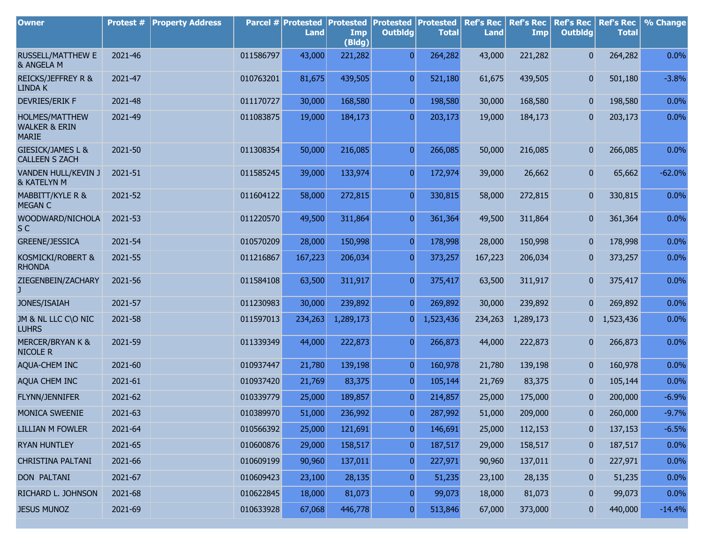| <b>Owner</b>                                               | Protest # | <b>Property Address</b> |           | Parcel # Protested<br><b>Land</b> | <b>Protested</b><br>Imp<br>(Bldg) | <b>Protested Protested</b><br><b>Outbldg</b> | <b>Total</b> | <b>Ref's Rec</b><br><b>Land</b> | <b>Ref's Rec</b><br>Imp | <b>Ref's Rec</b><br><b>Outbldg</b> | <b>Ref's Rec</b><br><b>Total</b> | % Change |
|------------------------------------------------------------|-----------|-------------------------|-----------|-----------------------------------|-----------------------------------|----------------------------------------------|--------------|---------------------------------|-------------------------|------------------------------------|----------------------------------|----------|
| <b>RUSSELL/MATTHEW E</b><br>& ANGELA M                     | 2021-46   |                         | 011586797 | 43,000                            | 221,282                           | $\overline{0}$                               | 264,282      | 43,000                          | 221,282                 | $\overline{0}$                     | 264,282                          | 0.0%     |
| <b>REICKS/JEFFREY R &amp;</b><br><b>LINDA K</b>            | 2021-47   |                         | 010763201 | 81,675                            | 439,505                           | $\overline{0}$                               | 521,180      | 61,675                          | 439,505                 | $\overline{0}$                     | 501,180                          | $-3.8%$  |
| <b>DEVRIES/ERIK F</b>                                      | 2021-48   |                         | 011170727 | 30,000                            | 168,580                           | $\overline{0}$                               | 198,580      | 30,000                          | 168,580                 | $\mathbf{0}$                       | 198,580                          | 0.0%     |
| HOLMES/MATTHEW<br><b>WALKER &amp; ERIN</b><br><b>MARIE</b> | 2021-49   |                         | 011083875 | 19,000                            | 184,173                           | $\overline{0}$                               | 203,173      | 19,000                          | 184,173                 | $\mathbf{0}$                       | 203,173                          | 0.0%     |
| GIESICK/JAMES L &<br><b>CALLEEN S ZACH</b>                 | 2021-50   |                         | 011308354 | 50,000                            | 216,085                           | $\overline{0}$                               | 266,085      | 50,000                          | 216,085                 | $\mathbf{0}$                       | 266,085                          | 0.0%     |
| VANDEN HULL/KEVIN J<br>& KATELYN M                         | 2021-51   |                         | 011585245 | 39,000                            | 133,974                           | $\overline{0}$                               | 172,974      | 39,000                          | 26,662                  | $\overline{0}$                     | 65,662                           | $-62.0%$ |
| MABBITT/KYLE R &<br><b>MEGAN C</b>                         | 2021-52   |                         | 011604122 | 58,000                            | 272,815                           | $\overline{0}$                               | 330,815      | 58,000                          | 272,815                 | $\overline{0}$                     | 330,815                          | 0.0%     |
| WOODWARD/NICHOLA<br>S <sub>C</sub>                         | 2021-53   |                         | 011220570 | 49,500                            | 311,864                           | $\overline{0}$                               | 361,364      | 49,500                          | 311,864                 | $\overline{0}$                     | 361,364                          | 0.0%     |
| <b>GREENE/JESSICA</b>                                      | 2021-54   |                         | 010570209 | 28,000                            | 150,998                           | $\boldsymbol{0}$                             | 178,998      | 28,000                          | 150,998                 | $\mathbf{0}$                       | 178,998                          | 0.0%     |
| KOSMICKI/ROBERT &<br><b>RHONDA</b>                         | 2021-55   |                         | 011216867 | 167,223                           | 206,034                           | $\overline{0}$                               | 373,257      | 167,223                         | 206,034                 | $\mathbf{0}$                       | 373,257                          | 0.0%     |
| ZIEGENBEIN/ZACHARY                                         | 2021-56   |                         | 011584108 | 63,500                            | 311,917                           | $\overline{0}$                               | 375,417      | 63,500                          | 311,917                 | $\overline{0}$                     | 375,417                          | 0.0%     |
| JONES/ISAIAH                                               | 2021-57   |                         | 011230983 | 30,000                            | 239,892                           | $\overline{0}$                               | 269,892      | 30,000                          | 239,892                 | $\overline{0}$                     | 269,892                          | 0.0%     |
| JM & NL LLC C\O NIC<br><b>LUHRS</b>                        | 2021-58   |                         | 011597013 | 234,263                           | 1,289,173                         | $\overline{0}$                               | 1,523,436    | 234,263                         | 1,289,173               | 0                                  | 1,523,436                        | 0.0%     |
| <b>MERCER/BRYAN K &amp;</b><br><b>NICOLE R</b>             | 2021-59   |                         | 011339349 | 44,000                            | 222,873                           | $\overline{0}$                               | 266,873      | 44,000                          | 222,873                 | 0                                  | 266,873                          | 0.0%     |
| AQUA-CHEM INC                                              | 2021-60   |                         | 010937447 | 21,780                            | 139,198                           | $\overline{0}$                               | 160,978      | 21,780                          | 139,198                 | $\overline{0}$                     | 160,978                          | 0.0%     |
| AQUA CHEM INC                                              | 2021-61   |                         | 010937420 | 21,769                            | 83,375                            | $\overline{0}$                               | 105,144      | 21,769                          | 83,375                  | $\mathbf{0}$                       | 105,144                          | 0.0%     |
| FLYNN/JENNIFER                                             | 2021-62   |                         | 010339779 | 25,000                            | 189,857                           | $\overline{0}$                               | 214,857      | 25,000                          | 175,000                 | $\overline{0}$                     | 200,000                          | $-6.9%$  |
| <b>MONICA SWEENIE</b>                                      | 2021-63   |                         | 010389970 | 51,000                            | 236,992                           | $\overline{0}$                               | 287,992      | 51,000                          | 209,000                 | 0                                  | 260,000                          | $-9.7%$  |
| <b>LILLIAN M FOWLER</b>                                    | 2021-64   |                         | 010566392 | 25,000                            | 121,691                           | $\overline{0}$                               | 146,691      | 25,000                          | 112,153                 | $\overline{0}$                     | 137,153                          | $-6.5%$  |
| <b>RYAN HUNTLEY</b>                                        | 2021-65   |                         | 010600876 | 29,000                            | 158,517                           | $\boldsymbol{0}$                             | 187,517      | 29,000                          | 158,517                 | $\mathbf{0}$                       | 187,517                          | 0.0%     |
| CHRISTINA PALTANI                                          | 2021-66   |                         | 010609199 | 90,960                            | 137,011                           | $\overline{0}$                               | 227,971      | 90,960                          | 137,011                 | $\mathbf{0}$                       | 227,971                          | 0.0%     |
| DON PALTANI                                                | 2021-67   |                         | 010609423 | 23,100                            | 28,135                            | $\boldsymbol{0}$                             | 51,235       | 23,100                          | 28,135                  | $\mathbf{0}$                       | 51,235                           | 0.0%     |
| RICHARD L. JOHNSON                                         | 2021-68   |                         | 010622845 | 18,000                            | 81,073                            | $\boldsymbol{0}$                             | 99,073       | 18,000                          | 81,073                  | $\mathbf{0}$                       | 99,073                           | 0.0%     |
| <b>JESUS MUNOZ</b>                                         | 2021-69   |                         | 010633928 | 67,068                            | 446,778                           | $\boldsymbol{0}$                             | 513,846      | 67,000                          | 373,000                 | $\overline{0}$                     | 440,000                          | $-14.4%$ |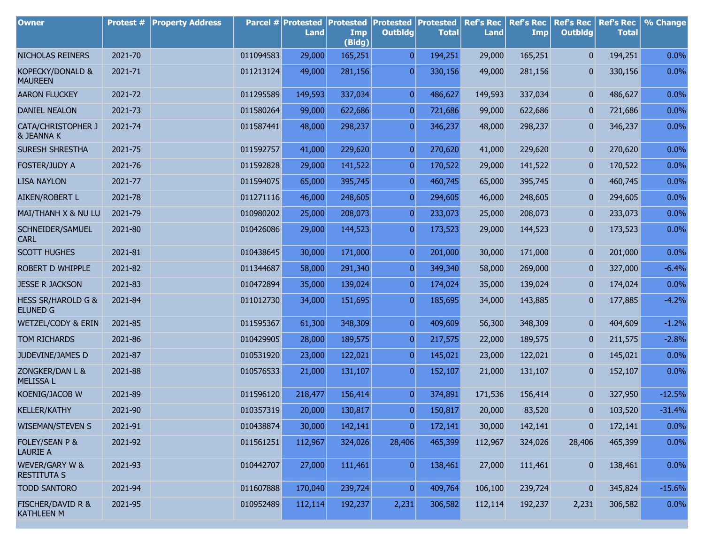| <b>Owner</b>                                      | Protest # | <b>Property Address</b> |           | Parcel # Protested<br>Land | <b>Protested</b><br>Imp<br>(Bldg) | <b>Protested Protested</b><br><b>Outbldg</b> | <b>Total</b> | <b>Ref's Rec</b><br><b>Land</b> | <b>Ref's Rec</b><br><b>Imp</b> | <b>Ref's Rec</b><br><b>Outbldg</b> | <b>Ref's Rec</b><br><b>Total</b> | % Change |
|---------------------------------------------------|-----------|-------------------------|-----------|----------------------------|-----------------------------------|----------------------------------------------|--------------|---------------------------------|--------------------------------|------------------------------------|----------------------------------|----------|
| NICHOLAS REINERS                                  | 2021-70   |                         | 011094583 | 29,000                     | 165,251                           | $\overline{0}$                               | 194,251      | 29,000                          | 165,251                        | $\mathbf{0}$                       | 194,251                          | 0.0%     |
| KOPECKY/DONALD &<br><b>MAUREEN</b>                | 2021-71   |                         | 011213124 | 49,000                     | 281,156                           | $\overline{0}$                               | 330,156      | 49,000                          | 281,156                        | 0                                  | 330,156                          | 0.0%     |
| <b>AARON FLUCKEY</b>                              | 2021-72   |                         | 011295589 | 149,593                    | 337,034                           | $\overline{0}$                               | 486,627      | 149,593                         | 337,034                        | 0                                  | 486,627                          | 0.0%     |
| DANIEL NEALON                                     | 2021-73   |                         | 011580264 | 99,000                     | 622,686                           | $\overline{0}$                               | 721,686      | 99,000                          | 622,686                        | 0                                  | 721,686                          | 0.0%     |
| CATA/CHRISTOPHER J<br>& JEANNA K                  | 2021-74   |                         | 011587441 | 48,000                     | 298,237                           | $\overline{0}$                               | 346,237      | 48,000                          | 298,237                        | 0                                  | 346,237                          | 0.0%     |
| SURESH SHRESTHA                                   | 2021-75   |                         | 011592757 | 41,000                     | 229,620                           | $\boldsymbol{0}$                             | 270,620      | 41,000                          | 229,620                        | 0                                  | 270,620                          | 0.0%     |
| FOSTER/JUDY A                                     | 2021-76   |                         | 011592828 | 29,000                     | 141,522                           | $\overline{0}$                               | 170,522      | 29,000                          | 141,522                        | 0                                  | 170,522                          | 0.0%     |
| <b>LISA NAYLON</b>                                | 2021-77   |                         | 011594075 | 65,000                     | 395,745                           | $\boldsymbol{0}$                             | 460,745      | 65,000                          | 395,745                        | 0                                  | 460,745                          | 0.0%     |
| AIKEN/ROBERT L                                    | 2021-78   |                         | 011271116 | 46,000                     | 248,605                           | $\overline{0}$                               | 294,605      | 46,000                          | 248,605                        | 0                                  | 294,605                          | 0.0%     |
| MAI/THANH X & NU LU                               | 2021-79   |                         | 010980202 | 25,000                     | 208,073                           | $\boldsymbol{0}$                             | 233,073      | 25,000                          | 208,073                        | 0                                  | 233,073                          | 0.0%     |
| SCHNEIDER/SAMUEL<br><b>CARL</b>                   | 2021-80   |                         | 010426086 | 29,000                     | 144,523                           | $\overline{0}$                               | 173,523      | 29,000                          | 144,523                        | 0                                  | 173,523                          | 0.0%     |
| <b>SCOTT HUGHES</b>                               | 2021-81   |                         | 010438645 | 30,000                     | 171,000                           | $\boldsymbol{0}$                             | 201,000      | 30,000                          | 171,000                        | 0                                  | 201,000                          | 0.0%     |
| ROBERT D WHIPPLE                                  | 2021-82   |                         | 011344687 | 58,000                     | 291,340                           | $\overline{0}$                               | 349,340      | 58,000                          | 269,000                        | 0                                  | 327,000                          | $-6.4%$  |
| <b>JESSE R JACKSON</b>                            | 2021-83   |                         | 010472894 | 35,000                     | 139,024                           | $\boldsymbol{0}$                             | 174,024      | 35,000                          | 139,024                        | 0                                  | 174,024                          | 0.0%     |
| <b>HESS SR/HAROLD G &amp;</b><br><b>ELUNED G</b>  | 2021-84   |                         | 011012730 | 34,000                     | 151,695                           | $\overline{0}$                               | 185,695      | 34,000                          | 143,885                        | 0                                  | 177,885                          | $-4.2%$  |
| WETZEL/CODY & ERIN                                | 2021-85   |                         | 011595367 | 61,300                     | 348,309                           | $\overline{0}$                               | 409,609      | 56,300                          | 348,309                        | 0                                  | 404,609                          | $-1.2%$  |
| TOM RICHARDS                                      | 2021-86   |                         | 010429905 | 28,000                     | 189,575                           | $\overline{0}$                               | 217,575      | 22,000                          | 189,575                        | 0                                  | 211,575                          | $-2.8%$  |
| JUDEVINE/JAMES D                                  | 2021-87   |                         | 010531920 | 23,000                     | 122,021                           | $\overline{0}$                               | 145,021      | 23,000                          | 122,021                        | 0                                  | 145,021                          | 0.0%     |
| ZONGKER/DAN L &<br><b>MELISSA L</b>               | 2021-88   |                         | 010576533 | 21,000                     | 131,107                           | $\boldsymbol{0}$                             | 152,107      | 21,000                          | 131,107                        | 0                                  | 152,107                          | 0.0%     |
| KOENIG/JACOB W                                    | 2021-89   |                         | 011596120 | 218,477                    | 156,414                           | $\overline{0}$                               | 374,891      | 171,536                         | 156,414                        | $\mathbf{0}$                       | 327,950                          | $-12.5%$ |
| <b>KELLER/KATHY</b>                               | 2021-90   |                         | 010357319 | 20,000                     | 130,817                           | $\overline{0}$                               | 150,817      | 20,000                          | 83,520                         | $\mathbf{0}$                       | 103,520                          | $-31.4%$ |
| <b>WISEMAN/STEVEN S</b>                           | 2021-91   |                         | 010438874 | 30,000                     | 142,141                           | $\boldsymbol{0}$                             | 172,141      | 30,000                          | 142,141                        | 0                                  | 172,141                          | 0.0%     |
| FOLEY/SEAN P &<br><b>LAURIE A</b>                 | 2021-92   |                         | 011561251 | 112,967                    | 324,026                           | 28,406                                       | 465,399      | 112,967                         | 324,026                        | 28,406                             | 465,399                          | 0.0%     |
| WEVER/GARY W &<br><b>RESTITUTA S</b>              | 2021-93   |                         | 010442707 | 27,000                     | 111,461                           | $\overline{0}$                               | 138,461      | 27,000                          | 111,461                        | $\mathbf{0}$                       | 138,461                          | 0.0%     |
| <b>TODD SANTORO</b>                               | 2021-94   |                         | 011607888 | 170,040                    | 239,724                           | $\overline{0}$                               | 409,764      | 106,100                         | 239,724                        | 0                                  | 345,824                          | $-15.6%$ |
| <b>FISCHER/DAVID R &amp;</b><br><b>KATHLEEN M</b> | 2021-95   |                         | 010952489 | 112,114                    | 192,237                           | 2,231                                        | 306,582      | 112,114                         | 192,237                        | 2,231                              | 306,582                          | 0.0%     |

r.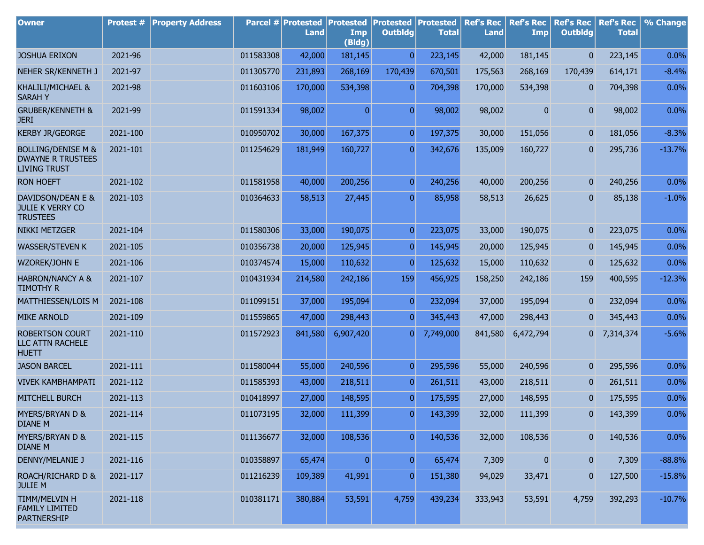| <b>Owner</b>                                                                     | <b>Protest #</b> | <b>Property Address</b> |           | Parcel # Protested<br><b>Land</b> | <b>Protested</b><br>Imp<br>(Bldg) | <b>Protested</b><br><b>Outbldg</b> | <b>Protested</b><br><b>Total</b> | <b>Ref's Rec</b><br><b>Land</b> | <b>Ref's Rec</b><br>Imp | <b>Ref's Rec</b><br><b>Outbldg</b> | <b>Ref's Rec</b><br><b>Total</b> | % Change |
|----------------------------------------------------------------------------------|------------------|-------------------------|-----------|-----------------------------------|-----------------------------------|------------------------------------|----------------------------------|---------------------------------|-------------------------|------------------------------------|----------------------------------|----------|
| <b>JOSHUA ERIXON</b>                                                             | 2021-96          |                         | 011583308 | 42,000                            | 181,145                           | $\overline{0}$                     | 223,145                          | 42,000                          | 181,145                 | $\mathbf{0}$                       | 223,145                          | 0.0%     |
| NEHER SR/KENNETH J                                                               | 2021-97          |                         | 011305770 | 231,893                           | 268,169                           | 170,439                            | 670,501                          | 175,563                         | 268,169                 | 170,439                            | 614,171                          | $-8.4%$  |
| KHALILI/MICHAEL &<br><b>SARAHY</b>                                               | 2021-98          |                         | 011603106 | 170,000                           | 534,398                           | $\overline{0}$                     | 704,398                          | 170,000                         | 534,398                 | 0                                  | 704,398                          | 0.0%     |
| <b>GRUBER/KENNETH &amp;</b><br><b>JERI</b>                                       | 2021-99          |                         | 011591334 | 98,002                            | $\overline{0}$                    | $\overline{0}$                     | 98,002                           | 98,002                          | 0                       | 0                                  | 98,002                           | 0.0%     |
| <b>KERBY JR/GEORGE</b>                                                           | 2021-100         |                         | 010950702 | 30,000                            | 167,375                           | $\overline{0}$                     | 197,375                          | 30,000                          | 151,056                 | 0                                  | 181,056                          | $-8.3%$  |
| <b>BOLLING/DENISE M &amp;</b><br><b>DWAYNE R TRUSTEES</b><br><b>LIVING TRUST</b> | 2021-101         |                         | 011254629 | 181,949                           | 160,727                           | $\overline{0}$                     | 342,676                          | 135,009                         | 160,727                 | 0                                  | 295,736                          | $-13.7%$ |
| <b>RON HOEFT</b>                                                                 | 2021-102         |                         | 011581958 | 40,000                            | 200,256                           | $\overline{0}$                     | 240,256                          | 40,000                          | 200,256                 | 0                                  | 240,256                          | 0.0%     |
| DAVIDSON/DEAN E &<br><b>JULIE K VERRY CO</b><br><b>TRUSTEES</b>                  | 2021-103         |                         | 010364633 | 58,513                            | 27,445                            | $\overline{0}$                     | 85,958                           | 58,513                          | 26,625                  | 0                                  | 85,138                           | $-1.0%$  |
| <b>NIKKI METZGER</b>                                                             | 2021-104         |                         | 011580306 | 33,000                            | 190,075                           | $\overline{0}$                     | 223,075                          | 33,000                          | 190,075                 | 0                                  | 223,075                          | 0.0%     |
| <b>WASSER/STEVEN K</b>                                                           | 2021-105         |                         | 010356738 | 20,000                            | 125,945                           | $\overline{0}$                     | 145,945                          | 20,000                          | 125,945                 | 0                                  | 145,945                          | 0.0%     |
| WZOREK/JOHN E                                                                    | 2021-106         |                         | 010374574 | 15,000                            | 110,632                           | $\overline{0}$                     | 125,632                          | 15,000                          | 110,632                 | 0                                  | 125,632                          | 0.0%     |
| <b>HABRON/NANCY A &amp;</b><br><b>TIMOTHY R</b>                                  | 2021-107         |                         | 010431934 | 214,580                           | 242,186                           | 159                                | 456,925                          | 158,250                         | 242,186                 | 159                                | 400,595                          | $-12.3%$ |
| MATTHIESSEN/LOIS M                                                               | 2021-108         |                         | 011099151 | 37,000                            | 195,094                           | $\overline{0}$                     | 232,094                          | 37,000                          | 195,094                 | 0                                  | 232,094                          | 0.0%     |
| <b>MIKE ARNOLD</b>                                                               | 2021-109         |                         | 011559865 | 47,000                            | 298,443                           | $\overline{0}$                     | 345,443                          | 47,000                          | 298,443                 | 0                                  | 345,443                          | $0.0\%$  |
| <b>ROBERTSON COURT</b><br>LLC ATTN RACHELE<br><b>HUETT</b>                       | 2021-110         |                         | 011572923 | 841,580                           | 6,907,420                         | 0                                  | 7,749,000                        | 841,580                         | 6,472,794               | 01                                 | 7,314,374                        | $-5.6%$  |
| <b>JASON BARCEL</b>                                                              | 2021-111         |                         | 011580044 | 55,000                            | 240,596                           | $\overline{0}$                     | 295,596                          | 55,000                          | 240,596                 | 0                                  | 295,596                          | 0.0%     |
| <b>VIVEK KAMBHAMPATI</b>                                                         | 2021-112         |                         | 011585393 | 43,000                            | 218,511                           | $\overline{0}$                     | 261,511                          | 43,000                          | 218,511                 | 0                                  | 261,511                          | 0.0%     |
| <b>MITCHELL BURCH</b>                                                            | 2021-113         |                         | 010418997 | 27,000                            | 148,595                           | $\overline{0}$                     | 175,595                          | 27,000                          | 148,595                 | $\overline{0}$                     | 175,595                          | 0.0%     |
| MYERS/BRYAN D &<br>DIANE M                                                       | 2021-114         |                         | 011073195 | 32,000                            | 111,399                           | $\Omega$                           | 143,399                          | 32,000                          | 111,399                 | $\Omega$                           | 143,399                          | 0.0%     |
| MYERS/BRYAN D &<br><b>DIANE M</b>                                                | 2021-115         |                         | 011136677 | 32,000                            | 108,536                           | $\overline{0}$                     | 140,536                          | 32,000                          | 108,536                 | $\overline{0}$                     | 140,536                          | 0.0%     |
| <b>DENNY/MELANIE J</b>                                                           | 2021-116         |                         | 010358897 | 65,474                            | $\overline{0}$                    | $\overline{0}$                     | 65,474                           | 7,309                           | $\pmb{0}$               | $\mathbf{0}$                       | 7,309                            | $-88.8%$ |
| ROACH/RICHARD D &<br><b>JULIE M</b>                                              | 2021-117         |                         | 011216239 | 109,389                           | 41,991                            | $\overline{0}$                     | 151,380                          | 94,029                          | 33,471                  | 0                                  | 127,500                          | $-15.8%$ |
| TIMM/MELVIN H<br><b>FAMILY LIMITED</b><br><b>PARTNERSHIP</b>                     | 2021-118         |                         | 010381171 | 380,884                           | 53,591                            | 4,759                              | 439,234                          | 333,943                         | 53,591                  | 4,759                              | 392,293                          | $-10.7%$ |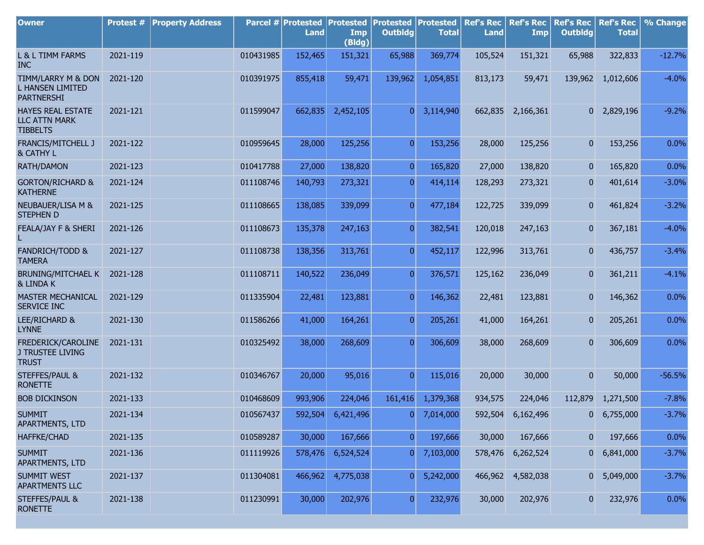| <b>Owner</b>                                                        | Protest # | <b>Property Address</b> |           | Parcel # Protested<br><b>Land</b> | <b>Protested</b><br>Imp<br>(Bldg) | <b>Protested Protested</b><br><b>Outbldg</b> | <b>Total</b> | <b>Ref's Rec</b><br><b>Land</b> | <b>Ref's Rec</b><br>Imp | <b>Ref's Rec</b><br><b>Outbldg</b> | <b>Ref's Rec</b><br><b>Total</b> | % Change |
|---------------------------------------------------------------------|-----------|-------------------------|-----------|-----------------------------------|-----------------------------------|----------------------------------------------|--------------|---------------------------------|-------------------------|------------------------------------|----------------------------------|----------|
| L & L TIMM FARMS<br><b>INC</b>                                      | 2021-119  |                         | 010431985 | 152,465                           | 151,321                           | 65,988                                       | 369,774      | 105,524                         | 151,321                 | 65,988                             | 322,833                          | $-12.7%$ |
| TIMM/LARRY M & DON<br><b>L HANSEN LIMITED</b><br><b>PARTNERSHI</b>  | 2021-120  |                         | 010391975 | 855,418                           | 59,471                            | 139,962                                      | 1,054,851    | 813,173                         | 59,471                  | 139,962                            | 1,012,606                        | $-4.0%$  |
| <b>HAYES REAL ESTATE</b><br><b>LLC ATTN MARK</b><br><b>TIBBELTS</b> | 2021-121  |                         | 011599047 | 662,835                           | 2,452,105                         | $\overline{0}$                               | 3,114,940    |                                 | 662,835 2,166,361       |                                    | 0 2,829,196                      | $-9.2%$  |
| FRANCIS/MITCHELL J<br>& CATHY L                                     | 2021-122  |                         | 010959645 | 28,000                            | 125,256                           | $\overline{0}$                               | 153,256      | 28,000                          | 125,256                 | $\overline{0}$                     | 153,256                          | 0.0%     |
| RATH/DAMON                                                          | 2021-123  |                         | 010417788 | 27,000                            | 138,820                           | $\overline{0}$                               | 165,820      | 27,000                          | 138,820                 | $\mathbf{0}$                       | 165,820                          | 0.0%     |
| <b>GORTON/RICHARD &amp;</b><br><b>KATHERNE</b>                      | 2021-124  |                         | 011108746 | 140,793                           | 273,321                           | $\overline{0}$                               | 414,114      | 128,293                         | 273,321                 | $\mathbf{0}$                       | 401,614                          | $-3.0%$  |
| NEUBAUER/LISA M &<br><b>STEPHEN D</b>                               | 2021-125  |                         | 011108665 | 138,085                           | 339,099                           | $\overline{0}$                               | 477,184      | 122,725                         | 339,099                 | $\overline{0}$                     | 461,824                          | $-3.2%$  |
| FEALA/JAY F & SHERI                                                 | 2021-126  |                         | 011108673 | 135,378                           | 247,163                           | $\overline{0}$                               | 382,541      | 120,018                         | 247,163                 | $\overline{0}$                     | 367,181                          | $-4.0%$  |
| <b>FANDRICH/TODD &amp;</b><br><b>TAMERA</b>                         | 2021-127  |                         | 011108738 | 138,356                           | 313,761                           | $\overline{0}$                               | 452,117      | 122,996                         | 313,761                 | $\overline{0}$                     | 436,757                          | $-3.4%$  |
| BRUNING/MITCHAEL K<br>& LINDA K                                     | 2021-128  |                         | 011108711 | 140,522                           | 236,049                           | $\overline{0}$                               | 376,571      | 125,162                         | 236,049                 | $\boldsymbol{0}$                   | 361,211                          | $-4.1%$  |
| <b>MASTER MECHANICAL</b><br>SERVICE INC                             | 2021-129  |                         | 011335904 | 22,481                            | 123,881                           | $\overline{0}$                               | 146,362      | 22,481                          | 123,881                 | $\overline{0}$                     | 146,362                          | 0.0%     |
| LEE/RICHARD &<br><b>LYNNE</b>                                       | 2021-130  |                         | 011586266 | 41,000                            | 164,261                           | $\overline{0}$                               | 205,261      | 41,000                          | 164,261                 | $\overline{0}$                     | 205,261                          | 0.0%     |
| FREDERICK/CAROLINE<br><b>J TRUSTEE LIVING</b><br><b>TRUST</b>       | 2021-131  |                         | 010325492 | 38,000                            | 268,609                           | $\overline{0}$                               | 306,609      | 38,000                          | 268,609                 | $\overline{0}$                     | 306,609                          | 0.0%     |
| <b>STEFFES/PAUL &amp;</b><br><b>RONETTE</b>                         | 2021-132  |                         | 010346767 | 20,000                            | 95,016                            | $\overline{0}$                               | 115,016      | 20,000                          | 30,000                  | $\overline{0}$                     | 50,000                           | $-56.5%$ |
| <b>BOB DICKINSON</b>                                                | 2021-133  |                         | 010468609 | 993,906                           | 224,046                           | 161,416                                      | 1,379,368    | 934,575                         | 224,046                 | 112,879                            | 1,271,500                        | $-7.8%$  |
| <b>SUMMIT</b><br>APARTMENTS, LTD                                    | 2021-134  |                         | 010567437 | 592,504                           | 6,421,496                         | $\Omega$                                     | 7,014,000    |                                 | 592,504 6,162,496       |                                    | $0$ 6,755,000                    | $-3.7%$  |
| <b>HAFFKE/CHAD</b>                                                  | 2021-135  |                         | 010589287 | 30,000                            | 167,666                           | $\overline{0}$                               | 197,666      | 30,000                          | 167,666                 | $\overline{0}$                     | 197,666                          | 0.0%     |
| <b>SUMMIT</b><br>APARTMENTS, LTD                                    | 2021-136  |                         | 011119926 | 578,476                           | 6,524,524                         | 0                                            | 7,103,000    | 578,476                         | 6,262,524               |                                    | $0\quad 6,841,000$               | $-3.7%$  |
| <b>SUMMIT WEST</b><br>APARTMENTS LLC                                | 2021-137  |                         | 011304081 | 466,962                           | 4,775,038                         | $\overline{0}$                               | 5,242,000    |                                 | 466,962 4,582,038       |                                    | $0$ 5,049,000                    | $-3.7%$  |
| <b>STEFFES/PAUL &amp;</b><br><b>RONETTE</b>                         | 2021-138  |                         | 011230991 | 30,000                            | 202,976                           | $\boldsymbol{0}$                             | 232,976      | 30,000                          | 202,976                 | $\overline{0}$                     | 232,976                          | 0.0%     |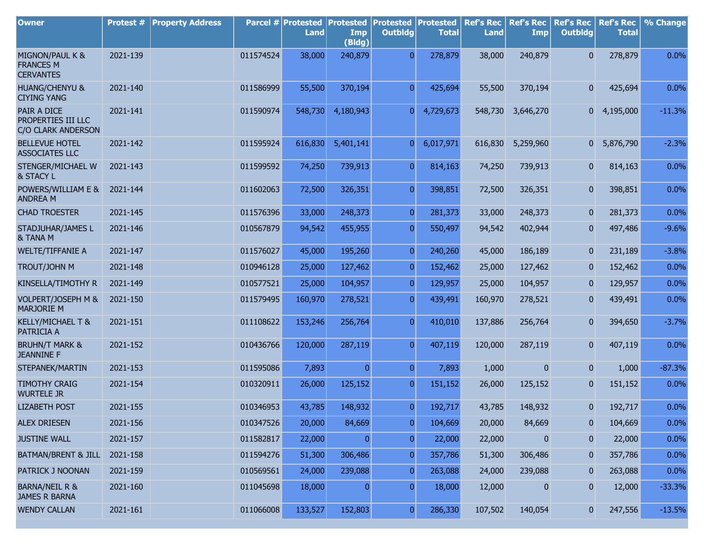| <b>Owner</b>                                            | Protest # | <b>Property Address</b> |           | Parcel # Protested<br><b>Land</b> | <b>Protested</b><br>Imp<br>(Bldg) | <b>Protested Protested</b><br><b>Outbldg</b> | <b>Total</b> | <b>Ref's Rec</b><br><b>Land</b> | <b>Ref's Rec</b><br><b>Imp</b> | <b>Ref's Rec</b><br><b>Outbldg</b> | <b>Ref's Rec</b><br><b>Total</b> | % Change |
|---------------------------------------------------------|-----------|-------------------------|-----------|-----------------------------------|-----------------------------------|----------------------------------------------|--------------|---------------------------------|--------------------------------|------------------------------------|----------------------------------|----------|
| MIGNON/PAUL K &<br><b>FRANCES M</b><br><b>CERVANTES</b> | 2021-139  |                         | 011574524 | 38,000                            | 240,879                           | $\overline{0}$                               | 278,879      | 38,000                          | 240,879                        | $\overline{0}$                     | 278,879                          | 0.0%     |
| <b>HUANG/CHENYU &amp;</b><br><b>CIYING YANG</b>         | 2021-140  |                         | 011586999 | 55,500                            | 370,194                           | $\overline{0}$                               | 425,694      | 55,500                          | 370,194                        | $\overline{0}$                     | 425,694                          | 0.0%     |
| PAIR A DICE<br>PROPERTIES III LLC<br>C/O CLARK ANDERSON | 2021-141  |                         | 011590974 | 548,730                           | 4,180,943                         | 0                                            | 4,729,673    | 548,730                         | 3,646,270                      | 0                                  | 4,195,000                        | $-11.3%$ |
| <b>BELLEVUE HOTEL</b><br><b>ASSOCIATES LLC</b>          | 2021-142  |                         | 011595924 | 616,830                           | 5,401,141                         | 0                                            | 6,017,971    | 616,830                         | 5,259,960                      |                                    | 0 5,876,790                      | $-2.3%$  |
| STENGER/MICHAEL W<br>& STACY L                          | 2021-143  |                         | 011599592 | 74,250                            | 739,913                           | $\overline{0}$                               | 814,163      | 74,250                          | 739,913                        | 0                                  | 814,163                          | 0.0%     |
| POWERS/WILLIAM E &<br><b>ANDREA M</b>                   | 2021-144  |                         | 011602063 | 72,500                            | 326,351                           | $\overline{0}$                               | 398,851      | 72,500                          | 326,351                        | $\overline{0}$                     | 398,851                          | 0.0%     |
| <b>CHAD TROESTER</b>                                    | 2021-145  |                         | 011576396 | 33,000                            | 248,373                           | $\overline{0}$                               | 281,373      | 33,000                          | 248,373                        | $\overline{0}$                     | 281,373                          | 0.0%     |
| STADJUHAR/JAMES L<br>& TANA M                           | 2021-146  |                         | 010567879 | 94,542                            | 455,955                           | $\overline{0}$                               | 550,497      | 94,542                          | 402,944                        | $\overline{0}$                     | 497,486                          | $-9.6%$  |
| <b>WELTE/TIFFANIE A</b>                                 | 2021-147  |                         | 011576027 | 45,000                            | 195,260                           | $\overline{0}$                               | 240,260      | 45,000                          | 186,189                        | $\mathbf{0}$                       | 231,189                          | $-3.8%$  |
| <b>TROUT/JOHN M</b>                                     | 2021-148  |                         | 010946128 | 25,000                            | 127,462                           | $\overline{0}$                               | 152,462      | 25,000                          | 127,462                        | $\mathbf{0}$                       | 152,462                          | 0.0%     |
| KINSELLA/TIMOTHY R                                      | 2021-149  |                         | 010577521 | 25,000                            | 104,957                           | $\overline{0}$                               | 129,957      | 25,000                          | 104,957                        | $\mathbf{0}$                       | 129,957                          | 0.0%     |
| VOLPERT/JOSEPH M &<br><b>MARJORIE M</b>                 | 2021-150  |                         | 011579495 | 160,970                           | 278,521                           | $\overline{0}$                               | 439,491      | 160,970                         | 278,521                        | $\mathbf{0}$                       | 439,491                          | 0.0%     |
| KELLY/MICHAEL T &<br>PATRICIA A                         | 2021-151  |                         | 011108622 | 153,246                           | 256,764                           | $\overline{0}$                               | 410,010      | 137,886                         | 256,764                        | $\overline{0}$                     | 394,650                          | $-3.7%$  |
| <b>BRUHN/T MARK &amp;</b><br><b>JEANNINE F</b>          | 2021-152  |                         | 010436766 | 120,000                           | 287,119                           | $\overline{0}$                               | 407,119      | 120,000                         | 287,119                        | $\overline{0}$                     | 407,119                          | 0.0%     |
| STEPANEK/MARTIN                                         | 2021-153  |                         | 011595086 | 7,893                             | $\overline{0}$                    | $\overline{0}$                               | 7,893        | 1,000                           | 0                              | $\overline{0}$                     | 1,000                            | $-87.3%$ |
| <b>TIMOTHY CRAIG</b><br><b>WURTELE JR</b>               | 2021-154  |                         | 010320911 | 26,000                            | 125,152                           | $\overline{0}$                               | 151,152      | 26,000                          | 125,152                        | $\overline{0}$                     | 151,152                          | 0.0%     |
| <b>LIZABETH POST</b>                                    | 2021-155  |                         | 010346953 | 43,785                            | 148,932                           | $\overline{0}$                               | 192,717      | 43,785                          | 148,932                        | $\mathbf{0}$                       | 192,717                          | 0.0%     |
| <b>ALEX DRIESEN</b>                                     | 2021-156  |                         | 010347526 | 20,000                            | 84,669                            | $\boldsymbol{0}$                             | 104,669      | 20,000                          | 84,669                         | $\boldsymbol{0}$                   | 104,669                          | 0.0%     |
| <b>JUSTINE WALL</b>                                     | 2021-157  |                         | 011582817 | 22,000                            | $\overline{0}$                    | $\overline{0}$                               | 22,000       | 22,000                          | 0                              | $\pmb{0}$                          | 22,000                           | 0.0%     |
| <b>BATMAN/BRENT &amp; JILL</b>                          | 2021-158  |                         | 011594276 | 51,300                            | 306,486                           | $\overline{0}$                               | 357,786      | 51,300                          | 306,486                        | $\boldsymbol{0}$                   | 357,786                          | 0.0%     |
| PATRICK J NOONAN                                        | 2021-159  |                         | 010569561 | 24,000                            | 239,088                           | $\overline{0}$                               | 263,088      | 24,000                          | 239,088                        | $\boldsymbol{0}$                   | 263,088                          | 0.0%     |
| <b>BARNA/NEIL R &amp;</b><br><b>JAMES R BARNA</b>       | 2021-160  |                         | 011045698 | 18,000                            | $\overline{0}$                    | $\overline{0}$                               | 18,000       | 12,000                          | $\pmb{0}$                      | $\boldsymbol{0}$                   | 12,000                           | $-33.3%$ |
| <b>WENDY CALLAN</b>                                     | 2021-161  |                         | 011066008 | 133,527                           | 152,803                           | $\boldsymbol{0}$                             | 286,330      | 107,502                         | 140,054                        | $\overline{0}$                     | 247,556                          | $-13.5%$ |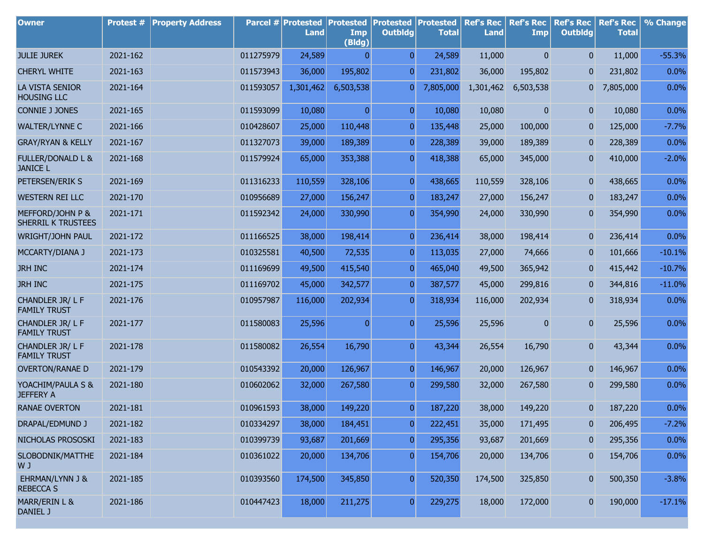| <b>Owner</b>                                    | Protest # | <b>Property Address</b> |           | Parcel # Protested<br>Land | <b>Protested</b><br>Imp<br>(Bldg) | <b>Protested Protested</b><br><b>Outbldg</b> | <b>Total</b> | <b>Ref's Rec</b><br><b>Land</b> | <b>Ref's Rec</b><br><b>Imp</b> | <b>Ref's Rec</b><br><b>Outbldg</b> | <b>Ref's Rec</b><br><b>Total</b> | % Change |
|-------------------------------------------------|-----------|-------------------------|-----------|----------------------------|-----------------------------------|----------------------------------------------|--------------|---------------------------------|--------------------------------|------------------------------------|----------------------------------|----------|
| <b>JULIE JUREK</b>                              | 2021-162  |                         | 011275979 | 24,589                     | $\overline{0}$                    | $\overline{0}$                               | 24,589       | 11,000                          | $\mathbf{0}$                   | $\overline{0}$                     | 11,000                           | $-55.3%$ |
| <b>CHERYL WHITE</b>                             | 2021-163  |                         | 011573943 | 36,000                     | 195,802                           | $\overline{0}$                               | 231,802      | 36,000                          | 195,802                        | $\mathbf{0}$                       | 231,802                          | 0.0%     |
| LA VISTA SENIOR<br><b>HOUSING LLC</b>           | 2021-164  |                         | 011593057 | 1,301,462                  | 6,503,538                         | 01                                           | 7,805,000    | 1,301,462                       | 6,503,538                      | 0                                  | 7,805,000                        | 0.0%     |
| <b>CONNIE J JONES</b>                           | 2021-165  |                         | 011593099 | 10,080                     | $\overline{0}$                    | $\overline{0}$                               | 10,080       | 10,080                          | $\overline{0}$                 | $\overline{0}$                     | 10,080                           | 0.0%     |
| <b>WALTER/LYNNE C</b>                           | 2021-166  |                         | 010428607 | 25,000                     | 110,448                           | $\overline{0}$                               | 135,448      | 25,000                          | 100,000                        | $\boldsymbol{0}$                   | 125,000                          | $-7.7%$  |
| <b>GRAY/RYAN &amp; KELLY</b>                    | 2021-167  |                         | 011327073 | 39,000                     | 189,389                           | $\overline{0}$                               | 228,389      | 39,000                          | 189,389                        | $\overline{0}$                     | 228,389                          | 0.0%     |
| <b>FULLER/DONALD L &amp;</b><br><b>JANICE L</b> | 2021-168  |                         | 011579924 | 65,000                     | 353,388                           | $\overline{0}$                               | 418,388      | 65,000                          | 345,000                        | $\boldsymbol{0}$                   | 410,000                          | $-2.0%$  |
| PETERSEN/ERIK S                                 | 2021-169  |                         | 011316233 | 110,559                    | 328,106                           | $\overline{0}$                               | 438,665      | 110,559                         | 328,106                        | $\overline{0}$                     | 438,665                          | 0.0%     |
| <b>WESTERN REI LLC</b>                          | 2021-170  |                         | 010956689 | 27,000                     | 156,247                           | $\overline{0}$                               | 183,247      | 27,000                          | 156,247                        | $\boldsymbol{0}$                   | 183,247                          | 0.0%     |
| MEFFORD/JOHN P &<br>SHERRIL K TRUSTEES          | 2021-171  |                         | 011592342 | 24,000                     | 330,990                           | $\overline{0}$                               | 354,990      | 24,000                          | 330,990                        | $\overline{0}$                     | 354,990                          | 0.0%     |
| <b>WRIGHT/JOHN PAUL</b>                         | 2021-172  |                         | 011166525 | 38,000                     | 198,414                           | $\boldsymbol{0}$                             | 236,414      | 38,000                          | 198,414                        | $\mathbf{0}$                       | 236,414                          | 0.0%     |
| MCCARTY/DIANA J                                 | 2021-173  |                         | 010325581 | 40,500                     | 72,535                            | $\overline{0}$                               | 113,035      | 27,000                          | 74,666                         | $\mathbf{0}$                       | 101,666                          | $-10.1%$ |
| <b>JRH INC</b>                                  | 2021-174  |                         | 011169699 | 49,500                     | 415,540                           | $\overline{0}$                               | 465,040      | 49,500                          | 365,942                        | $\mathbf{0}$                       | 415,442                          | $-10.7%$ |
| <b>JRH INC</b>                                  | 2021-175  |                         | 011169702 | 45,000                     | 342,577                           | $\overline{0}$                               | 387,577      | 45,000                          | 299,816                        | $\mathbf{0}$                       | 344,816                          | $-11.0%$ |
| CHANDLER JR/LF<br><b>FAMILY TRUST</b>           | 2021-176  |                         | 010957987 | 116,000                    | 202,934                           | $\overline{0}$                               | 318,934      | 116,000                         | 202,934                        | $\mathbf{0}$                       | 318,934                          | 0.0%     |
| CHANDLER JR/LF<br><b>FAMILY TRUST</b>           | 2021-177  |                         | 011580083 | 25,596                     | $\overline{0}$                    | $\overline{0}$                               | 25,596       | 25,596                          | 0                              | $\overline{0}$                     | 25,596                           | 0.0%     |
| CHANDLER JR/LF<br><b>FAMILY TRUST</b>           | 2021-178  |                         | 011580082 | 26,554                     | 16,790                            | $\overline{0}$                               | 43,344       | 26,554                          | 16,790                         | $\overline{0}$                     | 43,344                           | 0.0%     |
| <b>OVERTON/RANAE D</b>                          | 2021-179  |                         | 010543392 | 20,000                     | 126,967                           | $\overline{0}$                               | 146,967      | 20,000                          | 126,967                        | $\mathbf{0}$                       | 146,967                          | 0.0%     |
| YOACHIM/PAULA S &<br><b>JEFFERY A</b>           | 2021-180  |                         | 010602062 | 32,000                     | 267,580                           | $\overline{0}$                               | 299,580      | 32,000                          | 267,580                        | $\mathbf{0}$                       | 299,580                          | 0.0%     |
| <b>RANAE OVERTON</b>                            | 2021-181  |                         | 010961593 | 38,000                     | 149,220                           | $\overline{0}$                               | 187,220      | 38,000                          | 149,220                        | $\overline{0}$                     | 187,220                          | 0.0%     |
| DRAPAL/EDMUND J                                 | 2021-182  |                         | 010334297 | 38,000                     | 184,451                           | $\boldsymbol{0}$                             | 222,451      | 35,000                          | 171,495                        | $\pmb{0}$                          | 206,495                          | $-7.2%$  |
| NICHOLAS PROSOSKI                               | 2021-183  |                         | 010399739 | 93,687                     | 201,669                           | $\boldsymbol{0}$                             | 295,356      | 93,687                          | 201,669                        | $\pmb{0}$                          | 295,356                          | 0.0%     |
| SLOBODNIK/MATTHE<br>W J                         | 2021-184  |                         | 010361022 | 20,000                     | 134,706                           | $\overline{0}$                               | 154,706      | 20,000                          | 134,706                        | $\boldsymbol{0}$                   | 154,706                          | 0.0%     |
| EHRMAN/LYNN J &<br><b>REBECCA S</b>             | 2021-185  |                         | 010393560 | 174,500                    | 345,850                           | $\overline{0}$                               | 520,350      | 174,500                         | 325,850                        | $\boldsymbol{0}$                   | 500,350                          | $-3.8%$  |
| MARR/ERIN L &<br>DANIEL J                       | 2021-186  |                         | 010447423 | 18,000                     | 211,275                           | $\overline{0}$                               | 229,275      | 18,000                          | 172,000                        | $\overline{0}$                     | 190,000                          | $-17.1%$ |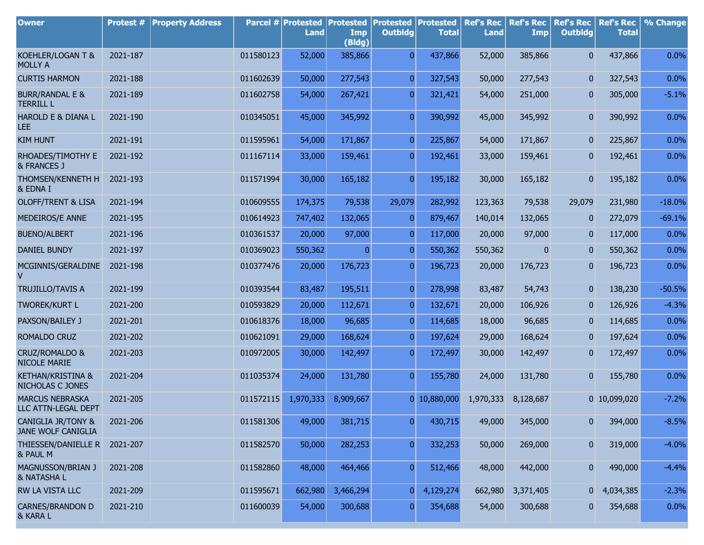| <b>Owner</b>                                        | <b>Protest #</b> | <b>Property Address</b> |           | Parcel # Protested<br><b>Land</b> | <b>Protested</b><br>Imp<br>(Bldg) | <b>Protested Protested</b><br><b>Outbldg</b> | <b>Total</b> | <b>Ref's Rec</b><br><b>Land</b> | <b>Ref's Rec</b><br>Imp | <b>Ref's Rec</b><br><b>Outbldg</b> | <b>Ref's Rec</b><br><b>Total</b> | % Change |
|-----------------------------------------------------|------------------|-------------------------|-----------|-----------------------------------|-----------------------------------|----------------------------------------------|--------------|---------------------------------|-------------------------|------------------------------------|----------------------------------|----------|
| KOEHLER/LOGAN T &<br><b>MOLLY A</b>                 | 2021-187         |                         | 011580123 | 52,000                            | 385,866                           | $\overline{0}$                               | 437,866      | 52,000                          | 385,866                 | $\mathbf{0}$                       | 437,866                          | 0.0%     |
| <b>CURTIS HARMON</b>                                | 2021-188         |                         | 011602639 | 50,000                            | 277,543                           | $\pmb{0}$                                    | 327,543      | 50,000                          | 277,543                 | 0                                  | 327,543                          | 0.0%     |
| <b>BURR/RANDAL E &amp;</b><br><b>TERRILL L</b>      | 2021-189         |                         | 011602758 | 54,000                            | 267,421                           | $\overline{0}$                               | 321,421      | 54,000                          | 251,000                 | 0                                  | 305,000                          | $-5.1%$  |
| HAROLD E & DIANA L<br><b>LEE</b>                    | 2021-190         |                         | 010345051 | 45,000                            | 345,992                           | $\overline{0}$                               | 390,992      | 45,000                          | 345,992                 | 0                                  | 390,992                          | 0.0%     |
| <b>KIM HUNT</b>                                     | 2021-191         |                         | 011595961 | 54,000                            | 171,867                           | $\overline{0}$                               | 225,867      | 54,000                          | 171,867                 | $\mathbf{0}$                       | 225,867                          | 0.0%     |
| RHOADES/TIMOTHY E<br>& FRANCES J                    | 2021-192         |                         | 011167114 | 33,000                            | 159,461                           | $\mathbf{0}$                                 | 192,461      | 33,000                          | 159,461                 | 0                                  | 192,461                          | 0.0%     |
| THOMSEN/KENNETH H<br>& EDNA I                       | 2021-193         |                         | 011571994 | 30,000                            | 165,182                           | $\pmb{0}$                                    | 195,182      | 30,000                          | 165,182                 | 0                                  | 195,182                          | 0.0%     |
| <b>OLOFF/TRENT &amp; LISA</b>                       | 2021-194         |                         | 010609555 | 174,375                           | 79,538                            | 29,079                                       | 282,992      | 123,363                         | 79,538                  | 29,079                             | 231,980                          | $-18.0%$ |
| MEDEIROS/E ANNE                                     | 2021-195         |                         | 010614923 | 747,402                           | 132,065                           | $\overline{0}$                               | 879,467      | 140,014                         | 132,065                 | $\bf{0}$                           | 272,079                          | $-69.1%$ |
| <b>BUENO/ALBERT</b>                                 | 2021-196         |                         | 010361537 | 20,000                            | 97,000                            | $\overline{0}$                               | 117,000      | 20,000                          | 97,000                  | $\pmb{0}$                          | 117,000                          | 0.0%     |
| <b>DANIEL BUNDY</b>                                 | 2021-197         |                         | 010369023 | 550,362                           | $\overline{0}$                    | $\overline{0}$                               | 550,362      | 550,362                         | $\bf{0}$                | 0                                  | 550,362                          | 0.0%     |
| MCGINNIS/GERALDINE<br>v                             | 2021-198         |                         | 010377476 | 20,000                            | 176,723                           | $\overline{0}$                               | 196,723      | 20,000                          | 176,723                 | 0                                  | 196,723                          | 0.0%     |
| <b>TRUJILLO/TAVIS A</b>                             | 2021-199         |                         | 010393544 | 83,487                            | 195,511                           | $\overline{0}$                               | 278,998      | 83,487                          | 54,743                  | 0                                  | 138,230                          | $-50.5%$ |
| <b>TWOREK/KURT L</b>                                | 2021-200         |                         | 010593829 | 20,000                            | 112,671                           | $\overline{0}$                               | 132,671      | 20,000                          | 106,926                 | 0                                  | 126,926                          | $-4.3%$  |
| PAXSON/BAILEY J                                     | 2021-201         |                         | 010618376 | 18,000                            | 96,685                            | $\overline{0}$                               | 114,685      | 18,000                          | 96,685                  | 0                                  | 114,685                          | 0.0%     |
| ROMALDO CRUZ                                        | 2021-202         |                         | 010621091 | 29,000                            | 168,624                           | $\overline{0}$                               | 197,624      | 29,000                          | 168,624                 | 0                                  | 197,624                          | 0.0%     |
| CRUZ/ROMALDO &<br>NICOLE MARIE                      | 2021-203         |                         | 010972005 | 30,000                            | 142,497                           | $\overline{0}$                               | 172,497      | 30,000                          | 142,497                 | 0                                  | 172,497                          | 0.0%     |
| KETHAN/KRISTINA &<br>NICHOLAS C JONES               | 2021-204         |                         | 011035374 | 24,000                            | 131,780                           | $\overline{0}$                               | 155,780      | 24,000                          | 131,780                 | $\overline{0}$                     | 155,780                          | 0.0%     |
| <b>MARCUS NEBRASKA</b><br>LLC ATTN-LEGAL DEPT       | 2021-205         |                         | 011572115 | 1,970,333                         | 8,909,667                         |                                              | 0 10,880,000 | 1,970,333                       | 8,128,687               |                                    | 0 10,099,020                     | $-7.2%$  |
| <b>CANIGLIA JR/TONY &amp;</b><br>JANE WOLF CANIGLIA | 2021-206         |                         | 011581306 | 49,000                            | 381,715                           | 0                                            | 430,715      | 49,000                          | 345,000                 | 0                                  | 394,000                          | $-8.5%$  |
| THIESSEN/DANIELLE R<br>& PAUL M                     | 2021-207         |                         | 011582570 | 50,000                            | 282,253                           | $\overline{0}$                               | 332,253      | 50,000                          | 269,000                 | 0                                  | 319,000                          | $-4.0%$  |
| MAGNUSSON/BRIAN J<br>& NATASHA L                    | 2021-208         |                         | 011582860 | 48,000                            | 464,466                           | $\overline{0}$                               | 512,466      | 48,000                          | 442,000                 | $\bf{0}$                           | 490,000                          | $-4.4%$  |
| RW LA VISTA LLC                                     | 2021-209         |                         | 011595671 | 662,980                           | 3,466,294                         | 0                                            | 4,129,274    | 662,980                         | 3,371,405               | $\overline{0}$                     | 4,034,385                        | $-2.3%$  |
| <b>CARNES/BRANDON D</b><br>& KARA L                 | 2021-210         |                         | 011600039 | 54,000                            | 300,688                           | $\overline{0}$                               | 354,688      | 54,000                          | 300,688                 | $\overline{0}$                     | 354,688                          | 0.0%     |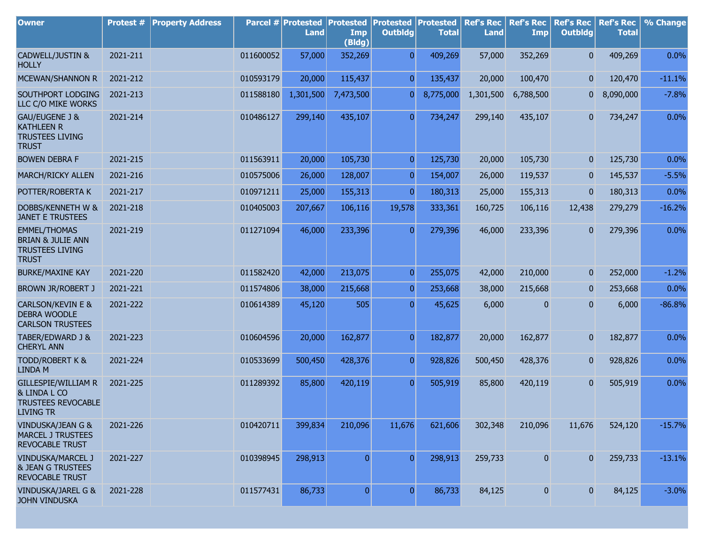| <b>Owner</b>                                                                                  | <b>Protest #</b> | <b>Property Address</b> |           | Parcel # Protested<br><b>Land</b> | <b>Protested</b><br>Imp<br>(Bldg) | <b>Protested</b><br><b>Outbldg</b> | Protested<br><b>Total</b> | <b>Ref's Rec</b><br><b>Land</b> | <b>Ref's Rec</b><br>Imp | <b>Ref's Rec</b><br><b>Outbldg</b> | <b>Ref's Rec</b><br><b>Total</b> | % Change |
|-----------------------------------------------------------------------------------------------|------------------|-------------------------|-----------|-----------------------------------|-----------------------------------|------------------------------------|---------------------------|---------------------------------|-------------------------|------------------------------------|----------------------------------|----------|
| CADWELL/JUSTIN &<br><b>HOLLY</b>                                                              | 2021-211         |                         | 011600052 | 57,000                            | 352,269                           | $\overline{0}$                     | 409,269                   | 57,000                          | 352,269                 | $\overline{0}$                     | 409,269                          | 0.0%     |
| MCEWAN/SHANNON R                                                                              | 2021-212         |                         | 010593179 | 20,000                            | 115,437                           | $\overline{0}$                     | 135,437                   | 20,000                          | 100,470                 | $\overline{0}$                     | 120,470                          | $-11.1%$ |
| SOUTHPORT LODGING<br>LLC C/O MIKE WORKS                                                       | 2021-213         |                         | 011588180 | 1,301,500                         | 7,473,500                         | 0                                  | 8,775,000                 | 1,301,500                       | 6,788,500               | 0                                  | 8,090,000                        | $-7.8%$  |
| GAU/EUGENE J &<br><b>KATHLEEN R</b><br><b>TRUSTEES LIVING</b><br><b>TRUST</b>                 | 2021-214         |                         | 010486127 | 299,140                           | 435,107                           | $\overline{0}$                     | 734,247                   | 299,140                         | 435,107                 | $\overline{0}$                     | 734,247                          | 0.0%     |
| <b>BOWEN DEBRA F</b>                                                                          | 2021-215         |                         | 011563911 | 20,000                            | 105,730                           | $\overline{0}$                     | 125,730                   | 20,000                          | 105,730                 | $\overline{0}$                     | 125,730                          | 0.0%     |
| MARCH/RICKY ALLEN                                                                             | 2021-216         |                         | 010575006 | 26,000                            | 128,007                           | $\overline{0}$                     | 154,007                   | 26,000                          | 119,537                 | $\overline{0}$                     | 145,537                          | $-5.5%$  |
| POTTER/ROBERTA K                                                                              | 2021-217         |                         | 010971211 | 25,000                            | 155,313                           | $\overline{0}$                     | 180,313                   | 25,000                          | 155,313                 | $\overline{0}$                     | 180,313                          | 0.0%     |
| DOBBS/KENNETH W &<br><b>JANET E TRUSTEES</b>                                                  | 2021-218         |                         | 010405003 | 207,667                           | 106,116                           | 19,578                             | 333,361                   | 160,725                         | 106,116                 | 12,438                             | 279,279                          | $-16.2%$ |
| <b>EMMEL/THOMAS</b><br><b>BRIAN &amp; JULIE ANN</b><br><b>TRUSTEES LIVING</b><br><b>TRUST</b> | 2021-219         |                         | 011271094 | 46,000                            | 233,396                           | $\overline{0}$                     | 279,396                   | 46,000                          | 233,396                 | $\mathbf{0}$                       | 279,396                          | 0.0%     |
| <b>BURKE/MAXINE KAY</b>                                                                       | 2021-220         |                         | 011582420 | 42,000                            | 213,075                           | $\overline{0}$                     | 255,075                   | 42,000                          | 210,000                 | $\mathbf{0}$                       | 252,000                          | $-1.2%$  |
| <b>BROWN JR/ROBERT J</b>                                                                      | 2021-221         |                         | 011574806 | 38,000                            | 215,668                           | $\overline{0}$                     | 253,668                   | 38,000                          | 215,668                 | $\mathbf{0}$                       | 253,668                          | 0.0%     |
| <b>CARLSON/KEVIN E &amp;</b><br><b>DEBRA WOODLE</b><br><b>CARLSON TRUSTEES</b>                | 2021-222         |                         | 010614389 | 45,120                            | 505                               | $\overline{0}$                     | 45,625                    | 6,000                           | 0                       | $\overline{0}$                     | 6,000                            | $-86.8%$ |
| TABER/EDWARD J &<br><b>CHERYL ANN</b>                                                         | 2021-223         |                         | 010604596 | 20,000                            | 162,877                           | $\overline{0}$                     | 182,877                   | 20,000                          | 162,877                 | $\overline{0}$                     | 182,877                          | 0.0%     |
| <b>TODD/ROBERT K &amp;</b><br><b>LINDA M</b>                                                  | 2021-224         |                         | 010533699 | 500,450                           | 428,376                           | $\overline{0}$                     | 928,826                   | 500,450                         | 428,376                 | $\mathbf{0}$                       | 928,826                          | 0.0%     |
| GILLESPIE/WILLIAM R<br>& LINDA L CO<br><b>TRUSTEES REVOCABLE</b><br>LIVING TR                 | 2021-225         |                         | 011289392 | 85,800                            | 420,119                           | $\overline{0}$                     | 505,919                   | 85,800                          | 420,119                 | $\overline{0}$                     | 505,919                          | 0.0%     |
| VINDUSKA/JEAN G &<br><b>MARCEL J TRUSTEES</b><br>REVOCABLE TRUST                              | 2021-226         |                         | 010420711 | 399,834                           | 210,096                           | 11,676                             | 621,606                   | 302,348                         | 210,096                 | 11,676                             | 524,120                          | $-15.7%$ |
| VINDUSKA/MARCEL J<br><b>&amp; JEAN G TRUSTEES</b><br>REVOCABLE TRUST                          | 2021-227         |                         | 010398945 | 298,913                           | $\overline{0}$                    | $\overline{0}$                     | 298,913                   | 259,733                         | $\boldsymbol{0}$        | $\overline{0}$                     | 259,733                          | $-13.1%$ |
| VINDUSKA/JAREL G &<br><b>JOHN VINDUSKA</b>                                                    | 2021-228         |                         | 011577431 | 86,733                            | $\overline{0}$                    | $\overline{0}$                     | 86,733                    | 84,125                          | $\pmb{0}$               | $\overline{0}$                     | 84,125                           | $-3.0%$  |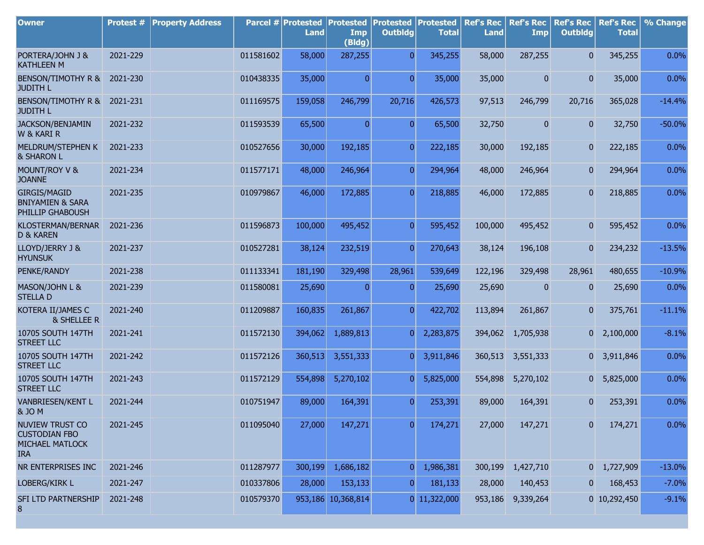| <b>Owner</b>                                                             | Protest # | <b>Property Address</b> |           | Parcel # Protested<br><b>Land</b> | <b>Protested</b><br>Imp<br>(Bldg) | <b>Protested Protested</b><br><b>Outbldg</b> | <b>Total</b>   | <b>Ref's Rec</b><br><b>Land</b> | <b>Ref's Rec</b><br><b>Imp</b> | <b>Ref's Rec</b><br><b>Outbldg</b> | <b>Ref's Rec</b><br><b>Total</b> | % Change |
|--------------------------------------------------------------------------|-----------|-------------------------|-----------|-----------------------------------|-----------------------------------|----------------------------------------------|----------------|---------------------------------|--------------------------------|------------------------------------|----------------------------------|----------|
| PORTERA/JOHN J &<br><b>KATHLEEN M</b>                                    | 2021-229  |                         | 011581602 | 58,000                            | 287,255                           | $\Omega$                                     | 345,255        | 58,000                          | 287,255                        | $\overline{0}$                     | 345,255                          | 0.0%     |
| BENSON/TIMOTHY R &<br><b>JUDITH L</b>                                    | 2021-230  |                         | 010438335 | 35,000                            | $\overline{0}$                    | $\overline{0}$                               | 35,000         | 35,000                          | $\mathbf{0}$                   | $\overline{0}$                     | 35,000                           | 0.0%     |
| BENSON/TIMOTHY R & 2021-231<br><b>JUDITH L</b>                           |           |                         | 011169575 | 159,058                           | 246,799                           | 20,716                                       | 426,573        | 97,513                          | 246,799                        | 20,716                             | 365,028                          | $-14.4%$ |
| JACKSON/BENJAMIN<br>W & KARI R                                           | 2021-232  |                         | 011593539 | 65,500                            | $\overline{0}$                    | $\overline{0}$                               | 65,500         | 32,750                          | $\overline{0}$                 | $\overline{0}$                     | 32,750                           | $-50.0%$ |
| MELDRUM/STEPHEN K<br><b>&amp; SHARON L</b>                               | 2021-233  |                         | 010527656 | 30,000                            | 192,185                           | $\overline{0}$                               | 222,185        | 30,000                          | 192,185                        | $\overline{0}$                     | 222,185                          | 0.0%     |
| MOUNT/ROY V &<br><b>JOANNE</b>                                           | 2021-234  |                         | 011577171 | 48,000                            | 246,964                           | $\overline{0}$                               | 294,964        | 48,000                          | 246,964                        | $\overline{0}$                     | 294,964                          | 0.0%     |
| <b>GIRGIS/MAGID</b><br><b>BNIYAMIEN &amp; SARA</b><br>PHILLIP GHABOUSH   | 2021-235  |                         | 010979867 | 46,000                            | 172,885                           | $\overline{0}$                               | 218,885        | 46,000                          | 172,885                        | $\overline{0}$                     | 218,885                          | 0.0%     |
| KLOSTERMAN/BERNAR<br><b>D &amp; KAREN</b>                                | 2021-236  |                         | 011596873 | 100,000                           | 495,452                           | $\overline{0}$                               | 595,452        | 100,000                         | 495,452                        | $\overline{0}$                     | 595,452                          | 0.0%     |
| LLOYD/JERRY J &<br><b>HYUNSUK</b>                                        | 2021-237  |                         | 010527281 | 38,124                            | 232,519                           | $\overline{0}$                               | 270,643        | 38,124                          | 196,108                        | $\overline{0}$                     | 234,232                          | $-13.5%$ |
| PENKE/RANDY                                                              | 2021-238  |                         | 011133341 | 181,190                           | 329,498                           | 28,961                                       | 539,649        | 122,196                         | 329,498                        | 28,961                             | 480,655                          | $-10.9%$ |
| MASON/JOHN L &<br><b>STELLAD</b>                                         | 2021-239  |                         | 011580081 | 25,690                            | $\Omega$                          | $\vert 0 \vert$                              | 25,690         | 25,690                          | $\overline{0}$                 | $\overline{0}$                     | 25,690                           | 0.0%     |
| KOTERA II/JAMES C<br><b>&amp; SHELLEE R</b>                              | 2021-240  |                         | 011209887 | 160,835                           | 261,867                           | $\overline{0}$                               | 422,702        | 113,894                         | 261,867                        | $\overline{0}$                     | 375,761                          | $-11.1%$ |
| 10705 SOUTH 147TH<br><b>STREET LLC</b>                                   | 2021-241  |                         | 011572130 | 394,062                           | 1,889,813                         | $\overline{0}$                               | 2,283,875      |                                 | 394,062 1,705,938              |                                    | $0\quad 2,100,000$               | $-8.1%$  |
| 10705 SOUTH 147TH<br><b>STREET LLC</b>                                   | 2021-242  |                         | 011572126 | 360,513                           | 3,551,333                         | $\overline{0}$                               | 3,911,846      | 360,513                         | 3,551,333                      |                                    | 0 3,911,846                      | 0.0%     |
| 10705 SOUTH 147TH<br><b>STREET LLC</b>                                   | 2021-243  |                         | 011572129 | 554,898                           | 5,270,102                         | $\overline{0}$                               | 5,825,000      | 554,898                         | 5,270,102                      | 0                                  | 5,825,000                        | 0.0%     |
| VANBRIESEN/KENT L<br>& JO M                                              | 2021-244  |                         | 010751947 | 89,000                            | 164,391                           | $\overline{0}$                               | 253,391        | 89,000                          | 164,391                        | $\mathbf{0}$                       | 253,391                          | 0.0%     |
| NUVIEW TRUST CO<br><b>CUSTODIAN FBO</b><br>MICHAEL MATLOCK<br><b>IRA</b> | 2021-245  |                         | 011095040 | 27,000                            | 147,271                           | $\mathbf{0}$                                 | 174,271        | 27,000                          | 147,271                        | $\overline{0}$                     | 174,271                          | 0.0%     |
| NR ENTERPRISES INC                                                       | 2021-246  |                         | 011287977 | 300,199                           | 1,686,182                         | $\mathbf{0}$                                 | 1,986,381      | 300,199                         | 1,427,710                      |                                    | $0$ 1,727,909                    | $-13.0%$ |
| LOBERG/KIRK L                                                            | 2021-247  |                         | 010337806 | 28,000                            | 153,133                           | $\mathbf{0}$                                 | 181,133        | 28,000                          | 140,453                        |                                    | 168,453                          | $-7.0%$  |
| SFI LTD PARTNERSHIP<br>8                                                 | 2021-248  |                         | 010579370 |                                   | 953,186 10,368,814                |                                              | $0$ 11,322,000 | 953,186                         | 9,339,264                      |                                    | 0 10,292,450                     | $-9.1%$  |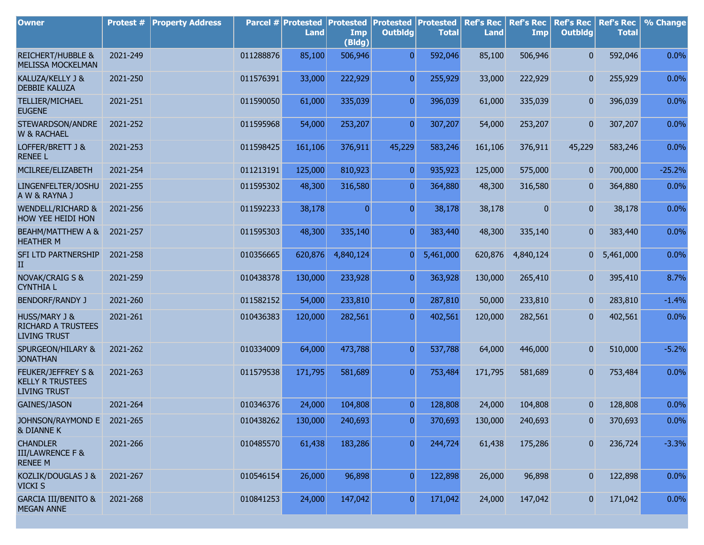| <b>Owner</b>                                                                 | Protest # | <b>Property Address</b> |           | Parcel # Protested<br><b>Land</b> | <b>Protested</b><br>Imp<br>(Bldg) | <b>Protested</b><br><b>Outbldg</b> | Protested<br><b>Total</b> | <b>Ref's Rec</b><br><b>Land</b> | <b>Ref's Rec</b><br><b>Imp</b> | <b>Ref's Rec</b><br><b>Outbldg</b> | <b>Ref's Rec</b><br><b>Total</b> | % Change |
|------------------------------------------------------------------------------|-----------|-------------------------|-----------|-----------------------------------|-----------------------------------|------------------------------------|---------------------------|---------------------------------|--------------------------------|------------------------------------|----------------------------------|----------|
| <b>REICHERT/HUBBLE &amp;</b><br>MELISSA MOCKELMAN                            | 2021-249  |                         | 011288876 | 85,100                            | 506,946                           | $\overline{0}$                     | 592,046                   | 85,100                          | 506,946                        | 0                                  | 592,046                          | 0.0%     |
| KALUZA/KELLY J &<br><b>DEBBIE KALUZA</b>                                     | 2021-250  |                         | 011576391 | 33,000                            | 222,929                           | $\overline{0}$                     | 255,929                   | 33,000                          | 222,929                        | $\mathbf{0}$                       | 255,929                          | 0.0%     |
| TELLIER/MICHAEL<br><b>EUGENE</b>                                             | 2021-251  |                         | 011590050 | 61,000                            | 335,039                           | $\overline{0}$                     | 396,039                   | 61,000                          | 335,039                        | $\overline{0}$                     | 396,039                          | 0.0%     |
| STEWARDSON/ANDRE<br><b>W &amp; RACHAEL</b>                                   | 2021-252  |                         | 011595968 | 54,000                            | 253,207                           | $\overline{0}$                     | 307,207                   | 54,000                          | 253,207                        | 0                                  | 307,207                          | 0.0%     |
| LOFFER/BRETT J &<br><b>RENEE L</b>                                           | 2021-253  |                         | 011598425 | 161,106                           | 376,911                           | 45,229                             | 583,246                   | 161,106                         | 376,911                        | 45,229                             | 583,246                          | 0.0%     |
| MCILREE/ELIZABETH                                                            | 2021-254  |                         | 011213191 | 125,000                           | 810,923                           | $\overline{0}$                     | 935,923                   | 125,000                         | 575,000                        | $\overline{0}$                     | 700,000                          | $-25.2%$ |
| LINGENFELTER/JOSHU<br>A W & RAYNA J                                          | 2021-255  |                         | 011595302 | 48,300                            | 316,580                           | $\overline{0}$                     | 364,880                   | 48,300                          | 316,580                        | $\mathbf{0}$                       | 364,880                          | 0.0%     |
| <b>WENDELL/RICHARD &amp;</b><br>HOW YEE HEIDI HON                            | 2021-256  |                         | 011592233 | 38,178                            | $\overline{0}$                    | $\overline{0}$                     | 38,178                    | 38,178                          | 0                              | $\overline{0}$                     | 38,178                           | 0.0%     |
| BEAHM/MATTHEW A &<br><b>HEATHER M</b>                                        | 2021-257  |                         | 011595303 | 48,300                            | 335,140                           | $\overline{0}$                     | 383,440                   | 48,300                          | 335,140                        | 0                                  | 383,440                          | 0.0%     |
| SFI LTD PARTNERSHIP<br>$_{\rm II}$                                           | 2021-258  |                         | 010356665 | 620,876                           | 4,840,124                         | $\overline{0}$                     | 5,461,000                 | 620,876                         | 4,840,124                      | 0                                  | 5,461,000                        | 0.0%     |
| <b>NOVAK/CRAIG S &amp;</b><br><b>CYNTHIA L</b>                               | 2021-259  |                         | 010438378 | 130,000                           | 233,928                           | $\overline{0}$                     | 363,928                   | 130,000                         | 265,410                        | 0                                  | 395,410                          | 8.7%     |
| <b>BENDORF/RANDY J</b>                                                       | 2021-260  |                         | 011582152 | 54,000                            | 233,810                           | $\overline{0}$                     | 287,810                   | 50,000                          | 233,810                        | $\mathbf{0}$                       | 283,810                          | $-1.4%$  |
| <b>HUSS/MARY J &amp;</b><br><b>RICHARD A TRUSTEES</b><br><b>LIVING TRUST</b> | 2021-261  |                         | 010436383 | 120,000                           | 282,561                           | $\overline{0}$                     | 402,561                   | 120,000                         | 282,561                        | 0                                  | 402,561                          | $0.0\%$  |
| SPURGEON/HILARY &<br><b>JONATHAN</b>                                         | 2021-262  |                         | 010334009 | 64,000                            | 473,788                           | $\overline{0}$                     | 537,788                   | 64,000                          | 446,000                        | 0                                  | 510,000                          | $-5.2%$  |
| FEUKER/JEFFREY S &<br><b>KELLY R TRUSTEES</b><br><b>LIVING TRUST</b>         | 2021-263  |                         | 011579538 | 171,795                           | 581,689                           | $\overline{0}$                     | 753,484                   | 171,795                         | 581,689                        | 0                                  | 753,484                          | 0.0%     |
| <b>GAINES/JASON</b>                                                          | 2021-264  |                         | 010346376 | 24,000                            | 104,808                           | $\overline{0}$                     | 128,808                   | 24,000                          | 104,808                        | 0                                  | 128,808                          | 0.0%     |
| JOHNSON/RAYMOND E 2021-265<br><b>&amp; DIANNE K</b>                          |           |                         | 010438262 | 130,000                           | 240,693                           | $\boldsymbol{0}$                   | 370,693                   | 130,000                         | 240,693                        | 0                                  | 370,693                          | 0.0%     |
| <b>CHANDLER</b><br><b>III/LAWRENCE F &amp;</b><br><b>RENEE M</b>             | 2021-266  |                         | 010485570 | 61,438                            | 183,286                           | $\overline{0}$                     | 244,724                   | 61,438                          | 175,286                        | 0                                  | 236,724                          | $-3.3%$  |
| KOZLIK/DOUGLAS J &<br><b>VICKI S</b>                                         | 2021-267  |                         | 010546154 | 26,000                            | 96,898                            | $\overline{0}$                     | 122,898                   | 26,000                          | 96,898                         | 0                                  | 122,898                          | 0.0%     |
| <b>GARCIA III/BENITO &amp;</b><br><b>MEGAN ANNE</b>                          | 2021-268  |                         | 010841253 | 24,000                            | 147,042                           | 0                                  | 171,042                   | 24,000                          | 147,042                        | $\mathbf{0}$                       | 171,042                          | 0.0%     |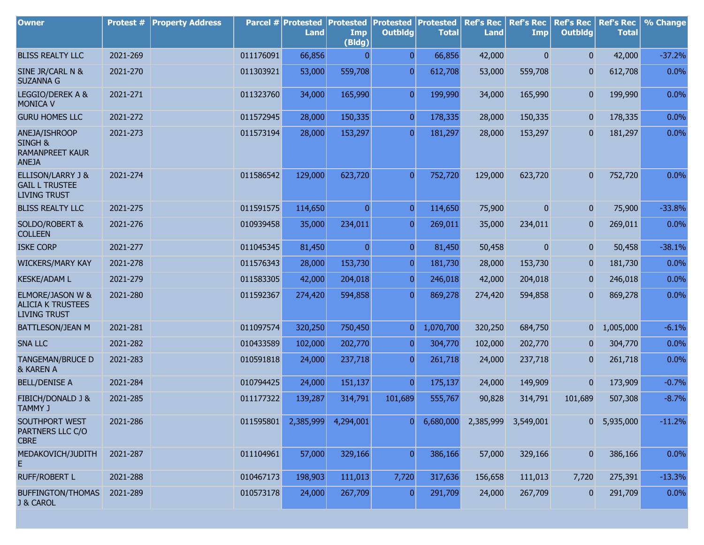| <b>Owner</b>                                                                  | Protest # | <b>Property Address</b> |           | Parcel # Protested<br><b>Land</b> | Protested<br>Imp<br>(Bldg) | <b>Protested</b><br><b>Outbldg</b> | Protested<br><b>Total</b> | <b>Ref's Rec</b><br><b>Land</b> | <b>Ref's Rec</b><br><b>Imp</b> | <b>Ref's Rec</b><br><b>Outbldg</b> | <b>Ref's Rec</b><br><b>Total</b> | % Change |
|-------------------------------------------------------------------------------|-----------|-------------------------|-----------|-----------------------------------|----------------------------|------------------------------------|---------------------------|---------------------------------|--------------------------------|------------------------------------|----------------------------------|----------|
| <b>BLISS REALTY LLC</b>                                                       | 2021-269  |                         | 011176091 | 66,856                            | 0                          | $\overline{0}$                     | 66,856                    | 42,000                          | $\mathbf{0}$                   | $\overline{0}$                     | 42,000                           | $-37.2%$ |
| SINE JR/CARL N &<br><b>SUZANNA G</b>                                          | 2021-270  |                         | 011303921 | 53,000                            | 559,708                    | $\overline{0}$                     | 612,708                   | 53,000                          | 559,708                        | 0                                  | 612,708                          | 0.0%     |
| LEGGIO/DEREK A &<br><b>MONICA V</b>                                           | 2021-271  |                         | 011323760 | 34,000                            | 165,990                    | $\overline{0}$                     | 199,990                   | 34,000                          | 165,990                        | 0                                  | 199,990                          | 0.0%     |
| <b>GURU HOMES LLC</b>                                                         | 2021-272  |                         | 011572945 | 28,000                            | 150,335                    | $\overline{0}$                     | 178,335                   | 28,000                          | 150,335                        | $\overline{0}$                     | 178,335                          | 0.0%     |
| ANEJA/ISHROOP<br><b>SINGH &amp;</b><br><b>RAMANPREET KAUR</b><br><b>ANEJA</b> | 2021-273  |                         | 011573194 | 28,000                            | 153,297                    | $\overline{0}$                     | 181,297                   | 28,000                          | 153,297                        | $\mathbf{0}$                       | 181,297                          | 0.0%     |
| <b>ELLISON/LARRY J &amp;</b><br><b>GAIL L TRUSTEE</b><br><b>LIVING TRUST</b>  | 2021-274  |                         | 011586542 | 129,000                           | 623,720                    | $\overline{0}$                     | 752,720                   | 129,000                         | 623,720                        | $\overline{0}$                     | 752,720                          | 0.0%     |
| <b>BLISS REALTY LLC</b>                                                       | 2021-275  |                         | 011591575 | 114,650                           | $\overline{0}$             | $\overline{0}$                     | 114,650                   | 75,900                          | $\overline{0}$                 | $\mathbf{0}$                       | 75,900                           | $-33.8%$ |
| <b>SOLDO/ROBERT &amp;</b><br><b>COLLEEN</b>                                   | 2021-276  |                         | 010939458 | 35,000                            | 234,011                    | $\overline{0}$                     | 269,011                   | 35,000                          | 234,011                        | 0                                  | 269,011                          | 0.0%     |
| <b>ISKE CORP</b>                                                              | 2021-277  |                         | 011045345 | 81,450                            | $\overline{0}$             | $\overline{0}$                     | 81,450                    | 50,458                          | 0                              | $\mathbf{0}$                       | 50,458                           | $-38.1%$ |
| <b>WICKERS/MARY KAY</b>                                                       | 2021-278  |                         | 011576343 | 28,000                            | 153,730                    | $\overline{0}$                     | 181,730                   | 28,000                          | 153,730                        | 0                                  | 181,730                          | 0.0%     |
| <b>KESKE/ADAM L</b>                                                           | 2021-279  |                         | 011583305 | 42,000                            | 204,018                    | $\overline{0}$                     | 246,018                   | 42,000                          | 204,018                        | $\mathbf{0}$                       | 246,018                          | 0.0%     |
| ELMORE/JASON W &<br><b>ALICIA K TRUSTEES</b><br><b>LIVING TRUST</b>           | 2021-280  |                         | 011592367 | 274,420                           | 594,858                    | $\overline{0}$                     | 869,278                   | 274,420                         | 594,858                        | 0                                  | 869,278                          | 0.0%     |
| BATTLESON/JEAN M                                                              | 2021-281  |                         | 011097574 | 320,250                           | 750,450                    | $\overline{0}$                     | 1,070,700                 | 320,250                         | 684,750                        | 0                                  | 1,005,000                        | $-6.1%$  |
| <b>SNA LLC</b>                                                                | 2021-282  |                         | 010433589 | 102,000                           | 202,770                    | $\overline{0}$                     | 304,770                   | 102,000                         | 202,770                        | 0                                  | 304,770                          | 0.0%     |
| <b>TANGEMAN/BRUCE D</b><br>& KAREN A                                          | 2021-283  |                         | 010591818 | 24,000                            | 237,718                    | $\overline{0}$                     | 261,718                   | 24,000                          | 237,718                        | 0                                  | 261,718                          | 0.0%     |
| <b>BELL/DENISE A</b>                                                          | 2021-284  |                         | 010794425 | 24,000                            | 151,137                    | $\overline{0}$                     | 175,137                   | 24,000                          | 149,909                        | $\mathbf{0}$                       | 173,909                          | $-0.7%$  |
| FIBICH/DONALD J &<br>TAMMY J                                                  | 2021-285  |                         | 011177322 | 139,287                           | 314,791                    | 101,689                            | 555,767                   | 90,828                          | 314,791                        | 101,689                            | 507,308                          | $-8.7%$  |
| SOUTHPORT WEST<br>PARTNERS LLC C/O<br><b>CBRE</b>                             | 2021-286  |                         | 011595801 | 2,385,999                         | 4,294,001                  | $\overline{0}$                     | 6,680,000                 |                                 | 2,385,999 3,549,001            | 0                                  | 5,935,000                        | $-11.2%$ |
| MEDAKOVICH/JUDITH<br>E                                                        | 2021-287  |                         | 011104961 | 57,000                            | 329,166                    | $\overline{0}$                     | 386,166                   | 57,000                          | 329,166                        | $\mathbf{0}$                       | 386,166                          | 0.0%     |
| <b>RUFF/ROBERT L</b>                                                          | 2021-288  |                         | 010467173 | 198,903                           | 111,013                    | 7,720                              | 317,636                   | 156,658                         | 111,013                        | 7,720                              | 275,391                          | $-13.3%$ |
| <b>BUFFINGTON/THOMAS</b><br>J & CAROL                                         | 2021-289  |                         | 010573178 | 24,000                            | 267,709                    | 0                                  | 291,709                   | 24,000                          | 267,709                        | 0                                  | 291,709                          | 0.0%     |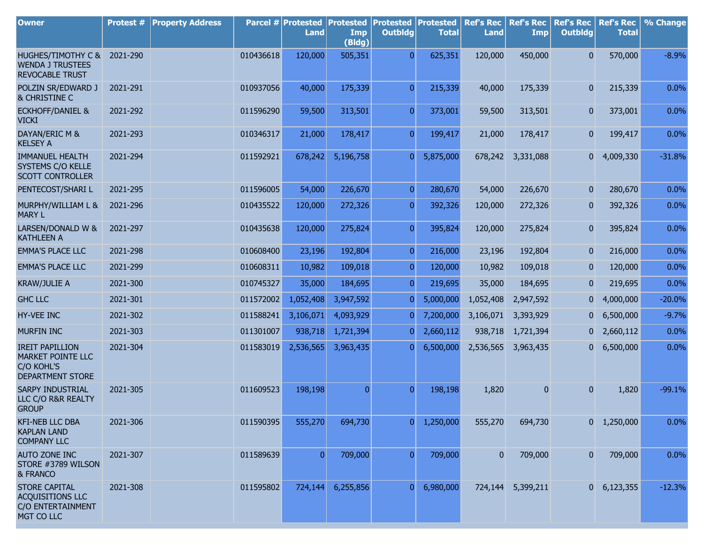| <b>Owner</b>                                                                         | Protest # | <b>Property Address</b> |           | Parcel # Protested<br><b>Land</b> | <b>Protested</b><br>Imp<br>(Bldg) | Protested<br><b>Outbldg</b> | Protested<br><b>Total</b> | <b>Ref's Rec</b><br><b>Land</b> | <b>Ref's Rec</b><br>Imp | <b>Ref's Rec</b><br><b>Outbldg</b> | <b>Ref's Rec</b><br><b>Total</b> | % Change |
|--------------------------------------------------------------------------------------|-----------|-------------------------|-----------|-----------------------------------|-----------------------------------|-----------------------------|---------------------------|---------------------------------|-------------------------|------------------------------------|----------------------------------|----------|
| HUGHES/TIMOTHY C & 2021-290<br><b>WENDA J TRUSTEES</b><br><b>REVOCABLE TRUST</b>     |           |                         | 010436618 | 120,000                           | 505,351                           | $\overline{0}$              | 625,351                   | 120,000                         | 450,000                 | $\overline{0}$                     | 570,000                          | $-8.9%$  |
| POLZIN SR/EDWARD J<br>& CHRISTINE C                                                  | 2021-291  |                         | 010937056 | 40,000                            | 175,339                           | $\overline{0}$              | 215,339                   | 40,000                          | 175,339                 | $\mathbf{0}$                       | 215,339                          | 0.0%     |
| <b>ECKHOFF/DANIEL &amp;</b><br><b>VICKI</b>                                          | 2021-292  |                         | 011596290 | 59,500                            | 313,501                           | $\overline{0}$              | 373,001                   | 59,500                          | 313,501                 | $\mathbf{0}$                       | 373,001                          | 0.0%     |
| DAYAN/ERIC M &<br><b>KELSEY A</b>                                                    | 2021-293  |                         | 010346317 | 21,000                            | 178,417                           | $\overline{0}$              | 199,417                   | 21,000                          | 178,417                 | $\mathbf{0}$                       | 199,417                          | 0.0%     |
| <b>IMMANUEL HEALTH</b><br>SYSTEMS C/O KELLE<br><b>SCOTT CONTROLLER</b>               | 2021-294  |                         | 011592921 | 678,242                           | 5,196,758                         | $\overline{0}$              | 5,875,000                 | 678,242                         | 3,331,088               | $\overline{0}$                     | 4,009,330                        | $-31.8%$ |
| PENTECOST/SHARI L                                                                    | 2021-295  |                         | 011596005 | 54,000                            | 226,670                           | $\overline{0}$              | 280,670                   | 54,000                          | 226,670                 | $\mathbf{0}$                       | 280,670                          | 0.0%     |
| MURPHY/WILLIAM L &<br><b>MARY L</b>                                                  | 2021-296  |                         | 010435522 | 120,000                           | 272,326                           | $\overline{0}$              | 392,326                   | 120,000                         | 272,326                 | $\overline{0}$                     | 392,326                          | 0.0%     |
| LARSEN/DONALD W &<br><b>KATHLEEN A</b>                                               | 2021-297  |                         | 010435638 | 120,000                           | 275,824                           | $\overline{0}$              | 395,824                   | 120,000                         | 275,824                 | $\mathbf{0}$                       | 395,824                          | 0.0%     |
| <b>EMMA'S PLACE LLC</b>                                                              | 2021-298  |                         | 010608400 | 23,196                            | 192,804                           | $\overline{0}$              | 216,000                   | 23,196                          | 192,804                 | $\mathbf{0}$                       | 216,000                          | 0.0%     |
| <b>EMMA'S PLACE LLC</b>                                                              | 2021-299  |                         | 010608311 | 10,982                            | 109,018                           | $\overline{0}$              | 120,000                   | 10,982                          | 109,018                 | $\mathbf{0}$                       | 120,000                          | 0.0%     |
| <b>KRAW/JULIE A</b>                                                                  | 2021-300  |                         | 010745327 | 35,000                            | 184,695                           | $\overline{0}$              | 219,695                   | 35,000                          | 184,695                 | $\boldsymbol{0}$                   | 219,695                          | 0.0%     |
| <b>GHC LLC</b>                                                                       | 2021-301  |                         | 011572002 | 1,052,408                         | 3,947,592                         | $\overline{0}$              | 5,000,000                 | 1,052,408                       | 2,947,592               | $\overline{0}$                     | 4,000,000                        | $-20.0%$ |
| HY-VEE INC                                                                           | 2021-302  |                         | 011588241 | 3,106,071                         | 4,093,929                         | $\overline{0}$              | 7,200,000                 | 3,106,071                       | 3,393,929               | $\mathbf{0}$                       | 6,500,000                        | $-9.7%$  |
| <b>MURFIN INC</b>                                                                    | 2021-303  |                         | 011301007 | 938,718                           | 1,721,394                         | $\overline{0}$              | 2,660,112                 | 938,718                         | 1,721,394               | 0                                  | 2,660,112                        | 0.0%     |
| <b>IREIT PAPILLION</b><br>MARKET POINTE LLC<br>C/O KOHL'S<br><b>DEPARTMENT STORE</b> | 2021-304  |                         | 011583019 | 2,536,565                         | 3,963,435                         | $\overline{0}$              | 6,500,000                 | 2,536,565                       | 3,963,435               | $\overline{0}$                     | 6,500,000                        | 0.0%     |
| <b>SARPY INDUSTRIAL</b><br>LLC C/O R&R REALTY<br><b>GROUP</b>                        | 2021-305  |                         | 011609523 | 198,198                           | $\overline{0}$                    | $\overline{0}$              | 198,198                   | 1,820                           | $\mathbf{0}$            | $\overline{0}$                     | 1,820                            | $-99.1%$ |
| <b>KFI-NEB LLC DBA</b><br><b>KAPLAN LAND</b><br><b>COMPANY LLC</b>                   | 2021-306  |                         | 011590395 | 555,270                           | 694,730                           | 0                           | 1,250,000                 | 555,270                         | 694,730                 |                                    | $0\quad 1,250,000$               | 0.0%     |
| <b>AUTO ZONE INC</b><br>STORE #3789 WILSON<br>& FRANCO                               | 2021-307  |                         | 011589639 | $\overline{0}$                    | 709,000                           | $\overline{0}$              | 709,000                   | $\overline{0}$                  | 709,000                 | $\mathbf{0}$                       | 709,000                          | 0.0%     |
| <b>STORE CAPITAL</b><br><b>ACQUISITIONS LLC</b><br>C/O ENTERTAINMENT<br>MGT CO LLC   | 2021-308  |                         | 011595802 | 724,144                           | 6,255,856                         | $\overline{0}$              | 6,980,000                 |                                 | 724,144 5,399,211       |                                    | $0\quad 6,123,355$               | $-12.3%$ |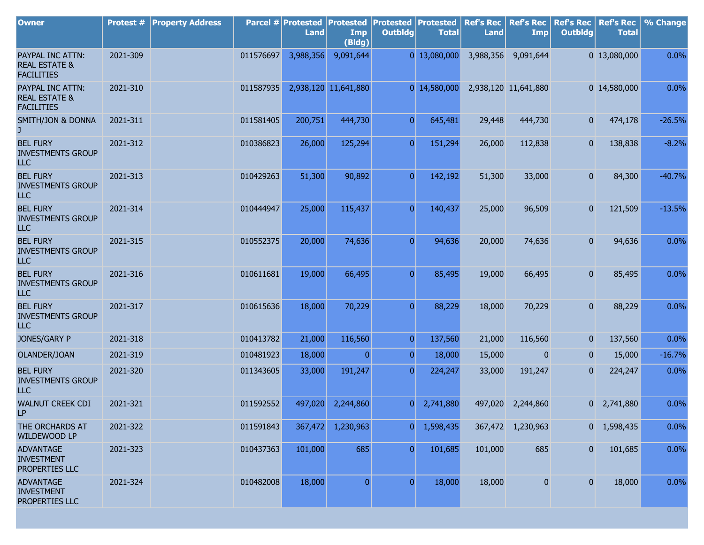| <b>Owner</b>                                                      | <b>Protest #</b> | <b>Property Address</b> |           | Parcel # Protested<br><b>Land</b> | <b>Protested</b><br>Imp<br>(Bldg) | <b>Protested</b><br><b>Outbldg</b> | Protested<br><b>Total</b> | <b>Ref's Rec</b><br><b>Land</b> | <b>Ref's Rec</b><br><b>Imp</b> | <b>Ref's Rec</b><br><b>Outbldg</b> | <b>Ref's Rec</b><br><b>Total</b> | % Change |
|-------------------------------------------------------------------|------------------|-------------------------|-----------|-----------------------------------|-----------------------------------|------------------------------------|---------------------------|---------------------------------|--------------------------------|------------------------------------|----------------------------------|----------|
| PAYPAL INC ATTN:<br><b>REAL ESTATE &amp;</b><br><b>FACILITIES</b> | 2021-309         |                         | 011576697 | 3,988,356                         | 9,091,644                         |                                    | 0 13,080,000              | 3,988,356                       | 9,091,644                      |                                    | 0 13,080,000                     | 0.0%     |
| PAYPAL INC ATTN:<br><b>REAL ESTATE &amp;</b><br><b>FACILITIES</b> | 2021-310         |                         | 011587935 |                                   | 2,938,120 11,641,880              |                                    | 0 14,580,000              |                                 | 2,938,120 11,641,880           |                                    | 0 14,580,000                     | 0.0%     |
| SMITH/JON & DONNA<br>J.                                           | 2021-311         |                         | 011581405 | 200,751                           | 444,730                           | $\overline{0}$                     | 645,481                   | 29,448                          | 444,730                        | $\mathbf{0}$                       | 474,178                          | $-26.5%$ |
| <b>BEL FURY</b><br><b>INVESTMENTS GROUP</b><br><b>LLC</b>         | 2021-312         |                         | 010386823 | 26,000                            | 125,294                           | $\overline{0}$                     | 151,294                   | 26,000                          | 112,838                        | $\overline{0}$                     | 138,838                          | $-8.2%$  |
| <b>BEL FURY</b><br><b>INVESTMENTS GROUP</b><br>LLC                | 2021-313         |                         | 010429263 | 51,300                            | 90,892                            | $\overline{0}$                     | 142,192                   | 51,300                          | 33,000                         | $\mathbf{0}$                       | 84,300                           | $-40.7%$ |
| <b>BEL FURY</b><br><b>INVESTMENTS GROUP</b><br><b>LLC</b>         | 2021-314         |                         | 010444947 | 25,000                            | 115,437                           | $\overline{0}$                     | 140,437                   | 25,000                          | 96,509                         | $\mathbf{0}$                       | 121,509                          | $-13.5%$ |
| <b>BEL FURY</b><br><b>INVESTMENTS GROUP</b><br>LLC                | 2021-315         |                         | 010552375 | 20,000                            | 74,636                            | $\overline{0}$                     | 94,636                    | 20,000                          | 74,636                         | $\mathbf{0}$                       | 94,636                           | 0.0%     |
| <b>BEL FURY</b><br><b>INVESTMENTS GROUP</b><br><b>LLC</b>         | 2021-316         |                         | 010611681 | 19,000                            | 66,495                            | $\overline{0}$                     | 85,495                    | 19,000                          | 66,495                         | $\mathbf{0}$                       | 85,495                           | 0.0%     |
| <b>BEL FURY</b><br><b>INVESTMENTS GROUP</b><br>ILC                | 2021-317         |                         | 010615636 | 18,000                            | 70,229                            | $\overline{0}$                     | 88,229                    | 18,000                          | 70,229                         | $\mathbf{0}$                       | 88,229                           | 0.0%     |
| JONES/GARY P                                                      | 2021-318         |                         | 010413782 | 21,000                            | 116,560                           | $\mathbf{0}$                       | 137,560                   | 21,000                          | 116,560                        | $\mathbf{0}$                       | 137,560                          | 0.0%     |
| OLANDER/JOAN                                                      | 2021-319         |                         | 010481923 | 18,000                            | $\overline{0}$                    | 0                                  | 18,000                    | 15,000                          | $\mathbf{0}$                   | $\mathbf{0}$                       | 15,000                           | $-16.7%$ |
| <b>BEL FURY</b><br><b>INVESTMENTS GROUP</b><br>ILC                | 2021-320         |                         | 011343605 | 33,000                            | 191,247                           | 0                                  | 224,247                   | 33,000                          | 191,247                        | $\overline{0}$                     | 224,247                          | 0.0%     |
| <b>WALNUT CREEK CDI</b><br>LP.                                    | 2021-321         |                         | 011592552 | 497,020                           | 2,244,860                         | $\overline{0}$                     | 2,741,880                 |                                 | 497,020 2,244,860              |                                    | $0\quad 2,741,880$               | 0.0%     |
| THE ORCHARDS AT<br>WILDEWOOD LP                                   | 2021-322         |                         | 011591843 | 367,472                           | 1,230,963                         | $\overline{0}$                     | 1,598,435                 |                                 | 367,472 1,230,963              |                                    | 0 1,598,435                      | 0.0%     |
| <b>ADVANTAGE</b><br><b>INVESTMENT</b><br>PROPERTIES LLC           | 2021-323         |                         | 010437363 | 101,000                           | 685                               | $\overline{0}$                     | 101,685                   | 101,000                         | 685                            | $\boldsymbol{0}$                   | 101,685                          | 0.0%     |
| <b>ADVANTAGE</b><br><b>INVESTMENT</b><br>PROPERTIES LLC           | 2021-324         |                         | 010482008 | 18,000                            | $\overline{0}$                    | $\overline{0}$                     | 18,000                    | 18,000                          | $\overline{0}$                 | $\overline{0}$                     | 18,000                           | 0.0%     |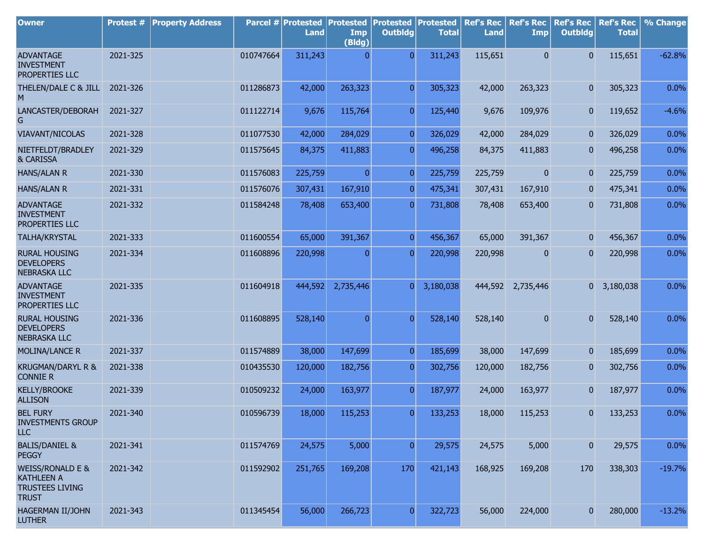| <b>Owner</b>                                                                               | <b>Protest #</b> | <b>Property Address</b> |           | Parcel # Protested<br><b>Land</b> | Protested<br><b>Imp</b><br>(Bldg) | <b>Protested</b><br><b>Outbldg</b> | <b>Protested</b><br><b>Total</b> | <b>Ref's Rec</b><br><b>Land</b> | <b>Ref's Rec</b><br><b>Imp</b> | <b>Ref's Rec</b><br><b>Outbldg</b> | <b>Ref's Rec</b><br><b>Total</b> | % Change |
|--------------------------------------------------------------------------------------------|------------------|-------------------------|-----------|-----------------------------------|-----------------------------------|------------------------------------|----------------------------------|---------------------------------|--------------------------------|------------------------------------|----------------------------------|----------|
| <b>ADVANTAGE</b>                                                                           | 2021-325         |                         | 010747664 | 311,243                           | 0                                 | $\Omega$                           | 311,243                          | 115,651                         | $\mathbf{0}$                   | $\mathbf{0}$                       | 115,651                          | $-62.8%$ |
| <b>INVESTMENT</b><br>PROPERTIES LLC                                                        |                  |                         |           |                                   |                                   |                                    |                                  |                                 |                                |                                    |                                  |          |
| THELEN/DALE C & JILL<br>M                                                                  | 2021-326         |                         | 011286873 | 42,000                            | 263,323                           | $\overline{0}$                     | 305,323                          | 42,000                          | 263,323                        | $\overline{0}$                     | 305,323                          | 0.0%     |
| LANCASTER/DEBORAH<br>G                                                                     | 2021-327         |                         | 011122714 | 9,676                             | 115,764                           | $\overline{0}$                     | 125,440                          | 9,676                           | 109,976                        | $\overline{0}$                     | 119,652                          | $-4.6%$  |
| <b>VIAVANT/NICOLAS</b>                                                                     | 2021-328         |                         | 011077530 | 42,000                            | 284,029                           | 0                                  | 326,029                          | 42,000                          | 284,029                        | $\overline{0}$                     | 326,029                          | 0.0%     |
| NIETFELDT/BRADLEY<br>& CARISSA                                                             | 2021-329         |                         | 011575645 | 84,375                            | 411,883                           | $\overline{0}$                     | 496,258                          | 84,375                          | 411,883                        | $\mathbf{0}$                       | 496,258                          | 0.0%     |
| <b>HANS/ALAN R</b>                                                                         | 2021-330         |                         | 011576083 | 225,759                           | $\overline{0}$                    | $\Omega$                           | 225,759                          | 225,759                         | $\overline{0}$                 | $\overline{0}$                     | 225,759                          | 0.0%     |
| <b>HANS/ALAN R</b>                                                                         | 2021-331         |                         | 011576076 | 307,431                           | 167,910                           | $\Omega$                           | 475,341                          | 307,431                         | 167,910                        | $\bf{0}$                           | 475,341                          | 0.0%     |
| <b>ADVANTAGE</b><br><b>INVESTMENT</b><br>PROPERTIES LLC                                    | 2021-332         |                         | 011584248 | 78,408                            | 653,400                           | $\overline{0}$                     | 731,808                          | 78,408                          | 653,400                        | $\mathbf{0}$                       | 731,808                          | 0.0%     |
| TALHA/KRYSTAL                                                                              | 2021-333         |                         | 011600554 | 65,000                            | 391,367                           | $\Omega$                           | 456,367                          | 65,000                          | 391,367                        | $\overline{0}$                     | 456,367                          | 0.0%     |
| <b>RURAL HOUSING</b><br><b>DEVELOPERS</b><br><b>NEBRASKA LLC</b>                           | 2021-334         |                         | 011608896 | 220,998                           | $\mathbf{0}$                      | $\overline{0}$                     | 220,998                          | 220,998                         | $\mathbf{0}$                   | $\mathbf{0}$                       | 220,998                          | 0.0%     |
| <b>ADVANTAGE</b><br><b>INVESTMENT</b><br>PROPERTIES LLC                                    | 2021-335         |                         | 011604918 | 444,592                           | 2,735,446                         | $\overline{0}$                     | 3,180,038                        |                                 | 444,592 2,735,446              | 0                                  | 3,180,038                        | 0.0%     |
| <b>RURAL HOUSING</b><br><b>DEVELOPERS</b><br><b>NEBRASKA LLC</b>                           | 2021-336         |                         | 011608895 | 528,140                           | $\mathbf{0}$                      | $\overline{0}$                     | 528,140                          | 528,140                         | $\mathbf{0}$                   | $\mathbf{0}$                       | 528,140                          | 0.0%     |
| MOLINA/LANCE R                                                                             | 2021-337         |                         | 011574889 | 38,000                            | 147,699                           | $\overline{0}$                     | 185,699                          | 38,000                          | 147,699                        | $\overline{0}$                     | 185,699                          | 0.0%     |
| KRUGMAN/DARYL R &<br><b>CONNIE R</b>                                                       | 2021-338         |                         | 010435530 | 120,000                           | 182,756                           | $\mathbf{0}$                       | 302,756                          | 120,000                         | 182,756                        | $\mathbf{0}$                       | 302,756                          | 0.0%     |
| <b>KELLY/BROOKE</b><br><b>ALLISON</b>                                                      | 2021-339         |                         | 010509232 | 24,000                            | 163,977                           | $\overline{0}$                     | 187,977                          | 24,000                          | 163,977                        | $\mathbf{0}$                       | 187,977                          | 0.0%     |
| <b>BEL FURY</b><br><b>INVESTMENTS GROUP</b><br><b>LLC</b>                                  | 2021-340         |                         | 010596739 | 18,000                            | 115,253                           | $\overline{0}$                     | 133,253                          | 18,000                          | 115,253                        | $\overline{0}$                     | 133,253                          | 0.0%     |
| <b>BALIS/DANIEL &amp;</b><br><b>PEGGY</b>                                                  | 2021-341         |                         | 011574769 | 24,575                            | 5,000                             | $\overline{0}$                     | 29,575                           | 24,575                          | 5,000                          | $\overline{0}$                     | 29,575                           | 0.0%     |
| <b>WEISS/RONALD E &amp;</b><br><b>KATHLEEN A</b><br><b>TRUSTEES LIVING</b><br><b>TRUST</b> | 2021-342         |                         | 011592902 | 251,765                           | 169,208                           | 170                                | 421,143                          | 168,925                         | 169,208                        | 170                                | 338,303                          | $-19.7%$ |
| HAGERMAN II/JOHN<br><b>LUTHER</b>                                                          | 2021-343         |                         | 011345454 | 56,000                            | 266,723                           | $\overline{0}$                     | 322,723                          | 56,000                          | 224,000                        | $\mathbf{0}$                       | 280,000                          | $-13.2%$ |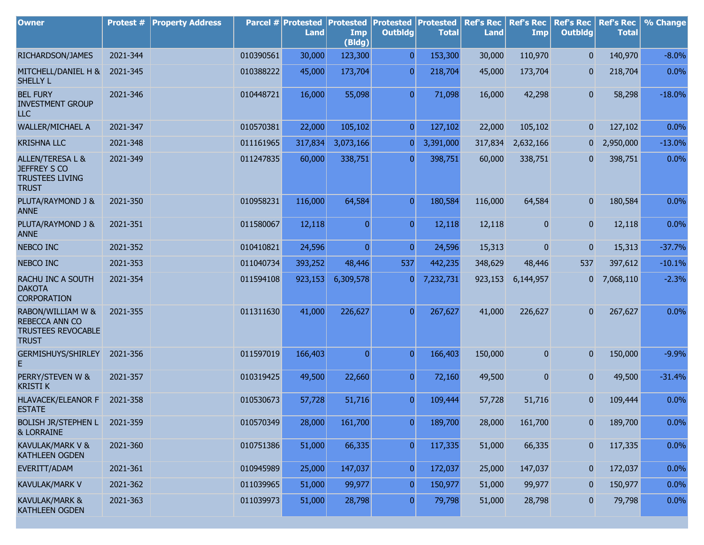| <b>Owner</b>                                                                      | Protest # | <b>Property Address</b> |           | Parcel # Protested<br><b>Land</b> | <b>Protested</b><br>Imp<br>(Bldg) | <b>Protested</b><br><b>Outbldg</b> | Protested<br><b>Total</b> | <b>Ref's Rec</b><br><b>Land</b> | <b>Ref's Rec</b><br><b>Imp</b> | <b>Ref's Rec</b><br><b>Outbldg</b> | <b>Ref's Rec</b><br><b>Total</b> | % Change |
|-----------------------------------------------------------------------------------|-----------|-------------------------|-----------|-----------------------------------|-----------------------------------|------------------------------------|---------------------------|---------------------------------|--------------------------------|------------------------------------|----------------------------------|----------|
| RICHARDSON/JAMES                                                                  | 2021-344  |                         | 010390561 | 30,000                            | 123,300                           | $\overline{0}$                     | 153,300                   | 30,000                          | 110,970                        | $\overline{0}$                     | 140,970                          | $-8.0%$  |
| MITCHELL/DANIEL H &<br><b>SHELLY L</b>                                            | 2021-345  |                         | 010388222 | 45,000                            | 173,704                           | $\overline{0}$                     | 218,704                   | 45,000                          | 173,704                        | $\mathbf{0}$                       | 218,704                          | 0.0%     |
| <b>BEL FURY</b><br><b>INVESTMENT GROUP</b><br>ILC                                 | 2021-346  |                         | 010448721 | 16,000                            | 55,098                            | $\overline{0}$                     | 71,098                    | 16,000                          | 42,298                         | $\overline{0}$                     | 58,298                           | $-18.0%$ |
| <b>WALLER/MICHAEL A</b>                                                           | 2021-347  |                         | 010570381 | 22,000                            | 105,102                           | $\overline{0}$                     | 127,102                   | 22,000                          | 105,102                        | $\mathbf{0}$                       | 127,102                          | 0.0%     |
| <b>KRISHNA LLC</b>                                                                | 2021-348  |                         | 011161965 | 317,834                           | 3,073,166                         | 0                                  | 3,391,000                 | 317,834                         | 2,632,166                      | 0                                  | 2,950,000                        | $-13.0%$ |
| ALLEN/TERESA L &<br><b>JEFFREY S CO</b><br><b>TRUSTEES LIVING</b><br><b>TRUST</b> | 2021-349  |                         | 011247835 | 60,000                            | 338,751                           | $\overline{0}$                     | 398,751                   | 60,000                          | 338,751                        | $\overline{0}$                     | 398,751                          | 0.0%     |
| PLUTA/RAYMOND J &<br><b>ANNE</b>                                                  | 2021-350  |                         | 010958231 | 116,000                           | 64,584                            | $\overline{0}$                     | 180,584                   | 116,000                         | 64,584                         | $\overline{0}$                     | 180,584                          | 0.0%     |
| PLUTA/RAYMOND J &<br><b>ANNE</b>                                                  | 2021-351  |                         | 011580067 | 12,118                            | $\overline{0}$                    | $\overline{0}$                     | 12,118                    | 12,118                          | 0                              | $\overline{0}$                     | 12,118                           | 0.0%     |
| NEBCO INC                                                                         | 2021-352  |                         | 010410821 | 24,596                            | $\overline{0}$                    | $\overline{0}$                     | 24,596                    | 15,313                          | 0                              | $\mathbf{0}$                       | 15,313                           | $-37.7%$ |
| NEBCO INC                                                                         | 2021-353  |                         | 011040734 | 393,252                           | 48,446                            | 537                                | 442,235                   | 348,629                         | 48,446                         | 537                                | 397,612                          | $-10.1%$ |
| RACHU INC A SOUTH<br><b>DAKOTA</b><br><b>CORPORATION</b>                          | 2021-354  |                         | 011594108 | 923,153                           | 6,309,578                         | $\overline{0}$                     | 7,232,731                 | 923,153                         | 6,144,957                      | 0                                  | 7,068,110                        | $-2.3%$  |
| RABON/WILLIAM W &<br>REBECCA ANN CO<br>TRUSTEES REVOCABLE<br><b>TRUST</b>         | 2021-355  |                         | 011311630 | 41,000                            | 226,627                           | $\Omega$                           | 267,627                   | 41,000                          | 226,627                        | $\overline{0}$                     | 267,627                          | 0.0%     |
| <b>GERMISHUYS/SHIRLEY</b><br>E                                                    | 2021-356  |                         | 011597019 | 166,403                           | $\overline{0}$                    | $\overline{0}$                     | 166,403                   | 150,000                         | 0                              | 0                                  | 150,000                          | $-9.9%$  |
| PERRY/STEVEN W &<br><b>KRISTI K</b>                                               | 2021-357  |                         | 010319425 | 49,500                            | 22,660                            | $\overline{0}$                     | 72,160                    | 49,500                          | 0                              | $\overline{0}$                     | 49,500                           | $-31.4%$ |
| <b>HLAVACEK/ELEANOR F</b><br><b>ESTATE</b>                                        | 2021-358  |                         | 010530673 | 57,728                            | 51,716                            | $\overline{0}$                     | 109,444                   | 57,728                          | 51,716                         | 0                                  | 109,444                          | 0.0%     |
| <b>BOLISH JR/STEPHEN L</b><br><b>&amp; LORRAINE</b>                               | 2021-359  |                         | 010570349 | 28,000                            | 161,700                           | $\boldsymbol{0}$                   | 189,700                   | 28,000                          | 161,700                        | 0                                  | 189,700                          | 0.0%     |
| KAVULAK/MARK V &<br>KATHLEEN OGDEN                                                | 2021-360  |                         | 010751386 | 51,000                            | 66,335                            | $\overline{0}$                     | 117,335                   | 51,000                          | 66,335                         | $\mathbf{0}$                       | 117,335                          | 0.0%     |
| EVERITT/ADAM                                                                      | 2021-361  |                         | 010945989 | 25,000                            | 147,037                           | $\boldsymbol{0}$                   | 172,037                   | 25,000                          | 147,037                        | $\mathbf{0}$                       | 172,037                          | $0.0\%$  |
| <b>KAVULAK/MARK V</b>                                                             | 2021-362  |                         | 011039965 | 51,000                            | 99,977                            | $\boldsymbol{0}$                   | 150,977                   | 51,000                          | 99,977                         | $\boldsymbol{0}$                   | 150,977                          | 0.0%     |
| KAVULAK/MARK &<br>KATHLEEN OGDEN                                                  | 2021-363  |                         | 011039973 | 51,000                            | 28,798                            | $\overline{0}$                     | 79,798                    | 51,000                          | 28,798                         | $\pmb{0}$                          | 79,798                           | $0.0\%$  |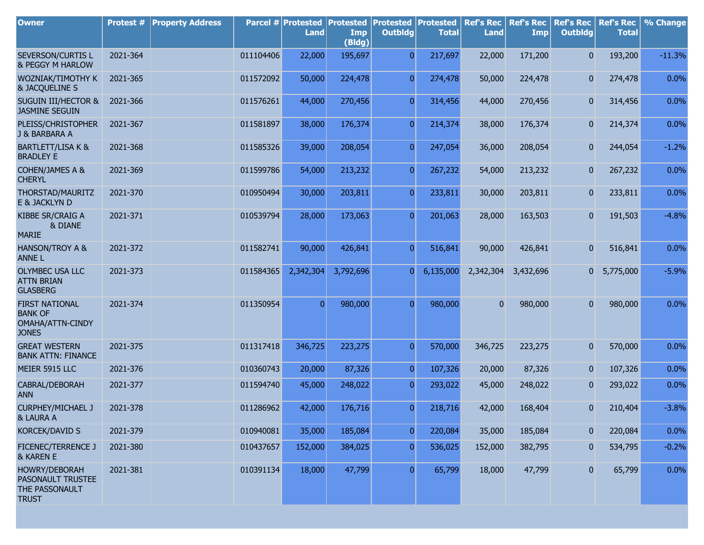| <b>Owner</b>                                                                | Protest # | <b>Property Address</b> |           | Parcel # Protested<br><b>Land</b> | <b>Protested</b><br>Imp<br>(Bldg) | <b>Protested Protested</b><br><b>Outbldg</b> | <b>Total</b> | <b>Ref's Rec</b><br><b>Land</b> | <b>Ref's Rec</b><br><b>Imp</b> | <b>Ref's Rec</b><br><b>Outbldg</b> | <b>Ref's Rec</b><br><b>Total</b> | % Change |
|-----------------------------------------------------------------------------|-----------|-------------------------|-----------|-----------------------------------|-----------------------------------|----------------------------------------------|--------------|---------------------------------|--------------------------------|------------------------------------|----------------------------------|----------|
| SEVERSON/CURTIS L<br>& PEGGY M HARLOW                                       | 2021-364  |                         | 011104406 | 22,000                            | 195,697                           | $\overline{0}$                               | 217,697      | 22,000                          | 171,200                        | $\overline{0}$                     | 193,200                          | $-11.3%$ |
| WOZNIAK/TIMOTHY K<br>& JACQUELINE S                                         | 2021-365  |                         | 011572092 | 50,000                            | 224,478                           | $\overline{0}$                               | 274,478      | 50,000                          | 224,478                        | $\mathbf{0}$                       | 274,478                          | 0.0%     |
| <b>SUGUIN III/HECTOR &amp;</b><br><b>JASMINE SEGUIN</b>                     | 2021-366  |                         | 011576261 | 44,000                            | 270,456                           | $\overline{0}$                               | 314,456      | 44,000                          | 270,456                        | $\mathbf{0}$                       | 314,456                          | 0.0%     |
| PLEISS/CHRISTOPHER<br>J & BARBARA A                                         | 2021-367  |                         | 011581897 | 38,000                            | 176,374                           | $\overline{0}$                               | 214,374      | 38,000                          | 176,374                        | 0                                  | 214,374                          | 0.0%     |
| <b>BARTLETT/LISA K &amp;</b><br><b>BRADLEY E</b>                            | 2021-368  |                         | 011585326 | 39,000                            | 208,054                           | $\overline{0}$                               | 247,054      | 36,000                          | 208,054                        | $\mathbf{0}$                       | 244,054                          | $-1.2%$  |
| <b>COHEN/JAMES A &amp;</b><br><b>CHERYL</b>                                 | 2021-369  |                         | 011599786 | 54,000                            | 213,232                           | $\overline{0}$                               | 267,232      | 54,000                          | 213,232                        | $\overline{0}$                     | 267,232                          | 0.0%     |
| THORSTAD/MAURITZ<br>E & JACKLYN D                                           | 2021-370  |                         | 010950494 | 30,000                            | 203,811                           | $\overline{0}$                               | 233,811      | 30,000                          | 203,811                        | $\mathbf{0}$                       | 233,811                          | 0.0%     |
| KIBBE SR/CRAIG A<br>& DIANE<br><b>MARIE</b>                                 | 2021-371  |                         | 010539794 | 28,000                            | 173,063                           | $\overline{0}$                               | 201,063      | 28,000                          | 163,503                        | $\mathbf{0}$                       | 191,503                          | $-4.8%$  |
| <b>HANSON/TROY A &amp;</b><br><b>ANNEL</b>                                  | 2021-372  |                         | 011582741 | 90,000                            | 426,841                           | $\overline{0}$                               | 516,841      | 90,000                          | 426,841                        | $\mathbf{0}$                       | 516,841                          | 0.0%     |
| <b>OLYMBEC USA LLC</b><br><b>ATTN BRIAN</b><br><b>GLASBERG</b>              | 2021-373  |                         | 011584365 | 2,342,304                         | 3,792,696                         | $\overline{0}$                               | 6,135,000    | 2,342,304                       | 3,432,696                      | 01                                 | 5,775,000                        | $-5.9%$  |
| <b>FIRST NATIONAL</b><br><b>BANK OF</b><br>OMAHA/ATTN-CINDY<br><b>JONES</b> | 2021-374  |                         | 011350954 | $\overline{0}$                    | 980,000                           | $\overline{0}$                               | 980,000      | $\Omega$                        | 980,000                        | $\mathbf{0}$                       | 980,000                          | 0.0%     |
| <b>GREAT WESTERN</b><br><b>BANK ATTN: FINANCE</b>                           | 2021-375  |                         | 011317418 | 346,725                           | 223,275                           | $\overline{0}$                               | 570,000      | 346,725                         | 223,275                        | 0                                  | 570,000                          | 0.0%     |
| MEIER 5915 LLC                                                              | 2021-376  |                         | 010360743 | 20,000                            | 87,326                            | $\overline{0}$                               | 107,326      | 20,000                          | 87,326                         | 0                                  | 107,326                          | 0.0%     |
| CABRAL/DEBORAH<br><b>ANN</b>                                                | 2021-377  |                         | 011594740 | 45,000                            | 248,022                           | $\overline{0}$                               | 293,022      | 45,000                          | 248,022                        | 0                                  | 293,022                          | 0.0%     |
| <b>CURPHEY/MICHAEL J</b><br>& LAURA A                                       | 2021-378  |                         | 011286962 | 42,000                            | 176,716                           | $\overline{0}$                               | 218,716      | 42,000                          | 168,404                        | $\mathbf{0}$                       | 210,404                          | $-3.8%$  |
| <b>KORCEK/DAVID S</b>                                                       | 2021-379  |                         | 010940081 | 35,000                            | 185,084                           | $\overline{0}$                               | 220,084      | 35,000                          | 185,084                        | 0                                  | 220,084                          | 0.0%     |
| <b>FICENEC/TERRENCE J</b><br>& KAREN E                                      | 2021-380  |                         | 010437657 | 152,000                           | 384,025                           | $\overline{0}$                               | 536,025      | 152,000                         | 382,795                        | 0                                  | 534,795                          | $-0.2%$  |
| <b>HOWRY/DEBORAH</b><br>PASONAULT TRUSTEE<br>THE PASSONAULT<br><b>TRUST</b> | 2021-381  |                         | 010391134 | 18,000                            | 47,799                            | $\overline{0}$                               | 65,799       | 18,000                          | 47,799                         | $\mathbf{0}$                       | 65,799                           | 0.0%     |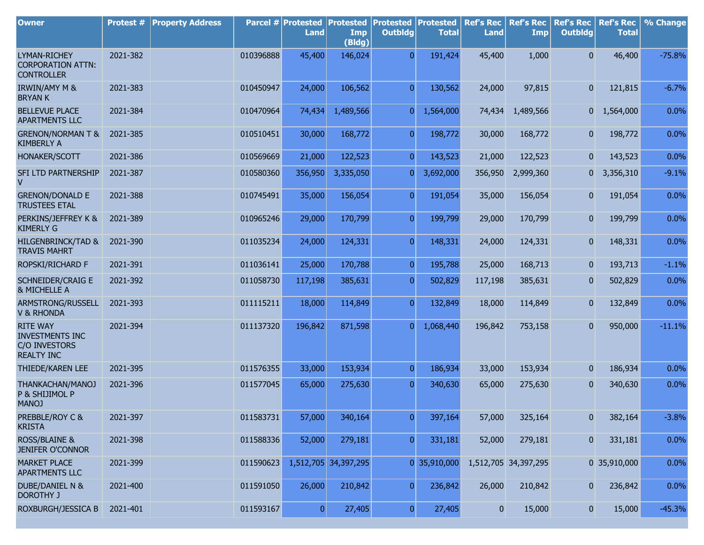| <b>Owner</b>                                                                    | Protest # | <b>Property Address</b> |           | Parcel # Protested<br><b>Land</b> | <b>Protested</b><br>Imp<br>(Bldg) | <b>Protested</b><br><b>Outbldg</b> | Protested<br><b>Total</b> | <b>Ref's Rec</b><br><b>Land</b> | <b>Ref's Rec</b><br><b>Imp</b> | <b>Ref's Rec</b><br><b>Outbldg</b> | <b>Ref's Rec</b><br><b>Total</b> | % Change |
|---------------------------------------------------------------------------------|-----------|-------------------------|-----------|-----------------------------------|-----------------------------------|------------------------------------|---------------------------|---------------------------------|--------------------------------|------------------------------------|----------------------------------|----------|
| <b>LYMAN-RICHEY</b><br><b>CORPORATION ATTN:</b><br><b>CONTROLLER</b>            | 2021-382  |                         | 010396888 | 45,400                            | 146,024                           | $\overline{0}$                     | 191,424                   | 45,400                          | 1,000                          | $\overline{0}$                     | 46,400                           | $-75.8%$ |
| <b>IRWIN/AMY M &amp;</b><br><b>BRYAN K</b>                                      | 2021-383  |                         | 010450947 | 24,000                            | 106,562                           | $\overline{0}$                     | 130,562                   | 24,000                          | 97,815                         | $\overline{0}$                     | 121,815                          | $-6.7%$  |
| <b>BELLEVUE PLACE</b><br><b>APARTMENTS LLC</b>                                  | 2021-384  |                         | 010470964 | 74,434                            | 1,489,566                         | $\overline{0}$                     | 1,564,000                 | 74,434                          | 1,489,566                      |                                    | $0 \quad 1,564,000$              | 0.0%     |
| <b>GRENON/NORMAN T &amp;</b><br><b>KIMBERLY A</b>                               | 2021-385  |                         | 010510451 | 30,000                            | 168,772                           | $\overline{0}$                     | 198,772                   | 30,000                          | 168,772                        | $\mathbf{0}$                       | 198,772                          | 0.0%     |
| <b>HONAKER/SCOTT</b>                                                            | 2021-386  |                         | 010569669 | 21,000                            | 122,523                           | $\overline{0}$                     | 143,523                   | 21,000                          | 122,523                        | 0                                  | 143,523                          | 0.0%     |
| SFI LTD PARTNERSHIP<br>v                                                        | 2021-387  |                         | 010580360 | 356,950                           | 3,335,050                         | $\overline{0}$                     | 3,692,000                 | 356,950                         | 2,999,360                      | 01                                 | 3,356,310                        | $-9.1%$  |
| <b>GRENON/DONALD E</b><br><b>TRUSTEES ETAL</b>                                  | 2021-388  |                         | 010745491 | 35,000                            | 156,054                           | $\overline{0}$                     | 191,054                   | 35,000                          | 156,054                        | $\overline{0}$                     | 191,054                          | 0.0%     |
| PERKINS/JEFFREY K &<br><b>KIMERLY G</b>                                         | 2021-389  |                         | 010965246 | 29,000                            | 170,799                           | $\overline{0}$                     | 199,799                   | 29,000                          | 170,799                        | $\overline{0}$                     | 199,799                          | 0.0%     |
| <b>HILGENBRINCK/TAD &amp;</b><br><b>TRAVIS MAHRT</b>                            | 2021-390  |                         | 011035234 | 24,000                            | 124,331                           | $\overline{0}$                     | 148,331                   | 24,000                          | 124,331                        | 0                                  | 148,331                          | 0.0%     |
| ROPSKI/RICHARD F                                                                | 2021-391  |                         | 011036141 | 25,000                            | 170,788                           | $\overline{0}$                     | 195,788                   | 25,000                          | 168,713                        | 0                                  | 193,713                          | $-1.1%$  |
| <b>SCHNEIDER/CRAIG E</b><br>& MICHELLE A                                        | 2021-392  |                         | 011058730 | 117,198                           | 385,631                           | $\overline{0}$                     | 502,829                   | 117,198                         | 385,631                        | 0                                  | 502,829                          | 0.0%     |
| ARMSTRONG/RUSSELL<br><b>V &amp; RHONDA</b>                                      | 2021-393  |                         | 011115211 | 18,000                            | 114,849                           | $\overline{0}$                     | 132,849                   | 18,000                          | 114,849                        | $\overline{0}$                     | 132,849                          | 0.0%     |
| <b>RITE WAY</b><br><b>INVESTMENTS INC</b><br>C/O INVESTORS<br><b>REALTY INC</b> | 2021-394  |                         | 011137320 | 196,842                           | 871,598                           | 0                                  | 1,068,440                 | 196,842                         | 753,158                        | $\overline{0}$                     | 950,000                          | $-11.1%$ |
| THIEDE/KAREN LEE                                                                | 2021-395  |                         | 011576355 | 33,000                            | 153,934                           | $\overline{0}$                     | 186,934                   | 33,000                          | 153,934                        | $\mathbf{0}$                       | 186,934                          | 0.0%     |
| THANKACHAN/MANOJ<br>P & SHIJIMOL P<br><b>MANOJ</b>                              | 2021-396  |                         | 011577045 | 65,000                            | 275,630                           | $\overline{0}$                     | 340,630                   | 65,000                          | 275,630                        | $\mathbf{0}$                       | 340,630                          | 0.0%     |
| PREBBLE/ROY C &<br><b>KRISTA</b>                                                | 2021-397  |                         | 011583731 | 57,000                            | 340,164                           | $\overline{0}$                     | 397,164                   | 57,000                          | 325,164                        | $\bf{0}$                           | 382,164                          | $-3.8%$  |
| <b>ROSS/BLAINE &amp;</b><br><b>JENIFER O'CONNOR</b>                             | 2021-398  |                         | 011588336 | 52,000                            | 279,181                           | $\overline{0}$                     | 331,181                   | 52,000                          | 279,181                        | $\overline{0}$                     | 331,181                          | 0.0%     |
| <b>MARKET PLACE</b><br>APARTMENTS LLC                                           | 2021-399  |                         | 011590623 |                                   | 1,512,705 34,397,295              |                                    | 0 35,910,000              |                                 | 1,512,705 34,397,295           |                                    | 0 35,910,000                     | 0.0%     |
| DUBE/DANIEL N &<br><b>DOROTHY J</b>                                             | 2021-400  |                         | 011591050 | 26,000                            | 210,842                           | $\overline{0}$                     | 236,842                   | 26,000                          | 210,842                        | $\mathbf{0}$                       | 236,842                          | 0.0%     |
| ROXBURGH/JESSICA B                                                              | 2021-401  |                         | 011593167 | 0                                 | 27,405                            | $\boldsymbol{0}$                   | 27,405                    | $\mathbf{0}$                    | 15,000                         | $\mathbf{0}$                       | 15,000                           | $-45.3%$ |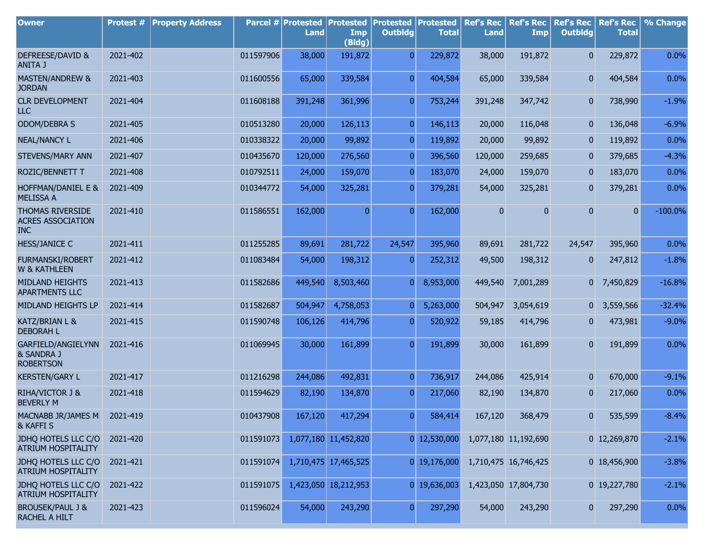| <b>Owner</b>                                               | <b>Protest #</b> | <b>Property Address</b> |           | Parcel # Protested<br><b>Land</b> | <b>Protested</b><br>Imp<br>(Bldg) | Protested<br><b>Outbldg</b> | Protested<br><b>Total</b> | <b>Ref's Rec</b><br><b>Land</b> | <b>Ref's Rec</b><br><b>Imp</b> | <b>Ref's Rec</b><br><b>Outbldg</b> | <b>Ref's Rec</b><br><b>Total</b> | % Change   |
|------------------------------------------------------------|------------------|-------------------------|-----------|-----------------------------------|-----------------------------------|-----------------------------|---------------------------|---------------------------------|--------------------------------|------------------------------------|----------------------------------|------------|
| DEFREESE/DAVID &<br>ANITA J                                | 2021-402         |                         | 011597906 | 38,000                            | 191,872                           | $\overline{0}$              | 229,872                   | 38,000                          | 191,872                        | $\overline{0}$                     | 229,872                          | 0.0%       |
| MASTEN/ANDREW &<br><b>JORDAN</b>                           | 2021-403         |                         | 011600556 | 65,000                            | 339,584                           | $\overline{0}$              | 404,584                   | 65,000                          | 339,584                        | 0                                  | 404,584                          | 0.0%       |
| <b>CLR DEVELOPMENT</b><br><b>LLC</b>                       | 2021-404         |                         | 011608188 | 391,248                           | 361,996                           | $\overline{0}$              | 753,244                   | 391,248                         | 347,742                        | 0                                  | 738,990                          | $-1.9%$    |
| ODOM/DEBRA S                                               | 2021-405         |                         | 010513280 | 20,000                            | 126,113                           | $\overline{0}$              | 146,113                   | 20,000                          | 116,048                        | 0                                  | 136,048                          | $-6.9%$    |
| <b>NEAL/NANCY L</b>                                        | 2021-406         |                         | 010338322 | 20,000                            | 99,892                            | $\overline{0}$              | 119,892                   | 20,000                          | 99,892                         | $\mathbf{0}$                       | 119,892                          | 0.0%       |
| STEVENS/MARY ANN                                           | 2021-407         |                         | 010435670 | 120,000                           | 276,560                           | $\overline{0}$              | 396,560                   | 120,000                         | 259,685                        | 0                                  | 379,685                          | $-4.3%$    |
| ROZIC/BENNETT T                                            | 2021-408         |                         | 010792511 | 24,000                            | 159,070                           | $\overline{0}$              | 183,070                   | 24,000                          | 159,070                        | $\mathbf{0}$                       | 183,070                          | 0.0%       |
| HOFFMAN/DANIEL E &<br><b>MELISSA A</b>                     | 2021-409         |                         | 010344772 | 54,000                            | 325,281                           | $\overline{0}$              | 379,281                   | 54,000                          | 325,281                        | 0                                  | 379,281                          | 0.0%       |
| THOMAS RIVERSIDE<br><b>ACRES ASSOCIATION</b><br><b>INC</b> | 2021-410         |                         | 011586551 | 162,000                           | $\mathbf{0}$                      | $\overline{0}$              | 162,000                   | 0                               | 0                              | 0                                  | $\overline{0}$                   | $-100.0\%$ |
| <b>HESS/JANICE C</b>                                       | 2021-411         |                         | 011255285 | 89,691                            | 281,722                           | 24,547                      | 395,960                   | 89,691                          | 281,722                        | 24,547                             | 395,960                          | 0.0%       |
| <b>FURMANSKI/ROBERT</b><br>W & KATHLEEN                    | 2021-412         |                         | 011083484 | 54,000                            | 198,312                           | $\overline{0}$              | 252,312                   | 49,500                          | 198,312                        | $\mathbf{0}$                       | 247,812                          | $-1.8%$    |
| MIDLAND HEIGHTS<br><b>APARTMENTS LLC</b>                   | 2021-413         |                         | 011582686 | 449,540                           | 8,503,460                         | $\overline{0}$              | 8,953,000                 | 449,540                         | 7,001,289                      |                                    | 0 7,450,829                      | $-16.8%$   |
| MIDLAND HEIGHTS LP                                         | 2021-414         |                         | 011582687 | 504,947                           | 4,758,053                         | $\overline{0}$              | 5,263,000                 | 504,947                         | 3,054,619                      | 0                                  | 3,559,566                        | $-32.4%$   |
| KATZ/BRIAN L &<br><b>DEBORAH L</b>                         | 2021-415         |                         | 011590748 | 106,126                           | 414,796                           | $\overline{0}$              | 520,922                   | 59,185                          | 414,796                        | 0                                  | 473,981                          | $-9.0%$    |
| GARFIELD/ANGIELYNN<br>& SANDRA J<br><b>ROBERTSON</b>       | 2021-416         |                         | 011069945 | 30,000                            | 161,899                           | $\overline{0}$              | 191,899                   | 30,000                          | 161,899                        | 0                                  | 191,899                          | 0.0%       |
| <b>KERSTEN/GARY L</b>                                      | 2021-417         |                         | 011216298 | 244,086                           | 492,831                           | $\overline{0}$              | 736,917                   | 244,086                         | 425,914                        | $\mathbf{0}$                       | 670,000                          | $-9.1%$    |
| RIHA/VICTOR J &<br><b>BEVERLY M</b>                        | 2021-418         |                         | 011594629 | 82,190                            | 134,870                           | $\overline{0}$              | 217,060                   | 82,190                          | 134,870                        | 0                                  | 217,060                          | 0.0%       |
| MACNABB JR/JAMES M 2021-419<br>& KAFFI S                   |                  |                         | 010437908 | 167,120                           | 417,294                           | $\boldsymbol{0}$            | 584,414                   | 167,120                         | 368,479                        | 0                                  | 535,599                          | $-8.4%$    |
| JDHQ HOTELS LLC C/O 2021-420<br>ATRIUM HOSPITALITY         |                  |                         | 011591073 |                                   | 1,077,180 11,452,820              |                             | $0$ 12,530,000            |                                 | 1,077,180 11,192,690           |                                    | 0 12,269,870                     | $-2.1%$    |
| JDHQ HOTELS LLC C/O<br>ATRIUM HOSPITALITY                  | 2021-421         |                         | 011591074 |                                   | 1,710,475 17,465,525              |                             | 0 19,176,000              |                                 | 1,710,475 16,746,425           |                                    | 0 18,456,900                     | $-3.8%$    |
| JDHQ HOTELS LLC C/O<br><b>ATRIUM HOSPITALITY</b>           | 2021-422         |                         | 011591075 |                                   | 1,423,050 18,212,953              |                             | 0 19,636,003              |                                 | 1,423,050 17,804,730           |                                    | 0 19,227,780                     | $-2.1%$    |
| <b>BROUSEK/PAUL J &amp;</b><br>RACHEL A HILT               | 2021-423         |                         | 011596024 | 54,000                            | 243,290                           | $\overline{0}$              | 297,290                   | 54,000                          | 243,290                        | 0                                  | 297,290                          | 0.0%       |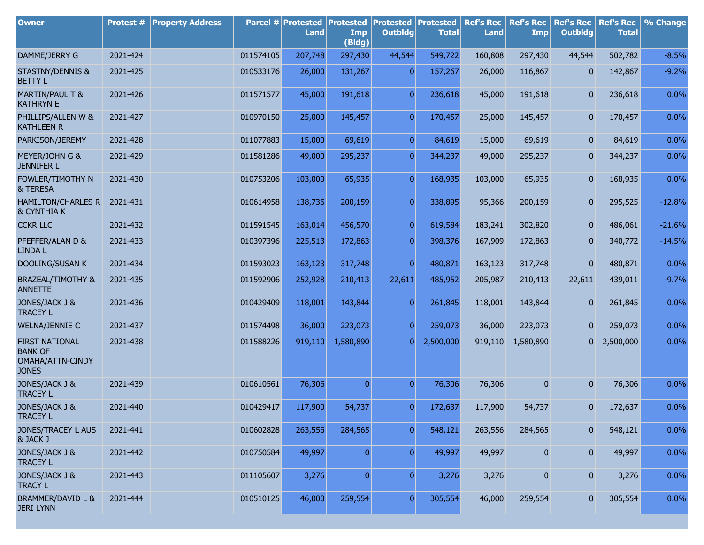| <b>Owner</b>                                                                | Protest # | <b>Property Address</b> |           | Parcel # Protested<br><b>Land</b> | <b>Protested</b><br>Imp<br>(Bldg) | <b>Protested Protested</b><br><b>Outbldg</b> | <b>Total</b> | <b>Ref's Rec</b><br><b>Land</b> | <b>Ref's Rec</b><br><b>Imp</b> | <b>Ref's Rec</b><br><b>Outbldg</b> | <b>Ref's Rec</b><br><b>Total</b> | % Change |
|-----------------------------------------------------------------------------|-----------|-------------------------|-----------|-----------------------------------|-----------------------------------|----------------------------------------------|--------------|---------------------------------|--------------------------------|------------------------------------|----------------------------------|----------|
| DAMME/JERRY G                                                               | 2021-424  |                         | 011574105 | 207,748                           | 297,430                           | 44,544                                       | 549,722      | 160,808                         | 297,430                        | 44,544                             | 502,782                          | $-8.5%$  |
| <b>STASTNY/DENNIS &amp;</b><br><b>BETTY L</b>                               | 2021-425  |                         | 010533176 | 26,000                            | 131,267                           | $\overline{0}$                               | 157,267      | 26,000                          | 116,867                        | $\mathbf{0}$                       | 142,867                          | $-9.2%$  |
| <b>MARTIN/PAUL T &amp;</b><br><b>KATHRYN E</b>                              | 2021-426  |                         | 011571577 | 45,000                            | 191,618                           | $\overline{0}$                               | 236,618      | 45,000                          | 191,618                        | $\mathbf{0}$                       | 236,618                          | 0.0%     |
| PHILLIPS/ALLEN W &<br><b>KATHLEEN R</b>                                     | 2021-427  |                         | 010970150 | 25,000                            | 145,457                           | $\overline{0}$                               | 170,457      | 25,000                          | 145,457                        | $\overline{0}$                     | 170,457                          | 0.0%     |
| PARKISON/JEREMY                                                             | 2021-428  |                         | 011077883 | 15,000                            | 69,619                            | $\overline{0}$                               | 84,619       | 15,000                          | 69,619                         | $\mathbf{0}$                       | 84,619                           | 0.0%     |
| MEYER/JOHN G &<br><b>JENNIFER L</b>                                         | 2021-429  |                         | 011581286 | 49,000                            | 295,237                           | $\overline{0}$                               | 344,237      | 49,000                          | 295,237                        | 0                                  | 344,237                          | 0.0%     |
| FOWLER/TIMOTHY N<br>& TERESA                                                | 2021-430  |                         | 010753206 | 103,000                           | 65,935                            | $\overline{0}$                               | 168,935      | 103,000                         | 65,935                         | 0                                  | 168,935                          | 0.0%     |
| <b>HAMILTON/CHARLES R</b><br><b>&amp; CYNTHIA K</b>                         | 2021-431  |                         | 010614958 | 138,736                           | 200,159                           | $\overline{0}$                               | 338,895      | 95,366                          | 200,159                        | 0                                  | 295,525                          | $-12.8%$ |
| <b>CCKR LLC</b>                                                             | 2021-432  |                         | 011591545 | 163,014                           | 456,570                           | $\overline{0}$                               | 619,584      | 183,241                         | 302,820                        | $\mathbf{0}$                       | 486,061                          | $-21.6%$ |
| PFEFFER/ALAN D &<br><b>LINDA L</b>                                          | 2021-433  |                         | 010397396 | 225,513                           | 172,863                           | $\overline{0}$                               | 398,376      | 167,909                         | 172,863                        | $\mathbf{0}$                       | 340,772                          | $-14.5%$ |
| <b>DOOLING/SUSAN K</b>                                                      | 2021-434  |                         | 011593023 | 163,123                           | 317,748                           | $\overline{0}$                               | 480,871      | 163,123                         | 317,748                        | $\mathbf{0}$                       | 480,871                          | 0.0%     |
| <b>BRAZEAL/TIMOTHY &amp;</b><br><b>ANNETTE</b>                              | 2021-435  |                         | 011592906 | 252,928                           | 210,413                           | 22,611                                       | 485,952      | 205,987                         | 210,413                        | 22,611                             | 439,011                          | $-9.7%$  |
| JONES/JACK J &<br><b>TRACEY L</b>                                           | 2021-436  |                         | 010429409 | 118,001                           | 143,844                           | $\overline{0}$                               | 261,845      | 118,001                         | 143,844                        | $\overline{0}$                     | 261,845                          | 0.0%     |
| <b>WELNA/JENNIE C</b>                                                       | 2021-437  |                         | 011574498 | 36,000                            | 223,073                           | $\overline{0}$                               | 259,073      | 36,000                          | 223,073                        | $\mathbf{0}$                       | 259,073                          | 0.0%     |
| <b>FIRST NATIONAL</b><br><b>BANK OF</b><br>OMAHA/ATTN-CINDY<br><b>JONES</b> | 2021-438  |                         | 011588226 | 919,110                           | 1,580,890                         | $\Omega$                                     | 2,500,000    | 919,110                         | 1,580,890                      | 0                                  | 2,500,000                        | 0.0%     |
| JONES/JACK J &<br><b>TRACEY L</b>                                           | 2021-439  |                         | 010610561 | 76,306                            | $\mathbf{0}$                      | $\overline{0}$                               | 76,306       | 76,306                          | $\mathbf{0}$                   | $\overline{0}$                     | 76,306                           | 0.0%     |
| JONES/JACK J &<br><b>TRACEY L</b>                                           | 2021-440  |                         | 010429417 | 117,900                           | 54,737                            | $\overline{0}$                               | 172,637      | 117,900                         | 54,737                         | 0                                  | 172,637                          | 0.0%     |
| JONES/TRACEY L AUS<br>& JACK J                                              | 2021-441  |                         | 010602828 | 263,556                           | 284,565                           | 0                                            | 548,121      | 263,556                         | 284,565                        | 0                                  | 548,121                          | 0.0%     |
| JONES/JACK J &<br><b>TRACEY L</b>                                           | 2021-442  |                         | 010750584 | 49,997                            | 0                                 | $\overline{0}$                               | 49,997       | 49,997                          | $\bf{0}$                       | $\overline{0}$                     | 49,997                           | 0.0%     |
| JONES/JACK J &<br><b>TRACY L</b>                                            | 2021-443  |                         | 011105607 | 3,276                             | $\overline{0}$                    | $\overline{0}$                               | 3,276        | 3,276                           | 0                              | $\overline{\mathbf{0}}$            | 3,276                            | 0.0%     |
| <b>BRAMMER/DAVID L &amp;</b><br><b>JERI LYNN</b>                            | 2021-444  |                         | 010510125 | 46,000                            | 259,554                           | $\overline{0}$                               | 305,554      | 46,000                          | 259,554                        | 0                                  | 305,554                          | 0.0%     |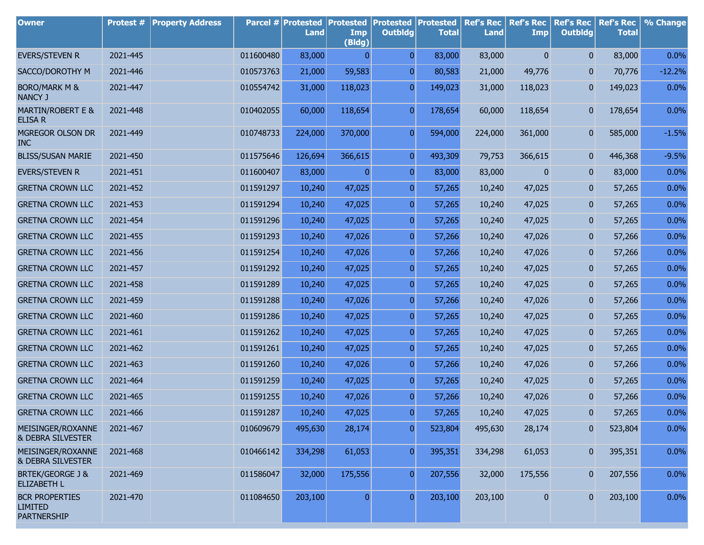| <b>Owner</b>                                                  | <b>Protest #</b> | <b>Property Address</b> |           | <b>Parcel # Protested</b><br><b>Land</b> | <b>Protested</b><br>Imp<br>(Bldg) | <b>Protested</b><br><b>Outbldg</b> | <b>Protested</b><br><b>Total</b> | <b>Ref's Rec</b><br><b>Land</b> | <b>Ref's Rec</b><br><b>Imp</b> | <b>Ref's Rec</b><br><b>Outbldg</b> | <b>Ref's Rec</b><br><b>Total</b> | % Change |
|---------------------------------------------------------------|------------------|-------------------------|-----------|------------------------------------------|-----------------------------------|------------------------------------|----------------------------------|---------------------------------|--------------------------------|------------------------------------|----------------------------------|----------|
| <b>EVERS/STEVEN R</b>                                         | 2021-445         |                         | 011600480 | 83,000                                   | $\overline{0}$                    | $\mathbf{0}$                       | 83,000                           | 83,000                          | $\mathbf{0}$                   | $\mathbf{0}$                       | 83,000                           | 0.0%     |
| SACCO/DOROTHY M                                               | 2021-446         |                         | 010573763 | 21,000                                   | 59,583                            | 0                                  | 80,583                           | 21,000                          | 49,776                         | $\mathbf{0}$                       | 70,776                           | $-12.2%$ |
| <b>BORO/MARK M &amp;</b><br><b>NANCY J</b>                    | 2021-447         |                         | 010554742 | 31,000                                   | 118,023                           | $\overline{0}$                     | 149,023                          | 31,000                          | 118,023                        | $\overline{0}$                     | 149,023                          | 0.0%     |
| <b>MARTIN/ROBERT E &amp;</b><br><b>ELISA R</b>                | 2021-448         |                         | 010402055 | 60,000                                   | 118,654                           | $\overline{0}$                     | 178,654                          | 60,000                          | 118,654                        | $\mathbf{0}$                       | 178,654                          | 0.0%     |
| MGREGOR OLSON DR<br><b>INC</b>                                | 2021-449         |                         | 010748733 | 224,000                                  | 370,000                           | $\overline{0}$                     | 594,000                          | 224,000                         | 361,000                        | $\mathbf{0}$                       | 585,000                          | $-1.5%$  |
| <b>BLISS/SUSAN MARIE</b>                                      | 2021-450         |                         | 011575646 | 126,694                                  | 366,615                           | $\overline{0}$                     | 493,309                          | 79,753                          | 366,615                        | 0                                  | 446,368                          | $-9.5%$  |
| <b>EVERS/STEVEN R</b>                                         | 2021-451         |                         | 011600407 | 83,000                                   | $\overline{0}$                    | $\mathbf{0}$                       | 83,000                           | 83,000                          | 0                              | $\mathbf{0}$                       | 83,000                           | 0.0%     |
| <b>GRETNA CROWN LLC</b>                                       | 2021-452         |                         | 011591297 | 10,240                                   | 47,025                            | $\pmb{0}$                          | 57,265                           | 10,240                          | 47,025                         | $\mathbf{0}$                       | 57,265                           | 0.0%     |
| <b>GRETNA CROWN LLC</b>                                       | 2021-453         |                         | 011591294 | 10,240                                   | 47,025                            | $\mathbf{0}$                       | 57,265                           | 10,240                          | 47,025                         | $\mathbf{0}$                       | 57,265                           | 0.0%     |
| <b>GRETNA CROWN LLC</b>                                       | 2021-454         |                         | 011591296 | 10,240                                   | 47,025                            | $\pmb{0}$                          | 57,265                           | 10,240                          | 47,025                         | $\mathbf{0}$                       | 57,265                           | 0.0%     |
| <b>GRETNA CROWN LLC</b>                                       | 2021-455         |                         | 011591293 | 10,240                                   | 47,026                            | $\mathbf{0}$                       | 57,266                           | 10,240                          | 47,026                         | $\mathbf{0}$                       | 57,266                           | 0.0%     |
| <b>GRETNA CROWN LLC</b>                                       | 2021-456         |                         | 011591254 | 10,240                                   | 47,026                            | $\pmb{0}$                          | 57,266                           | 10,240                          | 47,026                         | $\mathbf{0}$                       | 57,266                           | 0.0%     |
| <b>GRETNA CROWN LLC</b>                                       | 2021-457         |                         | 011591292 | 10,240                                   | 47,025                            | $\mathbf{0}$                       | 57,265                           | 10,240                          | 47,025                         | $\mathbf{0}$                       | 57,265                           | 0.0%     |
| <b>GRETNA CROWN LLC</b>                                       | 2021-458         |                         | 011591289 | 10,240                                   | 47,025                            | $\pmb{0}$                          | 57,265                           | 10,240                          | 47,025                         | $\mathbf{0}$                       | 57,265                           | 0.0%     |
| <b>GRETNA CROWN LLC</b>                                       | 2021-459         |                         | 011591288 | 10,240                                   | 47,026                            | 0                                  | 57,266                           | 10,240                          | 47,026                         | $\mathbf{0}$                       | 57,266                           | 0.0%     |
| <b>GRETNA CROWN LLC</b>                                       | 2021-460         |                         | 011591286 | 10,240                                   | 47,025                            | $\pmb{0}$                          | 57,265                           | 10,240                          | 47,025                         | $\mathbf{0}$                       | 57,265                           | 0.0%     |
| <b>GRETNA CROWN LLC</b>                                       | 2021-461         |                         | 011591262 | 10,240                                   | 47,025                            | 0                                  | 57,265                           | 10,240                          | 47,025                         | $\mathbf{0}$                       | 57,265                           | 0.0%     |
| <b>GRETNA CROWN LLC</b>                                       | 2021-462         |                         | 011591261 | 10,240                                   | 47,025                            | $\pmb{0}$                          | 57,265                           | 10,240                          | 47,025                         | $\mathbf{0}$                       | 57,265                           | 0.0%     |
| <b>GRETNA CROWN LLC</b>                                       | 2021-463         |                         | 011591260 | 10,240                                   | 47,026                            | 0                                  | 57,266                           | 10,240                          | 47,026                         | $\mathbf{0}$                       | 57,266                           | 0.0%     |
| <b>GRETNA CROWN LLC</b>                                       | 2021-464         |                         | 011591259 | 10,240                                   | 47,025                            | $\pmb{0}$                          | 57,265                           | 10,240                          | 47,025                         | $\mathbf{0}$                       | 57,265                           | 0.0%     |
| <b>GRETNA CROWN LLC</b>                                       | 2021-465         |                         | 011591255 | 10,240                                   | 47,026                            | $\mathbf{0}$                       | 57,266                           | 10,240                          | 47,026                         | $\mathbf{0}$                       | 57,266                           | 0.0%     |
| <b>GRETNA CROWN LLC</b>                                       | 2021-466         |                         | 011591287 | 10,240                                   | 47,025                            | $\overline{0}$                     | 57,265                           | 10,240                          | 47,025                         | $\bf{0}$                           | 57,265                           | 0.0%     |
| MEISINGER/ROXANNE<br>& DEBRA SILVESTER                        | 2021-467         |                         | 010609679 | 495,630                                  | 28,174                            | $\overline{0}$                     | 523,804                          | 495,630                         | 28,174                         | $\mathbf{0}$                       | 523,804                          | 0.0%     |
| MEISINGER/ROXANNE<br>& DEBRA SILVESTER                        | 2021-468         |                         | 010466142 | 334,298                                  | 61,053                            | $\boldsymbol{0}$                   | 395,351                          | 334,298                         | 61,053                         | $\mathbf{0}$                       | 395,351                          | 0.0%     |
| <b>BRTEK/GEORGE J &amp;</b><br><b>ELIZABETH L</b>             | 2021-469         |                         | 011586047 | 32,000                                   | 175,556                           | 0                                  | 207,556                          | 32,000                          | 175,556                        | $\mathbf{0}$                       | 207,556                          | 0.0%     |
| <b>BCR PROPERTIES</b><br><b>LIMITED</b><br><b>PARTNERSHIP</b> | 2021-470         |                         | 011084650 | 203,100                                  | $\overline{0}$                    | $\overline{0}$                     | 203,100                          | 203,100                         | 0                              | $\bf{0}$                           | 203,100                          | 0.0%     |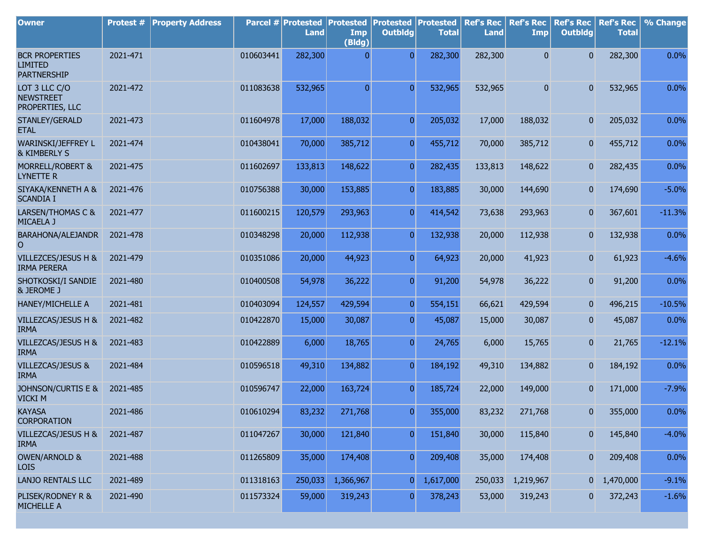| <b>Owner</b>                                                  | Protest # | <b>Property Address</b> |           | Parcel # Protested<br><b>Land</b> | Protested<br>Imp<br>(Bldg) | <b>Protested</b><br><b>Outbldg</b> | Protested<br><b>Total</b> | <b>Ref's Rec</b><br><b>Land</b> | <b>Ref's Rec</b><br><b>Imp</b> | <b>Ref's Rec</b><br><b>Outbldg</b> | <b>Ref's Rec</b><br><b>Total</b> | % Change |
|---------------------------------------------------------------|-----------|-------------------------|-----------|-----------------------------------|----------------------------|------------------------------------|---------------------------|---------------------------------|--------------------------------|------------------------------------|----------------------------------|----------|
| <b>BCR PROPERTIES</b><br><b>LIMITED</b><br><b>PARTNERSHIP</b> | 2021-471  |                         | 010603441 | 282,300                           | 0                          | $\overline{0}$                     | 282,300                   | 282,300                         | $\overline{0}$                 | $\overline{0}$                     | 282,300                          | 0.0%     |
| LOT 3 LLC C/O<br><b>NEWSTREET</b><br>PROPERTIES, LLC          | 2021-472  |                         | 011083638 | 532,965                           | $\mathbf{0}$               | $\Omega$                           | 532,965                   | 532,965                         | $\mathbf{0}$                   | $\mathbf{0}$                       | 532,965                          | 0.0%     |
| STANLEY/GERALD<br><b>ETAL</b>                                 | 2021-473  |                         | 011604978 | 17,000                            | 188,032                    | $\overline{0}$                     | 205,032                   | 17,000                          | 188,032                        | $\mathbf{0}$                       | 205,032                          | 0.0%     |
| WARINSKI/JEFFREY L<br>& KIMBERLY S                            | 2021-474  |                         | 010438041 | 70,000                            | 385,712                    | $\overline{0}$                     | 455,712                   | 70,000                          | 385,712                        | 0                                  | 455,712                          | 0.0%     |
| MORRELL/ROBERT &<br>LYNETTE R                                 | 2021-475  |                         | 011602697 | 133,813                           | 148,622                    | $\overline{0}$                     | 282,435                   | 133,813                         | 148,622                        | $\mathbf{0}$                       | 282,435                          | 0.0%     |
| SIYAKA/KENNETH A &<br><b>SCANDIA I</b>                        | 2021-476  |                         | 010756388 | 30,000                            | 153,885                    | $\overline{0}$                     | 183,885                   | 30,000                          | 144,690                        | 0                                  | 174,690                          | $-5.0%$  |
| LARSEN/THOMAS C &<br>MICAELA J                                | 2021-477  |                         | 011600215 | 120,579                           | 293,963                    | $\overline{0}$                     | 414,542                   | 73,638                          | 293,963                        | 0                                  | 367,601                          | $-11.3%$ |
| BARAHONA/ALEJANDR<br>$\circ$                                  | 2021-478  |                         | 010348298 | 20,000                            | 112,938                    | $\overline{0}$                     | 132,938                   | 20,000                          | 112,938                        | $\mathbf{0}$                       | 132,938                          | 0.0%     |
| VILLEZCES/JESUS H &<br><b>IRMA PERERA</b>                     | 2021-479  |                         | 010351086 | 20,000                            | 44,923                     | $\overline{0}$                     | 64,923                    | 20,000                          | 41,923                         | 0                                  | 61,923                           | $-4.6%$  |
| SHOTKOSKI/I SANDIE<br>& JEROME J                              | 2021-480  |                         | 010400508 | 54,978                            | 36,222                     | $\overline{0}$                     | 91,200                    | 54,978                          | 36,222                         | $\overline{0}$                     | 91,200                           | 0.0%     |
| HANEY/MICHELLE A                                              | 2021-481  |                         | 010403094 | 124,557                           | 429,594                    | $\overline{0}$                     | 554,151                   | 66,621                          | 429,594                        | $\mathbf{0}$                       | 496,215                          | $-10.5%$ |
| VILLEZCAS/JESUS H &<br><b>IRMA</b>                            | 2021-482  |                         | 010422870 | 15,000                            | 30,087                     | $\overline{0}$                     | 45,087                    | 15,000                          | 30,087                         | 0                                  | 45,087                           | 0.0%     |
| VILLEZCAS/JESUS H &<br><b>IRMA</b>                            | 2021-483  |                         | 010422889 | 6,000                             | 18,765                     | $\overline{0}$                     | 24,765                    | 6,000                           | 15,765                         | $\overline{0}$                     | 21,765                           | $-12.1%$ |
| VILLEZCAS/JESUS &<br><b>IRMA</b>                              | 2021-484  |                         | 010596518 | 49,310                            | 134,882                    | $\overline{0}$                     | 184,192                   | 49,310                          | 134,882                        | 0                                  | 184,192                          | 0.0%     |
| JOHNSON/CURTIS E &<br><b>VICKI M</b>                          | 2021-485  |                         | 010596747 | 22,000                            | 163,724                    | $\overline{0}$                     | 185,724                   | 22,000                          | 149,000                        | $\overline{0}$                     | 171,000                          | $-7.9%$  |
| <b>KAYASA</b><br><b>CORPORATION</b>                           | 2021-486  |                         | 010610294 | 83,232                            | 271,768                    | $\overline{0}$                     | 355,000                   | 83,232                          | 271,768                        | $\overline{0}$                     | 355,000                          | 0.0%     |
| VILLEZCAS/JESUS H &<br><b>IRMA</b>                            | 2021-487  |                         | 011047267 | 30,000                            | 121,840                    | $\overline{0}$                     | 151,840                   | 30,000                          | 115,840                        | 0                                  | 145,840                          | $-4.0%$  |
| <b>OWEN/ARNOLD &amp;</b><br><b>LOIS</b>                       | 2021-488  |                         | 011265809 | 35,000                            | 174,408                    | $\boldsymbol{0}$                   | 209,408                   | 35,000                          | 174,408                        | 0                                  | 209,408                          | 0.0%     |
| <b>LANJO RENTALS LLC</b>                                      | 2021-489  |                         | 011318163 | 250,033                           | 1,366,967                  | $\overline{0}$                     | 1,617,000                 | 250,033                         | 1,219,967                      |                                    | $0 \quad 1,470,000$              | $-9.1%$  |
| PLISEK/RODNEY R &<br>MICHELLE A                               | 2021-490  |                         | 011573324 | 59,000                            | 319,243                    | $\boldsymbol{0}$                   | 378,243                   | 53,000                          | 319,243                        | 0                                  | 372,243                          | $-1.6%$  |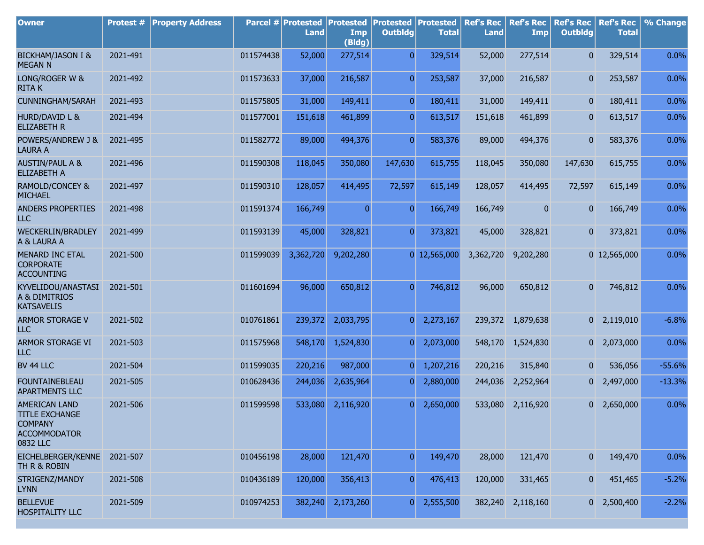| <b>Owner</b>                                                                                       | Protest # | <b>Property Address</b> |           | Parcel # Protested<br><b>Land</b> | <b>Protested</b><br>Imp<br>(Bldg) | <b>Protested</b><br><b>Outbldg</b> | Protested<br><b>Total</b> | <b>Ref's Rec</b><br><b>Land</b> | <b>Ref's Rec</b><br>Imp | <b>Ref's Rec</b><br><b>Outbldg</b> | <b>Ref's Rec</b><br><b>Total</b> | % Change |
|----------------------------------------------------------------------------------------------------|-----------|-------------------------|-----------|-----------------------------------|-----------------------------------|------------------------------------|---------------------------|---------------------------------|-------------------------|------------------------------------|----------------------------------|----------|
| <b>BICKHAM/JASON I &amp;</b><br><b>MEGAN N</b>                                                     | 2021-491  |                         | 011574438 | 52,000                            | 277,514                           | $\overline{0}$                     | 329,514                   | 52,000                          | 277,514                 | $\overline{0}$                     | 329,514                          | 0.0%     |
| LONG/ROGER W &<br><b>RITAK</b>                                                                     | 2021-492  |                         | 011573633 | 37,000                            | 216,587                           | $\overline{0}$                     | 253,587                   | 37,000                          | 216,587                 | $\overline{0}$                     | 253,587                          | 0.0%     |
| <b>CUNNINGHAM/SARAH</b>                                                                            | 2021-493  |                         | 011575805 | 31,000                            | 149,411                           | $\overline{0}$                     | 180,411                   | 31,000                          | 149,411                 | $\mathbf{0}$                       | 180,411                          | 0.0%     |
| <b>HURD/DAVID L &amp;</b><br><b>ELIZABETH R</b>                                                    | 2021-494  |                         | 011577001 | 151,618                           | 461,899                           | $\overline{0}$                     | 613,517                   | 151,618                         | 461,899                 | 0                                  | 613,517                          | 0.0%     |
| POWERS/ANDREW J &<br><b>LAURA A</b>                                                                | 2021-495  |                         | 011582772 | 89,000                            | 494,376                           | $\overline{0}$                     | 583,376                   | 89,000                          | 494,376                 | $\mathbf{0}$                       | 583,376                          | 0.0%     |
| <b>AUSTIN/PAUL A &amp;</b><br><b>ELIZABETH A</b>                                                   | 2021-496  |                         | 011590308 | 118,045                           | 350,080                           | 147,630                            | 615,755                   | 118,045                         | 350,080                 | 147,630                            | 615,755                          | $0.0\%$  |
| <b>RAMOLD/CONCEY &amp;</b><br><b>MICHAEL</b>                                                       | 2021-497  |                         | 011590310 | 128,057                           | 414,495                           | 72,597                             | 615,149                   | 128,057                         | 414,495                 | 72,597                             | 615,149                          | 0.0%     |
| <b>ANDERS PROPERTIES</b><br>ILC                                                                    | 2021-498  |                         | 011591374 | 166,749                           | $\overline{0}$                    | $\Omega$                           | 166,749                   | 166,749                         | $\overline{0}$          | 0                                  | 166,749                          | 0.0%     |
| <b>WECKERLIN/BRADLEY</b><br>A & LAURA A                                                            | 2021-499  |                         | 011593139 | 45,000                            | 328,821                           | $\overline{0}$                     | 373,821                   | 45,000                          | 328,821                 | $\mathbf{0}$                       | 373,821                          | 0.0%     |
| <b>MENARD INC ETAL</b><br><b>CORPORATE</b><br><b>ACCOUNTING</b>                                    | 2021-500  |                         | 011599039 | 3,362,720                         | 9,202,280                         |                                    | $0$ 12,565,000            | 3,362,720                       | 9,202,280               |                                    | $0$ 12,565,000                   | 0.0%     |
| KYVELIDOU/ANASTASI<br>A & DIMITRIOS<br><b>KATSAVELIS</b>                                           | 2021-501  |                         | 011601694 | 96,000                            | 650,812                           | $\overline{0}$                     | 746,812                   | 96,000                          | 650,812                 | $\overline{0}$                     | 746,812                          | 0.0%     |
| <b>ARMOR STORAGE V</b><br>LLC                                                                      | 2021-502  |                         | 010761861 | 239,372                           | 2,033,795                         | $\Omega$                           | 2,273,167                 |                                 | 239,372 1,879,638       |                                    | $0$ 2,119,010                    | $-6.8%$  |
| <b>ARMOR STORAGE VI</b><br>LLC                                                                     | 2021-503  |                         | 011575968 | 548,170                           | 1,524,830                         | $\overline{0}$                     | 2,073,000                 | 548,170                         | 1,524,830               |                                    | $0\quad 2,073,000$               | 0.0%     |
| BV 44 LLC                                                                                          | 2021-504  |                         | 011599035 | 220,216                           | 987,000                           | $\overline{0}$                     | 1,207,216                 | 220,216                         | 315,840                 | $\mathbf{0}$                       | 536,056                          | $-55.6%$ |
| <b>FOUNTAINEBLEAU</b><br><b>APARTMENTS LLC</b>                                                     | 2021-505  |                         | 010628436 | 244,036                           | 2,635,964                         |                                    | 2,880,000                 | 244,036                         | 2,252,964               | 0                                  | 2,497,000                        | $-13.3%$ |
| <b>AMERICAN LAND</b><br><b>TITLE EXCHANGE</b><br><b>COMPANY</b><br><b>ACCOMMODATOR</b><br>0832 LLC | 2021-506  |                         | 011599598 | 533,080                           | 2,116,920                         | $\Omega$                           | 2,650,000                 |                                 | 533,080 2,116,920       |                                    | $0\quad 2,650,000$               | 0.0%     |
| EICHELBERGER/KENNE 2021-507<br>TH R & ROBIN                                                        |           |                         | 010456198 | 28,000                            | 121,470                           | $\Omega$                           | 149,470                   | 28,000                          | 121,470                 | 0                                  | 149,470                          | 0.0%     |
| STRIGENZ/MANDY<br><b>LYNN</b>                                                                      | 2021-508  |                         | 010436189 | 120,000                           | 356,413                           | $\overline{0}$                     | 476,413                   | 120,000                         | 331,465                 | $\mathbf{0}$                       | 451,465                          | $-5.2%$  |
| <b>BELLEVUE</b><br><b>HOSPITALITY LLC</b>                                                          | 2021-509  |                         | 010974253 | 382,240                           | 2,173,260                         | $\mathbf{0}$                       | 2,555,500                 |                                 | 382,240 2,118,160       |                                    | $0\quad 2,500,400$               | $-2.2%$  |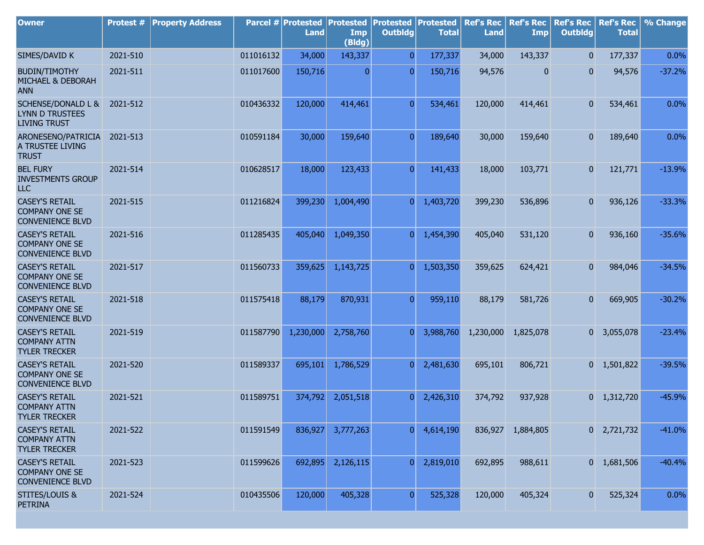| <b>Owner</b>                                                                   | <b>Protest #</b> | <b>Property Address</b> |           | Parcel # Protested<br><b>Land</b> | <b>Protested</b><br>Imp<br>(Bldg) | <b>Protested</b><br><b>Outbldg</b> | Protested<br><b>Total</b> | <b>Ref's Rec</b><br><b>Land</b> | <b>Ref's Rec</b><br>Imp | <b>Ref's Rec</b><br><b>Outbldg</b> | <b>Ref's Rec</b><br><b>Total</b> | % Change |
|--------------------------------------------------------------------------------|------------------|-------------------------|-----------|-----------------------------------|-----------------------------------|------------------------------------|---------------------------|---------------------------------|-------------------------|------------------------------------|----------------------------------|----------|
| SIMES/DAVID K                                                                  | 2021-510         |                         | 011016132 | 34,000                            | 143,337                           | $\overline{0}$                     | 177,337                   | 34,000                          | 143,337                 | $\overline{0}$                     | 177,337                          | 0.0%     |
| <b>BUDIN/TIMOTHY</b><br>MICHAEL & DEBORAH<br><b>ANN</b>                        | 2021-511         |                         | 011017600 | 150,716                           | 0                                 | $\overline{0}$                     | 150,716                   | 94,576                          | 0                       | $\mathbf{0}$                       | 94,576                           | $-37.2%$ |
| <b>SCHENSE/DONALD L &amp;</b><br><b>LYNN D TRUSTEES</b><br><b>LIVING TRUST</b> | 2021-512         |                         | 010436332 | 120,000                           | 414,461                           | $\overline{0}$                     | 534,461                   | 120,000                         | 414,461                 | $\overline{0}$                     | 534,461                          | 0.0%     |
| ARONESENO/PATRICIA<br>A TRUSTEE LIVING<br><b>TRUST</b>                         | 2021-513         |                         | 010591184 | 30,000                            | 159,640                           | $\overline{0}$                     | 189,640                   | 30,000                          | 159,640                 | $\overline{0}$                     | 189,640                          | 0.0%     |
| <b>BEL FURY</b><br><b>INVESTMENTS GROUP</b><br>ILC                             | 2021-514         |                         | 010628517 | 18,000                            | 123,433                           | $\overline{0}$                     | 141,433                   | 18,000                          | 103,771                 | $\overline{0}$                     | 121,771                          | $-13.9%$ |
| <b>CASEY'S RETAIL</b><br><b>COMPANY ONE SE</b><br><b>CONVENIENCE BLVD</b>      | 2021-515         |                         | 011216824 | 399,230                           | 1,004,490                         | $\overline{0}$                     | 1,403,720                 | 399,230                         | 536,896                 | $\mathbf{0}$                       | 936,126                          | $-33.3%$ |
| <b>CASEY'S RETAIL</b><br><b>COMPANY ONE SE</b><br><b>CONVENIENCE BLVD</b>      | 2021-516         |                         | 011285435 | 405,040                           | 1,049,350                         | $\overline{0}$                     | 1,454,390                 | 405,040                         | 531,120                 | $\mathbf{0}$                       | 936,160                          | $-35.6%$ |
| <b>CASEY'S RETAIL</b><br><b>COMPANY ONE SE</b><br><b>CONVENIENCE BLVD</b>      | 2021-517         |                         | 011560733 | 359,625                           | 1,143,725                         | $\overline{0}$                     | 1,503,350                 | 359,625                         | 624,421                 | $\overline{0}$                     | 984,046                          | $-34.5%$ |
| <b>CASEY'S RETAIL</b><br><b>COMPANY ONE SE</b><br><b>CONVENIENCE BLVD</b>      | 2021-518         |                         | 011575418 | 88,179                            | 870,931                           | $\overline{0}$                     | 959,110                   | 88,179                          | 581,726                 | $\mathbf{0}$                       | 669,905                          | $-30.2%$ |
| <b>CASEY'S RETAIL</b><br><b>COMPANY ATTN</b><br><b>TYLER TRECKER</b>           | 2021-519         |                         | 011587790 | 1,230,000                         | 2,758,760                         | $\overline{0}$                     | 3,988,760                 | 1,230,000                       | 1,825,078               |                                    | $0\quad 3,055,078$               | $-23.4%$ |
| <b>CASEY'S RETAIL</b><br><b>COMPANY ONE SE</b><br><b>CONVENIENCE BLVD</b>      | 2021-520         |                         | 011589337 | 695,101                           | 1,786,529                         | $\overline{0}$                     | 2,481,630                 | 695,101                         | 806,721                 |                                    | $0 \quad 1,501,822$              | $-39.5%$ |
| <b>CASEY'S RETAIL</b><br><b>COMPANY ATTN</b><br><b>TYLER TRECKER</b>           | 2021-521         |                         | 011589751 | 374,792                           | 2,051,518                         | $\overline{0}$                     | 2,426,310                 | 374,792                         | 937,928                 |                                    | $0 \quad 1,312,720$              | $-45.9%$ |
| <b>CASEY'S RETAIL</b><br><b>COMPANY ATTN</b><br><b>TYLER TRECKER</b>           | 2021-522         |                         | 011591549 | 836,927                           | 3,777,263                         | 0                                  | 4,614,190                 |                                 | 836,927 1,884,805       |                                    | $0 \quad 2,721,732$              | $-41.0%$ |
| <b>CASEY'S RETAIL</b><br><b>COMPANY ONE SE</b><br><b>CONVENIENCE BLVD</b>      | 2021-523         |                         | 011599626 | 692,895                           | 2,126,115                         | $\overline{0}$                     | 2,819,010                 | 692,895                         | 988,611                 |                                    | $0 \quad 1,681,506$              | $-40.4%$ |
| <b>STITES/LOUIS &amp;</b><br><b>PETRINA</b>                                    | 2021-524         |                         | 010435506 | 120,000                           | 405,328                           | 0                                  | 525,328                   | 120,000                         | 405,324                 | $\overline{0}$                     | 525,324                          | 0.0%     |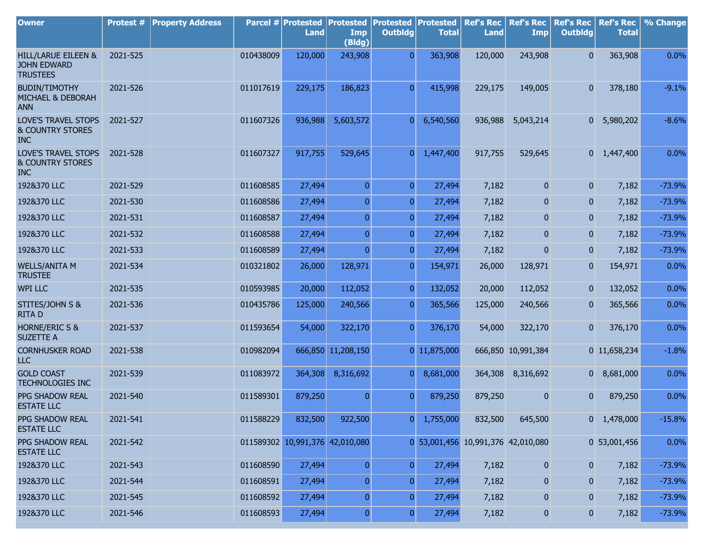| <b>Owner</b>                                                            | Protest # | <b>Property Address</b> |           | Parcel # Protested<br><b>Land</b> | <b>Protested</b><br>Imp<br>(Bldg) | <b>Protested</b><br><b>Outbldg</b> | Protested<br><b>Total</b>          | <b>Ref's Rec</b><br><b>Land</b> | <b>Ref's Rec</b><br><b>Imp</b> | <b>Ref's Rec</b><br><b>Outbldg</b> | <b>Ref's Rec</b><br><b>Total</b> | % Change |
|-------------------------------------------------------------------------|-----------|-------------------------|-----------|-----------------------------------|-----------------------------------|------------------------------------|------------------------------------|---------------------------------|--------------------------------|------------------------------------|----------------------------------|----------|
| HILL/LARUE EILEEN &<br><b>JOHN EDWARD</b><br><b>TRUSTEES</b>            | 2021-525  |                         | 010438009 | 120,000                           | 243,908                           | $\overline{0}$                     | 363,908                            | 120,000                         | 243,908                        | $\mathbf{0}$                       | 363,908                          | 0.0%     |
| <b>BUDIN/TIMOTHY</b><br>MICHAEL & DEBORAH<br><b>ANN</b>                 | 2021-526  |                         | 011017619 | 229,175                           | 186,823                           | $\overline{0}$                     | 415,998                            | 229,175                         | 149,005                        | $\overline{0}$                     | 378,180                          | $-9.1%$  |
| <b>LOVE'S TRAVEL STOPS</b><br><b>&amp; COUNTRY STORES</b><br><b>INC</b> | 2021-527  |                         | 011607326 | 936,988                           | 5,603,572                         | $\overline{0}$                     | 6,540,560                          | 936,988                         | 5,043,214                      | 0                                  | 5,980,202                        | $-8.6%$  |
| <b>LOVE'S TRAVEL STOPS</b><br><b>&amp; COUNTRY STORES</b><br><b>INC</b> | 2021-528  |                         | 011607327 | 917,755                           | 529,645                           | $\overline{0}$                     | 1,447,400                          | 917,755                         | 529,645                        |                                    | $0 \quad 1,447,400$              | 0.0%     |
| 192&370 LLC                                                             | 2021-529  |                         | 011608585 | 27,494                            | $\overline{0}$                    | $\overline{0}$                     | 27,494                             | 7,182                           | $\mathbf{0}$                   | $\overline{0}$                     | 7,182                            | $-73.9%$ |
| 192&370 LLC                                                             | 2021-530  |                         | 011608586 | 27,494                            | $\overline{0}$                    | $\overline{0}$                     | 27,494                             | 7,182                           | $\mathbf{0}$                   | $\overline{0}$                     | 7,182                            | $-73.9%$ |
| 192&370 LLC                                                             | 2021-531  |                         | 011608587 | 27,494                            | $\overline{0}$                    | $\overline{0}$                     | 27,494                             | 7,182                           | $\mathbf{0}$                   | $\overline{0}$                     | 7,182                            | $-73.9%$ |
| 192&370 LLC                                                             | 2021-532  |                         | 011608588 | 27,494                            | $\overline{0}$                    | $\overline{0}$                     | 27,494                             | 7,182                           | 0                              | $\overline{0}$                     | 7,182                            | $-73.9%$ |
| 192&370 LLC                                                             | 2021-533  |                         | 011608589 | 27,494                            | $\overline{0}$                    | $\overline{0}$                     | 27,494                             | 7,182                           | $\mathbf{0}$                   | $\boldsymbol{0}$                   | 7,182                            | $-73.9%$ |
| <b>WELLS/ANITA M</b><br><b>TRUSTEE</b>                                  | 2021-534  |                         | 010321802 | 26,000                            | 128,971                           | $\overline{0}$                     | 154,971                            | 26,000                          | 128,971                        | $\overline{0}$                     | 154,971                          | 0.0%     |
| <b>WPI LLC</b>                                                          | 2021-535  |                         | 010593985 | 20,000                            | 112,052                           | $\overline{0}$                     | 132,052                            | 20,000                          | 112,052                        | $\mathbf{0}$                       | 132,052                          | 0.0%     |
| STITES/JOHN S &<br><b>RITAD</b>                                         | 2021-536  |                         | 010435786 | 125,000                           | 240,566                           | $\overline{0}$                     | 365,566                            | 125,000                         | 240,566                        | $\mathbf{0}$                       | 365,566                          | 0.0%     |
| <b>HORNE/ERIC S &amp;</b><br><b>SUZETTE A</b>                           | 2021-537  |                         | 011593654 | 54,000                            | 322,170                           | $\overline{0}$                     | 376,170                            | 54,000                          | 322,170                        | $\overline{0}$                     | 376,170                          | 0.0%     |
| <b>CORNHUSKER ROAD</b><br><b>LLC</b>                                    | 2021-538  |                         | 010982094 |                                   | 666,850 11,208,150                |                                    | 0 11,875,000                       |                                 | 666,850 10,991,384             |                                    | 0 11,658,234                     | $-1.8%$  |
| <b>GOLD COAST</b><br><b>TECHNOLOGIES INC</b>                            | 2021-539  |                         | 011083972 | 364,308                           | 8,316,692                         | $\overline{0}$                     | 8,681,000                          |                                 | 364,308 8,316,692              |                                    | $0$ 8,681,000                    | 0.0%     |
| PPG SHADOW REAL<br><b>ESTATE LLC</b>                                    | 2021-540  |                         | 011589301 | 879,250                           | $\mathbf{0}$                      | $\Omega$                           | 879,250                            | 879,250                         | 0                              | 0                                  | 879,250                          | 0.0%     |
| PPG SHADOW REAL<br><b>ESTATE LLC</b>                                    | 2021-541  |                         | 011588229 | 832,500                           | 922,500                           | 0                                  | 1,755,000                          | 832,500                         | 645,500                        |                                    | $0 \quad 1,478,000$              | $-15.8%$ |
| PPG SHADOW REAL<br><b>ESTATE LLC</b>                                    | 2021-542  |                         |           | 011589302 10,991,376 42,010,080   |                                   |                                    | 0 53,001,456 10,991,376 42,010,080 |                                 |                                |                                    | 0 53,001,456                     | 0.0%     |
| 192&370 LLC                                                             | 2021-543  |                         | 011608590 | 27,494                            | $\overline{0}$                    | $\overline{0}$                     | 27,494                             | 7,182                           | 0                              | $\mathbf{0}$                       | 7,182                            | $-73.9%$ |
| 192&370 LLC                                                             | 2021-544  |                         | 011608591 | 27,494                            | $\overline{0}$                    | $\overline{0}$                     | 27,494                             | 7,182                           | 0                              | 0                                  | 7,182                            | $-73.9%$ |
| 192&370 LLC                                                             | 2021-545  |                         | 011608592 | 27,494                            | $\overline{0}$                    | $\overline{0}$                     | 27,494                             | 7,182                           | 0                              | 0                                  | 7,182                            | $-73.9%$ |
| 192&370 LLC                                                             | 2021-546  |                         | 011608593 | 27,494                            | $\boldsymbol{0}$                  | $\boldsymbol{0}$                   | 27,494                             | 7,182                           | $\boldsymbol{0}$               | $\boldsymbol{0}$                   | 7,182                            | $-73.9%$ |

r.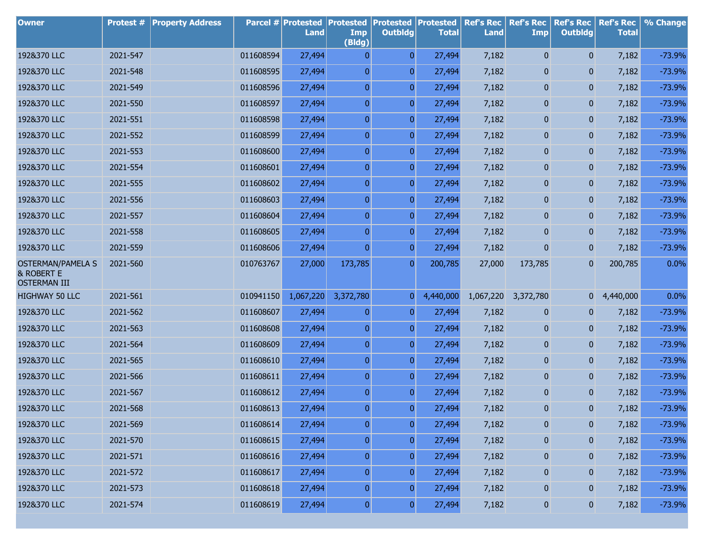| <b>Owner</b>                                                  | Protest # | <b>Property Address</b> |           | <b>Parcel # Protested</b><br>Land | <b>Protested</b><br>Imp<br>(Bldg) | <b>Protested Protested</b><br><b>Outbldg</b> | <b>Total</b> | <b>Ref's Rec</b><br><b>Land</b> | <b>Ref's Rec</b><br>Imp | <b>Ref's Rec</b><br><b>Outbldg</b> | <b>Ref's Rec</b><br><b>Total</b> | % Change |
|---------------------------------------------------------------|-----------|-------------------------|-----------|-----------------------------------|-----------------------------------|----------------------------------------------|--------------|---------------------------------|-------------------------|------------------------------------|----------------------------------|----------|
| 192&370 LLC                                                   | 2021-547  |                         | 011608594 | 27,494                            | $\mathbf{0}$                      | $\overline{0}$                               | 27,494       | 7,182                           | 0                       | $\mathbf{0}$                       | 7,182                            | $-73.9%$ |
| 192&370 LLC                                                   | 2021-548  |                         | 011608595 | 27,494                            | $\overline{0}$                    | $\overline{0}$                               | 27,494       | 7,182                           | 0                       | $\mathbf{0}$                       | 7,182                            | $-73.9%$ |
| 192&370 LLC                                                   | 2021-549  |                         | 011608596 | 27,494                            | $\overline{0}$                    | $\overline{0}$                               | 27,494       | 7,182                           | 0                       | $\mathbf{0}$                       | 7,182                            | $-73.9%$ |
| 192&370 LLC                                                   | 2021-550  |                         | 011608597 | 27,494                            | $\boldsymbol{0}$                  | $\overline{0}$                               | 27,494       | 7,182                           | 0                       | $\mathbf{0}$                       | 7,182                            | $-73.9%$ |
| 192&370 LLC                                                   | 2021-551  |                         | 011608598 | 27,494                            | $\overline{0}$                    | $\overline{0}$                               | 27,494       | 7,182                           | 0                       | $\mathbf{0}$                       | 7,182                            | $-73.9%$ |
| 192&370 LLC                                                   | 2021-552  |                         | 011608599 | 27,494                            | $\overline{0}$                    | $\overline{0}$                               | 27,494       | 7,182                           | 0                       | $\mathbf{0}$                       | 7,182                            | $-73.9%$ |
| 192&370 LLC                                                   | 2021-553  |                         | 011608600 | 27,494                            | $\overline{0}$                    | $\overline{0}$                               | 27,494       | 7,182                           | 0                       | $\mathbf{0}$                       | 7,182                            | $-73.9%$ |
| 192&370 LLC                                                   | 2021-554  |                         | 011608601 | 27,494                            | $\overline{0}$                    | $\overline{0}$                               | 27,494       | 7,182                           | 0                       | $\mathbf{0}$                       | 7,182                            | $-73.9%$ |
| 192&370 LLC                                                   | 2021-555  |                         | 011608602 | 27,494                            | $\overline{0}$                    | $\overline{0}$                               | 27,494       | 7,182                           | 0                       | $\mathbf{0}$                       | 7,182                            | $-73.9%$ |
| 192&370 LLC                                                   | 2021-556  |                         | 011608603 | 27,494                            | $\overline{0}$                    | $\overline{0}$                               | 27,494       | 7,182                           | 0                       | $\mathbf{0}$                       | 7,182                            | $-73.9%$ |
| 192&370 LLC                                                   | 2021-557  |                         | 011608604 | 27,494                            | $\overline{0}$                    | $\overline{0}$                               | 27,494       | 7,182                           | 0                       | $\mathbf{0}$                       | 7,182                            | $-73.9%$ |
| 192&370 LLC                                                   | 2021-558  |                         | 011608605 | 27,494                            | $\overline{0}$                    | $\overline{0}$                               | 27,494       | 7,182                           | 0                       | $\mathbf{0}$                       | 7,182                            | $-73.9%$ |
| 192&370 LLC                                                   | 2021-559  |                         | 011608606 | 27,494                            | $\overline{0}$                    | $\overline{0}$                               | 27,494       | 7,182                           | 0                       | $\mathbf{0}$                       | 7,182                            | $-73.9%$ |
| <b>OSTERMAN/PAMELA S</b><br>& ROBERT E<br><b>OSTERMAN III</b> | 2021-560  |                         | 010763767 | 27,000                            | 173,785                           | $\boldsymbol{0}$                             | 200,785      | 27,000                          | 173,785                 | $\mathbf{0}$                       | 200,785                          | 0.0%     |
| <b>HIGHWAY 50 LLC</b>                                         | 2021-561  |                         | 010941150 | 1,067,220                         | 3,372,780                         | $\overline{0}$                               | 4,440,000    | 1,067,220                       | 3,372,780               | $\overline{0}$                     | 4,440,000                        | 0.0%     |
| 192&370 LLC                                                   | 2021-562  |                         | 011608607 | 27,494                            | $\overline{0}$                    | 0                                            | 27,494       | 7,182                           | 0                       | $\mathbf{0}$                       | 7,182                            | $-73.9%$ |
| 192&370 LLC                                                   | 2021-563  |                         | 011608608 | 27,494                            | 0                                 | 0                                            | 27,494       | 7,182                           | 0                       | $\mathbf{0}$                       | 7,182                            | $-73.9%$ |
| 192&370 LLC                                                   | 2021-564  |                         | 011608609 | 27,494                            | 0                                 | 0                                            | 27,494       | 7,182                           | 0                       | $\mathbf{0}$                       | 7,182                            | $-73.9%$ |
| 192&370 LLC                                                   | 2021-565  |                         | 011608610 | 27,494                            | 0                                 | 0                                            | 27,494       | 7,182                           | 0                       | $\bf{0}$                           | 7,182                            | $-73.9%$ |
| 192&370 LLC                                                   | 2021-566  |                         | 011608611 | 27,494                            | 0                                 | 0                                            | 27,494       | 7,182                           | 0                       | $\mathbf{0}$                       | 7,182                            | $-73.9%$ |
| 192&370 LLC                                                   | 2021-567  |                         | 011608612 | 27,494                            | 0                                 | 0                                            | 27,494       | 7,182                           | 0                       | $\mathbf{0}$                       | 7,182                            | $-73.9%$ |
| 192&370 LLC                                                   | 2021-568  |                         | 011608613 | 27,494                            | $\mathbf{0}$                      | $\overline{0}$                               | 27,494       | 7,182                           | 0                       | 0                                  | 7,182                            | $-73.9%$ |
| 192&370 LLC                                                   | 2021-569  |                         | 011608614 | 27,494                            | $\boldsymbol{0}$                  | $\pmb{0}$                                    | 27,494       | 7,182                           | $\pmb{0}$               | $\pmb{0}$                          | 7,182                            | $-73.9%$ |
| 192&370 LLC                                                   | 2021-570  |                         | 011608615 | 27,494                            | $\boldsymbol{0}$                  | $\boldsymbol{0}$                             | 27,494       | 7,182                           | 0                       | 0                                  | 7,182                            | $-73.9%$ |
| 192&370 LLC                                                   | 2021-571  |                         | 011608616 | 27,494                            | $\boldsymbol{0}$                  | $\boldsymbol{0}$                             | 27,494       | 7,182                           | 0                       | 0                                  | 7,182                            | $-73.9%$ |
| 192&370 LLC                                                   | 2021-572  |                         | 011608617 | 27,494                            | $\boldsymbol{0}$                  | $\boldsymbol{0}$                             | 27,494       | 7,182                           | 0                       | $\mathbf{0}$                       | 7,182                            | $-73.9%$ |
| 192&370 LLC                                                   | 2021-573  |                         | 011608618 | 27,494                            | $\boldsymbol{0}$                  | $\boldsymbol{0}$                             | 27,494       | 7,182                           | 0                       | 0                                  | 7,182                            | $-73.9%$ |
| 192&370 LLC                                                   | 2021-574  |                         | 011608619 | 27,494                            | 0                                 | $\boldsymbol{0}$                             | 27,494       | 7,182                           | $\boldsymbol{0}$        | $\boldsymbol{0}$                   | 7,182                            | $-73.9%$ |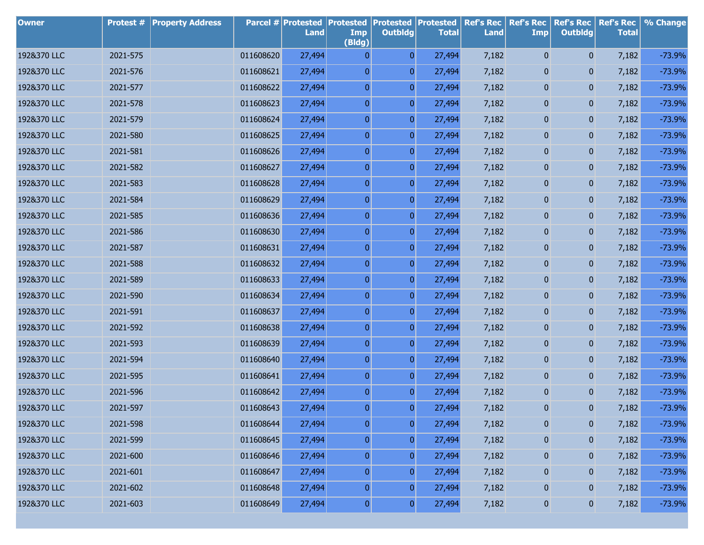| <b>Owner</b> | Protest # | <b>Property Address</b> |           | <b>Parcel # Protested</b><br>Land | <b>Protested</b><br>Imp<br>(Bldg) | <b>Protested</b><br><b>Outbldg</b> | <b>Protested</b><br><b>Total</b> | <b>Ref's Rec</b><br><b>Land</b> | <b>Ref's Rec</b><br><b>Imp</b> | <b>Ref's Rec</b><br><b>Outbldg</b> | <b>Ref's Rec</b><br><b>Total</b> | % Change |
|--------------|-----------|-------------------------|-----------|-----------------------------------|-----------------------------------|------------------------------------|----------------------------------|---------------------------------|--------------------------------|------------------------------------|----------------------------------|----------|
| 192&370 LLC  | 2021-575  |                         | 011608620 | 27,494                            | $\overline{0}$                    | $\overline{0}$                     | 27,494                           | 7,182                           | 0                              | $\mathbf{0}$                       | 7,182                            | $-73.9%$ |
| 192&370 LLC  | 2021-576  |                         | 011608621 | 27,494                            | $\boldsymbol{0}$                  | $\overline{0}$                     | 27,494                           | 7,182                           | 0                              | $\mathbf{0}$                       | 7,182                            | $-73.9%$ |
| 192&370 LLC  | 2021-577  |                         | 011608622 | 27,494                            | $\boldsymbol{0}$                  | $\boldsymbol{0}$                   | 27,494                           | 7,182                           | 0                              | 0                                  | 7,182                            | $-73.9%$ |
| 192&370 LLC  | 2021-578  |                         | 011608623 | 27,494                            | $\boldsymbol{0}$                  | $\overline{0}$                     | 27,494                           | 7,182                           | 0                              | 0                                  | 7,182                            | $-73.9%$ |
| 192&370 LLC  | 2021-579  |                         | 011608624 | 27,494                            | $\boldsymbol{0}$                  | $\overline{0}$                     | 27,494                           | 7,182                           | 0                              | 0                                  | 7,182                            | $-73.9%$ |
| 192&370 LLC  | 2021-580  |                         | 011608625 | 27,494                            | $\boldsymbol{0}$                  | $\overline{0}$                     | 27,494                           | 7,182                           | 0                              | 0                                  | 7,182                            | $-73.9%$ |
| 192&370 LLC  | 2021-581  |                         | 011608626 | 27,494                            | $\boldsymbol{0}$                  | $\boldsymbol{0}$                   | 27,494                           | 7,182                           | 0                              | 0                                  | 7,182                            | $-73.9%$ |
| 192&370 LLC  | 2021-582  |                         | 011608627 | 27,494                            | $\boldsymbol{0}$                  | $\overline{0}$                     | 27,494                           | 7,182                           | 0                              | 0                                  | 7,182                            | $-73.9%$ |
| 192&370 LLC  | 2021-583  |                         | 011608628 | 27,494                            | $\boldsymbol{0}$                  | $\boldsymbol{0}$                   | 27,494                           | 7,182                           | 0                              | 0                                  | 7,182                            | $-73.9%$ |
| 192&370 LLC  | 2021-584  |                         | 011608629 | 27,494                            | $\boldsymbol{0}$                  | $\overline{0}$                     | 27,494                           | 7,182                           | 0                              | 0                                  | 7,182                            | $-73.9%$ |
| 192&370 LLC  | 2021-585  |                         | 011608636 | 27,494                            | $\boldsymbol{0}$                  | $\boldsymbol{0}$                   | 27,494                           | 7,182                           | 0                              | 0                                  | 7,182                            | $-73.9%$ |
| 192&370 LLC  | 2021-586  |                         | 011608630 | 27,494                            | $\boldsymbol{0}$                  | $\overline{0}$                     | 27,494                           | 7,182                           | 0                              | 0                                  | 7,182                            | $-73.9%$ |
| 192&370 LLC  | 2021-587  |                         | 011608631 | 27,494                            | $\boldsymbol{0}$                  | $\boldsymbol{0}$                   | 27,494                           | 7,182                           | 0                              | 0                                  | 7,182                            | $-73.9%$ |
| 192&370 LLC  | 2021-588  |                         | 011608632 | 27,494                            | $\boldsymbol{0}$                  | $\overline{0}$                     | 27,494                           | 7,182                           | 0                              | 0                                  | 7,182                            | $-73.9%$ |
| 192&370 LLC  | 2021-589  |                         | 011608633 | 27,494                            | $\boldsymbol{0}$                  | $\boldsymbol{0}$                   | 27,494                           | 7,182                           | 0                              | 0                                  | 7,182                            | $-73.9%$ |
| 192&370 LLC  | 2021-590  |                         | 011608634 | 27,494                            | $\boldsymbol{0}$                  | $\overline{0}$                     | 27,494                           | 7,182                           | 0                              | 0                                  | 7,182                            | $-73.9%$ |
| 192&370 LLC  | 2021-591  |                         | 011608637 | 27,494                            | $\boldsymbol{0}$                  | $\overline{0}$                     | 27,494                           | 7,182                           | 0                              | 0                                  | 7,182                            | $-73.9%$ |
| 192&370 LLC  | 2021-592  |                         | 011608638 | 27,494                            | $\boldsymbol{0}$                  | $\overline{0}$                     | 27,494                           | 7,182                           | 0                              | 0                                  | 7,182                            | $-73.9%$ |
| 192&370 LLC  | 2021-593  |                         | 011608639 | 27,494                            | $\boldsymbol{0}$                  | $\overline{0}$                     | 27,494                           | 7,182                           | 0                              | 0                                  | 7,182                            | $-73.9%$ |
| 192&370 LLC  | 2021-594  |                         | 011608640 | 27,494                            | $\boldsymbol{0}$                  | $\overline{0}$                     | 27,494                           | 7,182                           | 0                              | 0                                  | 7,182                            | $-73.9%$ |
| 192&370 LLC  | 2021-595  |                         | 011608641 | 27,494                            | $\boldsymbol{0}$                  | $\boldsymbol{0}$                   | 27,494                           | 7,182                           | 0                              | 0                                  | 7,182                            | $-73.9%$ |
| 192&370 LLC  | 2021-596  |                         | 011608642 | 27,494                            | $\boldsymbol{0}$                  | $\overline{0}$                     | 27,494                           | 7,182                           | 0                              | 0                                  | 7,182                            | $-73.9%$ |
| 192&370 LLC  | 2021-597  |                         | 011608643 | 27,494                            | $\overline{0}$                    | $\overline{0}$                     | 27,494                           | 7,182                           | 0                              | $\mathbf{0}$                       | 7,182                            | $-73.9%$ |
| 192&370 LLC  | 2021-598  |                         | 011608644 | 27,494                            | $\boldsymbol{0}$                  | $\pmb{0}$                          | 27,494                           | 7,182                           | $\pmb{0}$                      | 0                                  | 7,182                            | $-73.9%$ |
| 192&370 LLC  | 2021-599  |                         | 011608645 | 27,494                            | $\boldsymbol{0}$                  | $\overline{0}$                     | 27,494                           | 7,182                           | $\bf{0}$                       | 0                                  | 7,182                            | $-73.9%$ |
| 192&370 LLC  | 2021-600  |                         | 011608646 | 27,494                            | $\boldsymbol{0}$                  | $\boldsymbol{0}$                   | 27,494                           | 7,182                           | 0                              | $\bf{0}$                           | 7,182                            | $-73.9%$ |
| 192&370 LLC  | 2021-601  |                         | 011608647 | 27,494                            | $\boldsymbol{0}$                  | $\overline{0}$                     | 27,494                           | 7,182                           | $\bf{0}$                       | 0                                  | 7,182                            | $-73.9%$ |
| 192&370 LLC  | 2021-602  |                         | 011608648 | 27,494                            | $\boldsymbol{0}$                  | $\boldsymbol{0}$                   | 27,494                           | 7,182                           | 0                              | $\bf{0}$                           | 7,182                            | $-73.9%$ |
| 192&370 LLC  | 2021-603  |                         | 011608649 | 27,494                            | $\boldsymbol{0}$                  | $\boldsymbol{0}$                   | 27,494                           | 7,182                           | 0                              | $\boldsymbol{0}$                   | 7,182                            | $-73.9%$ |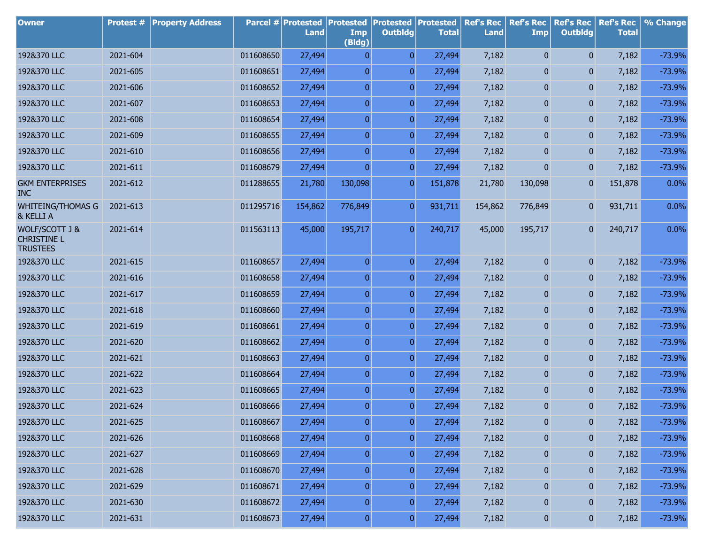| <b>Owner</b>                                            | Protest # | <b>Property Address</b> |           | Parcel # Protested<br>Land | Protested<br>Imp<br>(Bldg) | <b>Protested Protested</b><br><b>Outbldg</b> | <b>Total</b> | <b>Ref's Rec</b><br><b>Land</b> | <b>Ref's Rec</b><br><b>Imp</b> | <b>Ref's Rec</b><br><b>Outbldg</b> | <b>Ref's Rec</b><br><b>Total</b> | % Change |
|---------------------------------------------------------|-----------|-------------------------|-----------|----------------------------|----------------------------|----------------------------------------------|--------------|---------------------------------|--------------------------------|------------------------------------|----------------------------------|----------|
| 192&370 LLC                                             | 2021-604  |                         | 011608650 | 27,494                     | $\mathbf{0}$               | $\overline{0}$                               | 27,494       | 7,182                           | $\mathbf{0}$                   | $\overline{0}$                     | 7,182                            | $-73.9%$ |
| 192&370 LLC                                             | 2021-605  |                         | 011608651 | 27,494                     | 0                          | $\overline{0}$                               | 27,494       | 7,182                           | 0                              | $\mathbf{0}$                       | 7,182                            | $-73.9%$ |
| 192&370 LLC                                             | 2021-606  |                         | 011608652 | 27,494                     | $\overline{0}$             | $\overline{0}$                               | 27,494       | 7,182                           | 0                              | 0                                  | 7,182                            | $-73.9%$ |
| 192&370 LLC                                             | 2021-607  |                         | 011608653 | 27,494                     | $\overline{0}$             | $\overline{0}$                               | 27,494       | 7,182                           | 0                              | 0                                  | 7,182                            | $-73.9%$ |
| 192&370 LLC                                             | 2021-608  |                         | 011608654 | 27,494                     | $\overline{0}$             | $\overline{0}$                               | 27,494       | 7,182                           | 0                              | 0                                  | 7,182                            | $-73.9%$ |
| 192&370 LLC                                             | 2021-609  |                         | 011608655 | 27,494                     | $\overline{0}$             | $\overline{0}$                               | 27,494       | 7,182                           | 0                              | 0                                  | 7,182                            | $-73.9%$ |
| 192&370 LLC                                             | 2021-610  |                         | 011608656 | 27,494                     | $\overline{0}$             | $\overline{0}$                               | 27,494       | 7,182                           | 0                              | 0                                  | 7,182                            | $-73.9%$ |
| 192&370 LLC                                             | 2021-611  |                         | 011608679 | 27,494                     | $\overline{0}$             | $\overline{0}$                               | 27,494       | 7,182                           | 0                              | $\overline{0}$                     | 7,182                            | $-73.9%$ |
| <b>GKM ENTERPRISES</b><br><b>INC</b>                    | 2021-612  |                         | 011288655 | 21,780                     | 130,098                    | $\overline{0}$                               | 151,878      | 21,780                          | 130,098                        | 0                                  | 151,878                          | 0.0%     |
| <b>WHITEING/THOMAS G</b><br>& KELLI A                   | 2021-613  |                         | 011295716 | 154,862                    | 776,849                    | $\overline{0}$                               | 931,711      | 154,862                         | 776,849                        | $\overline{0}$                     | 931,711                          | 0.0%     |
| WOLF/SCOTT J &<br><b>CHRISTINE L</b><br><b>TRUSTEES</b> | 2021-614  |                         | 011563113 | 45,000                     | 195,717                    | $\overline{0}$                               | 240,717      | 45,000                          | 195,717                        | $\overline{0}$                     | 240,717                          | 0.0%     |
| 192&370 LLC                                             | 2021-615  |                         | 011608657 | 27,494                     | $\overline{0}$             | $\overline{0}$                               | 27,494       | 7,182                           | $\boldsymbol{0}$               | $\overline{0}$                     | 7,182                            | $-73.9%$ |
| 192&370 LLC                                             | 2021-616  |                         | 011608658 | 27,494                     | $\boldsymbol{0}$           | $\overline{0}$                               | 27,494       | 7,182                           | 0                              | $\overline{0}$                     | 7,182                            | $-73.9%$ |
| 192&370 LLC                                             | 2021-617  |                         | 011608659 | 27,494                     | $\overline{0}$             | $\overline{0}$                               | 27,494       | 7,182                           | $\overline{0}$                 | $\overline{0}$                     | 7,182                            | $-73.9%$ |
| 192&370 LLC                                             | 2021-618  |                         | 011608660 | 27,494                     | $\boldsymbol{0}$           | $\overline{0}$                               | 27,494       | 7,182                           | 0                              | $\overline{0}$                     | 7,182                            | $-73.9%$ |
| 192&370 LLC                                             | 2021-619  |                         | 011608661 | 27,494                     | $\overline{0}$             | $\overline{0}$                               | 27,494       | 7,182                           | $\overline{0}$                 | $\overline{0}$                     | 7,182                            | $-73.9%$ |
| 192&370 LLC                                             | 2021-620  |                         | 011608662 | 27,494                     | $\boldsymbol{0}$           | $\overline{0}$                               | 27,494       | 7,182                           | 0                              | $\overline{0}$                     | 7,182                            | $-73.9%$ |
| 192&370 LLC                                             | 2021-621  |                         | 011608663 | 27,494                     | $\overline{0}$             | $\overline{0}$                               | 27,494       | 7,182                           | $\overline{0}$                 | $\overline{0}$                     | 7,182                            | $-73.9%$ |
| 192&370 LLC                                             | 2021-622  |                         | 011608664 | 27,494                     | $\boldsymbol{0}$           | $\overline{0}$                               | 27,494       | 7,182                           | 0                              | $\overline{0}$                     | 7,182                            | $-73.9%$ |
| 192&370 LLC                                             | 2021-623  |                         | 011608665 | 27,494                     | $\boldsymbol{0}$           | $\overline{0}$                               | 27,494       | 7,182                           | $\overline{0}$                 | $\overline{0}$                     | 7,182                            | $-73.9%$ |
| 192&370 LLC                                             | 2021-624  |                         | 011608666 | 27,494                     | $\overline{0}$             | $\overline{0}$                               | 27,494       | 7,182                           | $\overline{0}$                 | $\overline{0}$                     | 7,182                            | $-73.9%$ |
| 192&370 LLC                                             | 2021-625  |                         | 011608667 | 27,494                     | $\pmb{0}$                  | $\pmb{0}$                                    | 27,494       | 7,182                           | $\pmb{0}$                      | $\pmb{0}$                          | 7,182                            | $-73.9%$ |
| 192&370 LLC                                             | 2021-626  |                         | 011608668 | 27,494                     | $\boldsymbol{0}$           | $\boldsymbol{0}$                             | 27,494       | 7,182                           | $\bf{0}$                       | $\boldsymbol{0}$                   | 7,182                            | $-73.9%$ |
| 192&370 LLC                                             | 2021-627  |                         | 011608669 | 27,494                     | $\boldsymbol{0}$           | $\boldsymbol{0}$                             | 27,494       | 7,182                           | $\pmb{0}$                      | $\boldsymbol{0}$                   | 7,182                            | $-73.9%$ |
| 192&370 LLC                                             | 2021-628  |                         | 011608670 | 27,494                     | $\boldsymbol{0}$           | $\boldsymbol{0}$                             | 27,494       | 7,182                           | $\bf{0}$                       | $\boldsymbol{0}$                   | 7,182                            | $-73.9%$ |
| 192&370 LLC                                             | 2021-629  |                         | 011608671 | 27,494                     | $\boldsymbol{0}$           | $\boldsymbol{0}$                             | 27,494       | 7,182                           | $\pmb{0}$                      | $\boldsymbol{0}$                   | 7,182                            | $-73.9%$ |
| 192&370 LLC                                             | 2021-630  |                         | 011608672 | 27,494                     | $\boldsymbol{0}$           | $\boldsymbol{0}$                             | 27,494       | 7,182                           | $\bf{0}$                       | $\boldsymbol{0}$                   | 7,182                            | $-73.9%$ |
| 192&370 LLC                                             | 2021-631  |                         | 011608673 | 27,494                     | 0                          | $\boldsymbol{0}$                             | 27,494       | 7,182                           | $\boldsymbol{0}$               | $\overline{0}$                     | 7,182                            | $-73.9%$ |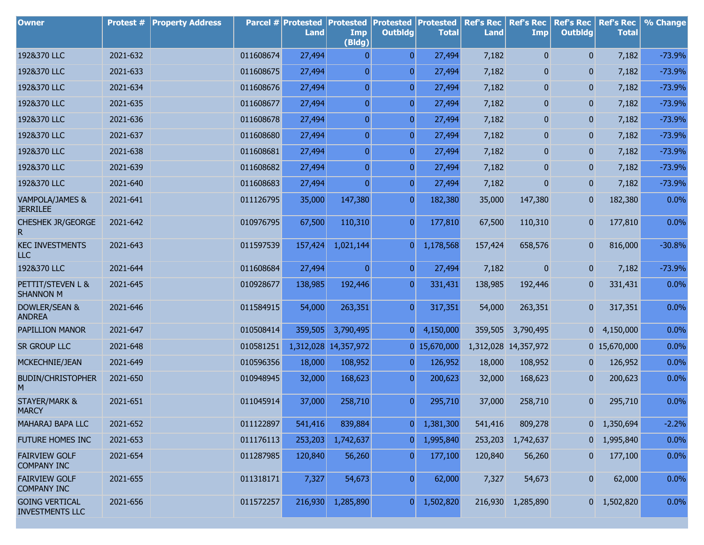| <b>Owner</b>                                    | Protest # | <b>Property Address</b> |           | Parcel # Protested<br>Land | <b>Protested</b><br>Imp<br>(Bldg) | <b>Protested</b><br><b>Outbldg</b> | <b>Protested</b><br><b>Total</b> | <b>Ref's Rec</b><br>Land | <b>Ref's Rec</b><br><b>Imp</b> | <b>Ref's Rec</b><br><b>Outbldg</b> | <b>Ref's Rec</b><br><b>Total</b> | % Change |
|-------------------------------------------------|-----------|-------------------------|-----------|----------------------------|-----------------------------------|------------------------------------|----------------------------------|--------------------------|--------------------------------|------------------------------------|----------------------------------|----------|
| 192&370 LLC                                     | 2021-632  |                         | 011608674 | 27,494                     | 0                                 | $\overline{0}$                     | 27,494                           | 7,182                    | $\overline{0}$                 | $\overline{0}$                     | 7,182                            | $-73.9%$ |
| 192&370 LLC                                     | 2021-633  |                         | 011608675 | 27,494                     | $\overline{0}$                    | $\overline{0}$                     | 27,494                           | 7,182                    | 0                              | 0                                  | 7,182                            | $-73.9%$ |
| 192&370 LLC                                     | 2021-634  |                         | 011608676 | 27,494                     | $\overline{0}$                    | $\overline{0}$                     | 27,494                           | 7,182                    | 0                              | 0                                  | 7,182                            | $-73.9%$ |
| 192&370 LLC                                     | 2021-635  |                         | 011608677 | 27,494                     | $\overline{0}$                    | $\overline{0}$                     | 27,494                           | 7,182                    | 0                              | 0                                  | 7,182                            | $-73.9%$ |
| 192&370 LLC                                     | 2021-636  |                         | 011608678 | 27,494                     | $\overline{0}$                    | $\overline{0}$                     | 27,494                           | 7,182                    | 0                              | 0                                  | 7,182                            | $-73.9%$ |
| 192&370 LLC                                     | 2021-637  |                         | 011608680 | 27,494                     | $\overline{0}$                    | $\overline{0}$                     | 27,494                           | 7,182                    | 0                              | 0                                  | 7,182                            | $-73.9%$ |
| 192&370 LLC                                     | 2021-638  |                         | 011608681 | 27,494                     | $\overline{0}$                    | $\overline{0}$                     | 27,494                           | 7,182                    | 0                              | 0                                  | 7,182                            | $-73.9%$ |
| 192&370 LLC                                     | 2021-639  |                         | 011608682 | 27,494                     | $\overline{0}$                    | $\overline{0}$                     | 27,494                           | 7,182                    | 0                              | 0                                  | 7,182                            | $-73.9%$ |
| 192&370 LLC                                     | 2021-640  |                         | 011608683 | 27,494                     | $\overline{0}$                    | $\overline{0}$                     | 27,494                           | 7,182                    | $\overline{0}$                 | 0                                  | 7,182                            | $-73.9%$ |
| VAMPOLA/JAMES &<br><b>JERRILEE</b>              | 2021-641  |                         | 011126795 | 35,000                     | 147,380                           | $\overline{0}$                     | 182,380                          | 35,000                   | 147,380                        | 0                                  | 182,380                          | 0.0%     |
| <b>CHESHEK JR/GEORGE</b><br>R                   | 2021-642  |                         | 010976795 | 67,500                     | 110,310                           | $\overline{0}$                     | 177,810                          | 67,500                   | 110,310                        | 0                                  | 177,810                          | 0.0%     |
| <b>KEC INVESTMENTS</b><br><b>LLC</b>            | 2021-643  |                         | 011597539 | 157,424                    | 1,021,144                         | $\overline{0}$                     | 1,178,568                        | 157,424                  | 658,576                        | $\overline{0}$                     | 816,000                          | $-30.8%$ |
| 192&370 LLC                                     | 2021-644  |                         | 011608684 | 27,494                     | $\overline{0}$                    | $\overline{0}$                     | 27,494                           | 7,182                    | $\mathbf{0}$                   | 0                                  | 7,182                            | $-73.9%$ |
| PETTIT/STEVEN L &<br><b>SHANNON M</b>           | 2021-645  |                         | 010928677 | 138,985                    | 192,446                           | $\overline{0}$                     | 331,431                          | 138,985                  | 192,446                        | 0                                  | 331,431                          | 0.0%     |
| DOWLER/SEAN &<br><b>ANDREA</b>                  | 2021-646  |                         | 011584915 | 54,000                     | 263,351                           | $\overline{0}$                     | 317,351                          | 54,000                   | 263,351                        | 0                                  | 317,351                          | 0.0%     |
| PAPILLION MANOR                                 | 2021-647  |                         | 010508414 | 359,505                    | 3,790,495                         | $\overline{0}$                     | 4,150,000                        | 359,505                  | 3,790,495                      | 01                                 | 4,150,000                        | 0.0%     |
| SR GROUP LLC                                    | 2021-648  |                         | 010581251 | 1,312,028                  | 14,357,972                        |                                    | $0$ 15,670,000                   |                          | 1,312,028 14,357,972           |                                    | 0 15,670,000                     | 0.0%     |
| MCKECHNIE/JEAN                                  | 2021-649  |                         | 010596356 | 18,000                     | 108,952                           | $\overline{0}$                     | 126,952                          | 18,000                   | 108,952                        | 0                                  | 126,952                          | 0.0%     |
| <b>BUDIN/CHRISTOPHER</b><br>M                   | 2021-650  |                         | 010948945 | 32,000                     | 168,623                           | $\boldsymbol{0}$                   | 200,623                          | 32,000                   | 168,623                        | 0                                  | 200,623                          | 0.0%     |
| <b>STAYER/MARK &amp;</b><br><b>MARCY</b>        | 2021-651  |                         | 011045914 | 37,000                     | 258,710                           | $\overline{0}$                     | 295,710                          | 37,000                   | 258,710                        | $\mathbf{0}$                       | 295,710                          | 0.0%     |
| MAHARAJ BAPA LLC                                | 2021-652  |                         | 011122897 | 541,416                    | 839,884                           | $\boldsymbol{0}$                   | 1,381,300                        | 541,416                  | 809,278                        |                                    | $0 \quad 1,350,694$              | $-2.2%$  |
| FUTURE HOMES INC                                | 2021-653  |                         | 011176113 | 253,203                    | 1,742,637                         | $\overline{0}$                     | 1,995,840                        | 253,203                  | 1,742,637                      | 01                                 | 1,995,840                        | 0.0%     |
| <b>FAIRVIEW GOLF</b><br><b>COMPANY INC</b>      | 2021-654  |                         | 011287985 | 120,840                    | 56,260                            | $\overline{0}$                     | 177,100                          | 120,840                  | 56,260                         | 0                                  | 177,100                          | 0.0%     |
| <b>FAIRVIEW GOLF</b><br><b>COMPANY INC</b>      | 2021-655  |                         | 011318171 | 7,327                      | 54,673                            | $\overline{0}$                     | 62,000                           | 7,327                    | 54,673                         | $\bf{0}$                           | 62,000                           | 0.0%     |
| <b>GOING VERTICAL</b><br><b>INVESTMENTS LLC</b> | 2021-656  |                         | 011572257 | 216,930                    | 1,285,890                         | $\overline{0}$                     | 1,502,820                        |                          | 216,930 1,285,890              |                                    | $0 \quad 1,502,820$              | 0.0%     |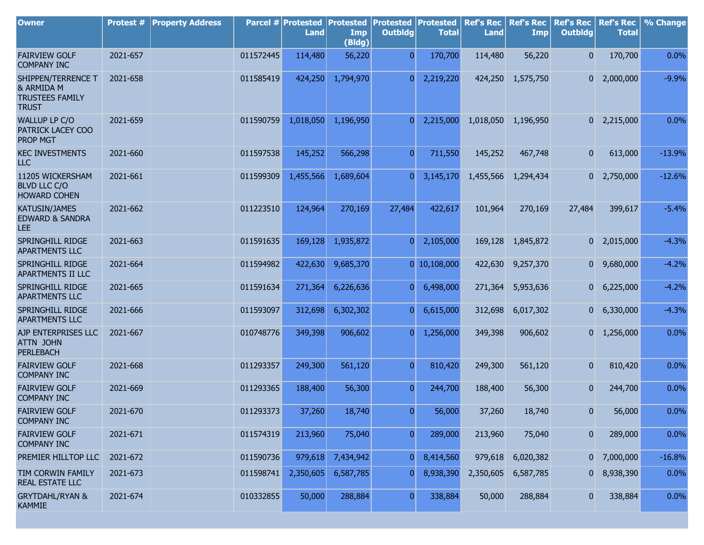| <b>Owner</b>                                                               | <b>Protest #</b> | <b>Property Address</b> |           | Parcel # Protested<br><b>Land</b> | <b>Protested</b><br>Imp<br>(Bldg) | <b>Protested</b><br><b>Outbldg</b> | Protested<br><b>Total</b> | <b>Ref's Rec</b><br><b>Land</b> | <b>Ref's Rec</b><br><b>Imp</b> | <b>Ref's Rec</b><br><b>Outbldg</b> | <b>Ref's Rec</b><br><b>Total</b> | % Change |
|----------------------------------------------------------------------------|------------------|-------------------------|-----------|-----------------------------------|-----------------------------------|------------------------------------|---------------------------|---------------------------------|--------------------------------|------------------------------------|----------------------------------|----------|
| <b>FAIRVIEW GOLF</b><br><b>COMPANY INC</b>                                 | 2021-657         |                         | 011572445 | 114,480                           | 56,220                            | $\overline{0}$                     | 170,700                   | 114,480                         | 56,220                         | $\overline{0}$                     | 170,700                          | 0.0%     |
| SHIPPEN/TERRENCE T<br>& ARMIDA M<br><b>TRUSTEES FAMILY</b><br><b>TRUST</b> | 2021-658         |                         | 011585419 | 424,250                           | 1,794,970                         | $\overline{0}$                     | 2,219,220                 | 424,250                         | 1,575,750                      | 0                                  | 2,000,000                        | $-9.9%$  |
| WALLUP LP C/O<br>PATRICK LACEY COO<br><b>PROP MGT</b>                      | 2021-659         |                         | 011590759 | 1,018,050                         | 1,196,950                         | $\overline{0}$                     | 2,215,000                 | 1,018,050                       | 1,196,950                      |                                    | $0\quad 2,215,000$               | 0.0%     |
| <b>KEC INVESTMENTS</b><br><b>LLC</b>                                       | 2021-660         |                         | 011597538 | 145,252                           | 566,298                           | $\overline{0}$                     | 711,550                   | 145,252                         | 467,748                        | $\mathbf{0}$                       | 613,000                          | $-13.9%$ |
| 11205 WICKERSHAM<br><b>BLVD LLC C/O</b><br><b>HOWARD COHEN</b>             | 2021-661         |                         | 011599309 | 1,455,566                         | 1,689,604                         | $\overline{0}$                     | 3,145,170                 | 1,455,566                       | 1,294,434                      |                                    | $0\quad 2,750,000$               | $-12.6%$ |
| KATUSIN/JAMES<br><b>EDWARD &amp; SANDRA</b><br><b>LEE</b>                  | 2021-662         |                         | 011223510 | 124,964                           | 270,169                           | 27,484                             | 422,617                   | 101,964                         | 270,169                        | 27,484                             | 399,617                          | $-5.4%$  |
| SPRINGHILL RIDGE<br><b>APARTMENTS LLC</b>                                  | 2021-663         |                         | 011591635 | 169,128                           | 1,935,872                         | $\overline{0}$                     | 2,105,000                 | 169,128                         | 1,845,872                      |                                    | $0\quad 2,015,000$               | $-4.3%$  |
| SPRINGHILL RIDGE<br>APARTMENTS II LLC                                      | 2021-664         |                         | 011594982 | 422,630                           | 9,685,370                         |                                    | $0$ 10,108,000            | 422,630                         | 9,257,370                      |                                    | $0\quad 9,680,000$               | $-4.2%$  |
| SPRINGHILL RIDGE<br><b>APARTMENTS LLC</b>                                  | 2021-665         |                         | 011591634 | 271,364                           | 6,226,636                         | 0                                  | 6,498,000                 | 271,364                         | 5,953,636                      | 0                                  | 6,225,000                        | $-4.2%$  |
| SPRINGHILL RIDGE<br><b>APARTMENTS LLC</b>                                  | 2021-666         |                         | 011593097 | 312,698                           | 6,302,302                         | $\overline{0}$                     | 6,615,000                 | 312,698                         | 6,017,302                      |                                    | $0\quad 6,330,000$               | $-4.3%$  |
| AJP ENTERPRISES LLC<br>ATTN JOHN<br><b>PERLEBACH</b>                       | 2021-667         |                         | 010748776 | 349,398                           | 906,602                           | $\overline{0}$                     | 1,256,000                 | 349,398                         | 906,602                        |                                    | $0 \quad 1,256,000$              | 0.0%     |
| <b>FAIRVIEW GOLF</b><br><b>COMPANY INC</b>                                 | 2021-668         |                         | 011293357 | 249,300                           | 561,120                           | $\overline{0}$                     | 810,420                   | 249,300                         | 561,120                        | 0                                  | 810,420                          | 0.0%     |
| <b>FAIRVIEW GOLF</b><br><b>COMPANY INC</b>                                 | 2021-669         |                         | 011293365 | 188,400                           | 56,300                            | $\overline{0}$                     | 244,700                   | 188,400                         | 56,300                         | 0                                  | 244,700                          | 0.0%     |
| <b>FAIRVIEW GOLF</b><br><b>COMPANY INC</b>                                 | 2021-670         |                         | 011293373 | 37,260                            | 18,740                            | $\overline{0}$                     | 56,000                    | 37,260                          | 18,740                         | 0                                  | 56,000                           | 0.0%     |
| <b>FAIRVIEW GOLF</b><br><b>COMPANY INC</b>                                 | 2021-671         |                         | 011574319 | 213,960                           | 75,040                            | $\overline{0}$                     | 289,000                   | 213,960                         | 75,040                         | 0                                  | 289,000                          | 0.0%     |
| PREMIER HILLTOP LLC                                                        | 2021-672         |                         | 011590736 | 979,618                           | 7,434,942                         | $\overline{0}$                     | 8,414,560                 | 979,618                         | 6,020,382                      | 0                                  | 7,000,000                        | $-16.8%$ |
| TIM CORWIN FAMILY<br>REAL ESTATE LLC                                       | 2021-673         |                         | 011598741 | 2,350,605                         | 6,587,785                         | 0                                  | 8,938,390                 | 2,350,605                       | 6,587,785                      | $\mathbf{0}$                       | 8,938,390                        | 0.0%     |
| <b>GRYTDAHL/RYAN &amp;</b><br><b>KAMMIE</b>                                | 2021-674         |                         | 010332855 | 50,000                            | 288,884                           | $\overline{0}$                     | 338,884                   | 50,000                          | 288,884                        | $\mathbf{0}$                       | 338,884                          | 0.0%     |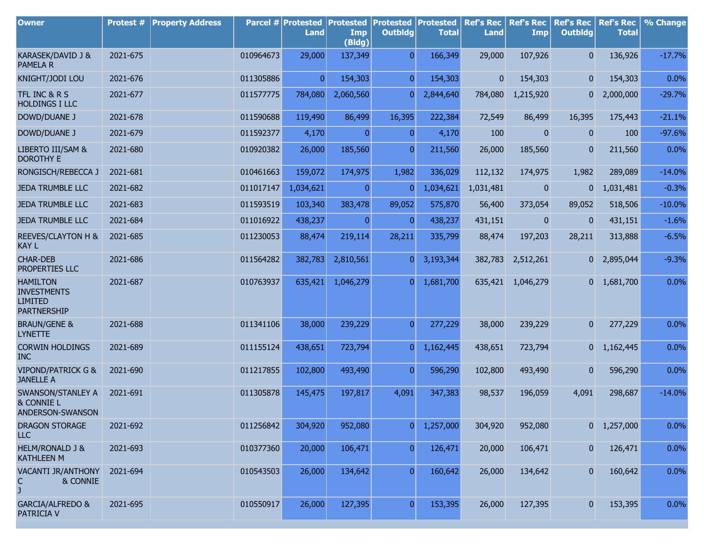| <b>Owner</b>                                                                  | Protest # | <b>Property Address</b> |           | Parcel # Protested<br>Land | <b>Protested</b><br>Imp<br>(Bldg) | <b>Protested</b><br><b>Outbldg</b> | Protested<br><b>Total</b> | <b>Ref's Rec</b><br><b>Land</b> | <b>Ref's Rec</b><br>Imp | <b>Ref's Rec</b><br><b>Outbldg</b> | <b>Ref's Rec</b><br><b>Total</b> | % Change  |
|-------------------------------------------------------------------------------|-----------|-------------------------|-----------|----------------------------|-----------------------------------|------------------------------------|---------------------------|---------------------------------|-------------------------|------------------------------------|----------------------------------|-----------|
| KARASEK/DAVID J &<br><b>PAMELA R</b>                                          | 2021-675  |                         | 010964673 | 29,000                     | 137,349                           | $\overline{0}$                     | 166,349                   | 29,000                          | 107,926                 | $\overline{0}$                     | 136,926                          | $-17.7%$  |
| KNIGHT/JODI LOU                                                               | 2021-676  |                         | 011305886 | $\Omega$                   | 154,303                           | $\overline{0}$                     | 154,303                   | $\overline{0}$                  | 154,303                 | $\overline{0}$                     | 154,303                          | 0.0%      |
| TFL INC & R S<br><b>HOLDINGS I LLC</b>                                        | 2021-677  |                         | 011577775 | 784,080                    | 2,060,560                         | n                                  | 2,844,640                 | 784,080                         | 1,215,920               | 0                                  | 2,000,000                        | $-29.7%$  |
| DOWD/DUANE J                                                                  | 2021-678  |                         | 011590688 | 119,490                    | 86,499                            | 16,395                             | 222,384                   | 72,549                          | 86,499                  | 16,395                             | 175,443                          | $-21.1%$  |
| DOWD/DUANE J                                                                  | 2021-679  |                         | 011592377 | 4,170                      | $\Omega$                          | $\overline{0}$                     | 4,170                     | 100                             | $\mathbf{0}$            | $\mathbf{0}$                       | 100                              | $-97.6%$  |
| LIBERTO III/SAM &<br><b>DOROTHY E</b>                                         | 2021-680  |                         | 010920382 | 26,000                     | 185,560                           | 0                                  | 211,560                   | 26,000                          | 185,560                 | $\mathbf{0}$                       | 211,560                          | 0.0%      |
| RONGISCH/REBECCA J                                                            | 2021-681  |                         | 010461663 | 159,072                    | 174,975                           | 1,982                              | 336,029                   | 112,132                         | 174,975                 | 1,982                              | 289,089                          | $-14.0%$  |
| <b>JEDA TRUMBLE LLC</b>                                                       | 2021-682  |                         | 011017147 | 1,034,621                  | $\mathbf{0}$                      | 0                                  | 1,034,621                 | 1,031,481                       | $\mathbf{0}$            | $\mathbf{0}$                       | 1,031,481                        | $-0.3%$   |
| <b>JEDA TRUMBLE LLC</b>                                                       | 2021-683  |                         | 011593519 | 103,340                    | 383,478                           | 89,052                             | 575,870                   | 56,400                          | 373,054                 | 89,052                             | 518,506                          | $-10.0\%$ |
| <b>JEDA TRUMBLE LLC</b>                                                       | 2021-684  |                         | 011016922 | 438,237                    | $\mathbf{0}$                      | 0                                  | 438,237                   | 431,151                         | $\mathbf{0}$            | $\mathbf{0}$                       | 431,151                          | $-1.6%$   |
| REEVES/CLAYTON H &<br><b>KAY L</b>                                            | 2021-685  |                         | 011230053 | 88,474                     | 219,114                           | 28,211                             | 335,799                   | 88,474                          | 197,203                 | 28,211                             | 313,888                          | $-6.5%$   |
| <b>CHAR-DEB</b><br>PROPERTIES LLC                                             | 2021-686  |                         | 011564282 | 382,783                    | 2,810,561                         | 0                                  | 3,193,344                 | 382,783                         | 2,512,261               | $\overline{0}$                     | 2,895,044                        | $-9.3%$   |
| <b>HAMILTON</b><br><b>INVESTMENTS</b><br><b>LIMITED</b><br><b>PARTNERSHIP</b> | 2021-687  |                         | 010763937 | 635,421                    | 1,046,279                         | $\overline{0}$                     | 1,681,700                 |                                 | 635,421 1,046,279       |                                    | $0 \quad 1,681,700$              | 0.0%      |
| <b>BRAUN/GENE &amp;</b><br><b>LYNETTE</b>                                     | 2021-688  |                         | 011341106 | 38,000                     | 239,229                           | $\overline{0}$                     | 277,229                   | 38,000                          | 239,229                 | $\overline{0}$                     | 277,229                          | 0.0%      |
| <b>CORWIN HOLDINGS</b><br><b>INC</b>                                          | 2021-689  |                         | 011155124 | 438,651                    | 723,794                           | $\overline{0}$                     | 1,162,445                 | 438,651                         | 723,794                 | $\overline{0}$                     | 1,162,445                        | 0.0%      |
| <b>VIPOND/PATRICK G &amp;</b><br><b>JANELLE A</b>                             | 2021-690  |                         | 011217855 | 102,800                    | 493,490                           | 0                                  | 596,290                   | 102,800                         | 493,490                 | $\overline{0}$                     | 596,290                          | 0.0%      |
| SWANSON/STANLEY A<br>& CONNIE L<br>ANDERSON-SWANSON                           | 2021-691  |                         | 011305878 | 145,475                    | 197,817                           | 4,091                              | 347,383                   | 98,537                          | 196,059                 | 4,091                              | 298,687                          | $-14.0%$  |
| DRAGON STORAGE<br><b>LLC</b>                                                  | 2021-692  |                         | 011256842 | 304,920                    | 952,080                           | 0                                  | 1,257,000                 | 304,920                         | 952,080                 |                                    | $0 \quad 1,257,000$              | 0.0%      |
| HELM/RONALD J &<br><b>KATHLEEN M</b>                                          | 2021-693  |                         | 010377360 | 20,000                     | 106,471                           | $\overline{0}$                     | 126,471                   | 20,000                          | 106,471                 | 0                                  | 126,471                          | 0.0%      |
| VACANTI JR/ANTHONY<br>C.<br>& CONNIE<br>J                                     | 2021-694  |                         | 010543503 | 26,000                     | 134,642                           | 0                                  | 160,642                   | 26,000                          | 134,642                 | $\boldsymbol{0}$                   | 160,642                          | 0.0%      |
| <b>GARCIA/ALFREDO &amp;</b><br>PATRICIA V                                     | 2021-695  |                         | 010550917 | 26,000                     | 127,395                           | 0                                  | 153,395                   | 26,000                          | 127,395                 | $\mathbf{0}$                       | 153,395                          | 0.0%      |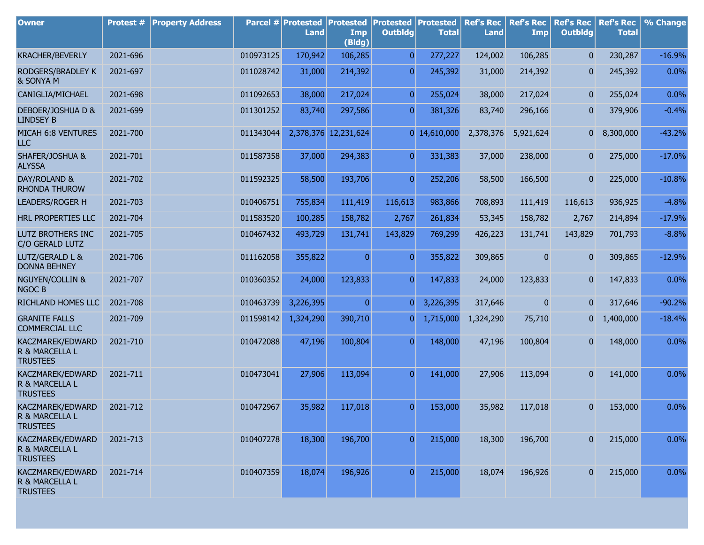| <b>Owner</b>                                          | Protest # | <b>Property Address</b> |           | Parcel # Protested<br><b>Land</b> | <b>Protested</b><br>Imp<br>(Bldg) | <b>Protested Protested</b><br><b>Outbldg</b> | <b>Total</b>   | <b>Ref's Rec</b><br><b>Land</b> | <b>Ref's Rec</b><br><b>Imp</b> | <b>Ref's Rec</b><br><b>Outbldg</b> | <b>Ref's Rec</b><br><b>Total</b> | % Change |
|-------------------------------------------------------|-----------|-------------------------|-----------|-----------------------------------|-----------------------------------|----------------------------------------------|----------------|---------------------------------|--------------------------------|------------------------------------|----------------------------------|----------|
| <b>KRACHER/BEVERLY</b>                                | 2021-696  |                         | 010973125 | 170,942                           | 106,285                           | $\overline{0}$                               | 277,227        | 124,002                         | 106,285                        | $\overline{0}$                     | 230,287                          | $-16.9%$ |
| RODGERS/BRADLEY K<br>& SONYA M                        | 2021-697  |                         | 011028742 | 31,000                            | 214,392                           | $\overline{0}$                               | 245,392        | 31,000                          | 214,392                        | $\mathbf{0}$                       | 245,392                          | 0.0%     |
| CANIGLIA/MICHAEL                                      | 2021-698  |                         | 011092653 | 38,000                            | 217,024                           | $\overline{0}$                               | 255,024        | 38,000                          | 217,024                        | $\mathbf{0}$                       | 255,024                          | 0.0%     |
| DEBOER/JOSHUA D &<br><b>LINDSEY B</b>                 | 2021-699  |                         | 011301252 | 83,740                            | 297,586                           | $\overline{0}$                               | 381,326        | 83,740                          | 296,166                        | $\overline{0}$                     | 379,906                          | $-0.4%$  |
| MICAH 6:8 VENTURES<br><b>LLC</b>                      | 2021-700  |                         | 011343044 |                                   | 2,378,376 12,231,624              |                                              | $0$ 14,610,000 | 2,378,376                       | 5,921,624                      |                                    | $0$ 8,300,000                    | $-43.2%$ |
| SHAFER/JOSHUA &<br><b>ALYSSA</b>                      | 2021-701  |                         | 011587358 | 37,000                            | 294,383                           | $\overline{0}$                               | 331,383        | 37,000                          | 238,000                        | 0                                  | 275,000                          | $-17.0%$ |
| DAY/ROLAND &<br><b>RHONDA THUROW</b>                  | 2021-702  |                         | 011592325 | 58,500                            | 193,706                           | $\overline{0}$                               | 252,206        | 58,500                          | 166,500                        | $\overline{0}$                     | 225,000                          | $-10.8%$ |
| LEADERS/ROGER H                                       | 2021-703  |                         | 010406751 | 755,834                           | 111,419                           | 116,613                                      | 983,866        | 708,893                         | 111,419                        | 116,613                            | 936,925                          | $-4.8%$  |
| HRL PROPERTIES LLC                                    | 2021-704  |                         | 011583520 | 100,285                           | 158,782                           | 2,767                                        | 261,834        | 53,345                          | 158,782                        | 2,767                              | 214,894                          | $-17.9%$ |
| LUTZ BROTHERS INC<br>C/O GERALD LUTZ                  | 2021-705  |                         | 010467432 | 493,729                           | 131,741                           | 143,829                                      | 769,299        | 426,223                         | 131,741                        | 143,829                            | 701,793                          | $-8.8%$  |
| LUTZ/GERALD L &<br><b>DONNA BEHNEY</b>                | 2021-706  |                         | 011162058 | 355,822                           | $\overline{0}$                    | $\overline{0}$                               | 355,822        | 309,865                         | 0                              | $\overline{0}$                     | 309,865                          | $-12.9%$ |
| <b>NGUYEN/COLLIN &amp;</b><br><b>NGOC B</b>           | 2021-707  |                         | 010360352 | 24,000                            | 123,833                           | $\overline{0}$                               | 147,833        | 24,000                          | 123,833                        | $\overline{0}$                     | 147,833                          | 0.0%     |
| RICHLAND HOMES LLC                                    | 2021-708  |                         | 010463739 | 3,226,395                         | $\overline{0}$                    | $\overline{0}$                               | 3,226,395      | 317,646                         | $\overline{0}$                 | $\mathbf{0}$                       | 317,646                          | $-90.2%$ |
| <b>GRANITE FALLS</b><br><b>COMMERCIAL LLC</b>         | 2021-709  |                         | 011598142 | 1,324,290                         | 390,710                           | 0                                            | 1,715,000      | 1,324,290                       | 75,710                         | $\overline{0}$                     | 1,400,000                        | $-18.4%$ |
| KACZMAREK/EDWARD<br>R & MARCELLA L<br><b>TRUSTEES</b> | 2021-710  |                         | 010472088 | 47,196                            | 100,804                           | $\overline{0}$                               | 148,000        | 47,196                          | 100,804                        | $\overline{0}$                     | 148,000                          | 0.0%     |
| KACZMAREK/EDWARD<br>R & MARCELLA L<br><b>TRUSTEES</b> | 2021-711  |                         | 010473041 | 27,906                            | 113,094                           | $\overline{0}$                               | 141,000        | 27,906                          | 113,094                        | $\overline{0}$                     | 141,000                          | 0.0%     |
| KACZMAREK/EDWARD<br>R & MARCELLA L<br><b>TRUSTEES</b> | 2021-712  |                         | 010472967 | 35,982                            | 117,018                           | $\overline{0}$                               | 153,000        | 35,982                          | 117,018                        | 0                                  | 153,000                          | 0.0%     |
| KACZMAREK/EDWARD<br>R & MARCELLA L<br><b>TRUSTEES</b> | 2021-713  |                         | 010407278 | 18,300                            | 196,700                           | $\boldsymbol{0}$                             | 215,000        | 18,300                          | 196,700                        | $\mathbf{0}$                       | 215,000                          | 0.0%     |
| KACZMAREK/EDWARD<br>R & MARCELLA L<br><b>TRUSTEES</b> | 2021-714  |                         | 010407359 | 18,074                            | 196,926                           | $\overline{0}$                               | 215,000        | 18,074                          | 196,926                        | $\mathbf{0}$                       | 215,000                          | 0.0%     |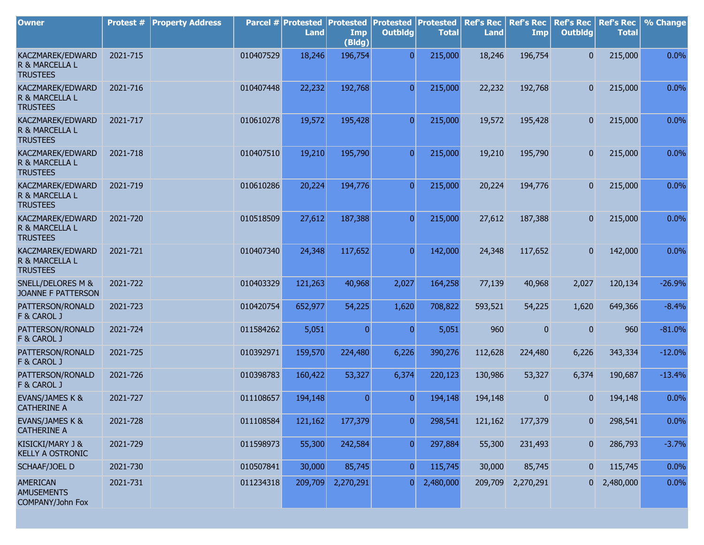| <b>Owner</b>                                             | Protest # | <b>Property Address</b> |           | Parcel # Protested<br><b>Land</b> | <b>Protested</b><br>Imp<br>(Bldg) | Protested<br><b>Outbldg</b> | Protested<br><b>Total</b> | <b>Ref's Rec</b><br><b>Land</b> | <b>Ref's Rec</b><br>Imp | <b>Ref's Rec</b><br><b>Outbldg</b> | <b>Ref's Rec</b><br><b>Total</b> | % Change |
|----------------------------------------------------------|-----------|-------------------------|-----------|-----------------------------------|-----------------------------------|-----------------------------|---------------------------|---------------------------------|-------------------------|------------------------------------|----------------------------------|----------|
| KACZMAREK/EDWARD<br>R & MARCELLA L<br><b>TRUSTEES</b>    | 2021-715  |                         | 010407529 | 18,246                            | 196,754                           | $\overline{0}$              | 215,000                   | 18,246                          | 196,754                 | $\overline{0}$                     | 215,000                          | 0.0%     |
| KACZMAREK/EDWARD<br>R & MARCELLA L<br><b>TRUSTEES</b>    | 2021-716  |                         | 010407448 | 22,232                            | 192,768                           | $\overline{0}$              | 215,000                   | 22,232                          | 192,768                 | $\overline{0}$                     | 215,000                          | 0.0%     |
| KACZMAREK/EDWARD<br>R & MARCELLA L<br><b>TRUSTEES</b>    | 2021-717  |                         | 010610278 | 19,572                            | 195,428                           | $\overline{0}$              | 215,000                   | 19,572                          | 195,428                 | $\overline{0}$                     | 215,000                          | 0.0%     |
| KACZMAREK/EDWARD<br>R & MARCELLA L<br><b>TRUSTEES</b>    | 2021-718  |                         | 010407510 | 19,210                            | 195,790                           | $\overline{0}$              | 215,000                   | 19,210                          | 195,790                 | $\overline{0}$                     | 215,000                          | 0.0%     |
| KACZMAREK/EDWARD<br>R & MARCELLA L<br><b>TRUSTEES</b>    | 2021-719  |                         | 010610286 | 20,224                            | 194,776                           | $\overline{0}$              | 215,000                   | 20,224                          | 194,776                 | $\overline{0}$                     | 215,000                          | 0.0%     |
| KACZMAREK/EDWARD<br>R & MARCELLA L<br><b>TRUSTEES</b>    | 2021-720  |                         | 010518509 | 27,612                            | 187,388                           | $\overline{0}$              | 215,000                   | 27,612                          | 187,388                 | $\overline{0}$                     | 215,000                          | 0.0%     |
| KACZMAREK/EDWARD<br>R & MARCELLA L<br><b>TRUSTEES</b>    | 2021-721  |                         | 010407340 | 24,348                            | 117,652                           | $\overline{0}$              | 142,000                   | 24,348                          | 117,652                 | $\overline{0}$                     | 142,000                          | 0.0%     |
| SNELL/DELORES M &<br>JOANNE F PATTERSON                  | 2021-722  |                         | 010403329 | 121,263                           | 40,968                            | 2,027                       | 164,258                   | 77,139                          | 40,968                  | 2,027                              | 120,134                          | $-26.9%$ |
| PATTERSON/RONALD<br>F & CAROL J                          | 2021-723  |                         | 010420754 | 652,977                           | 54,225                            | 1,620                       | 708,822                   | 593,521                         | 54,225                  | 1,620                              | 649,366                          | $-8.4%$  |
| PATTERSON/RONALD<br>F & CAROL J                          | 2021-724  |                         | 011584262 | 5,051                             | $\overline{0}$                    | $\overline{0}$              | 5,051                     | 960                             | $\overline{0}$          | $\overline{0}$                     | 960                              | $-81.0%$ |
| PATTERSON/RONALD<br>F & CAROL J                          | 2021-725  |                         | 010392971 | 159,570                           | 224,480                           | 6,226                       | 390,276                   | 112,628                         | 224,480                 | 6,226                              | 343,334                          | $-12.0%$ |
| PATTERSON/RONALD<br>F & CAROL J                          | 2021-726  |                         | 010398783 | 160,422                           | 53,327                            | 6,374                       | 220,123                   | 130,986                         | 53,327                  | 6,374                              | 190,687                          | $-13.4%$ |
| <b>EVANS/JAMES K &amp;</b><br><b>CATHERINE A</b>         | 2021-727  |                         | 011108657 | 194,148                           | $\overline{0}$                    | O.                          | 194,148                   | 194,148                         | $\overline{0}$          | 0                                  | 194,148                          | 0.0%     |
| <b>EVANS/JAMES K &amp;</b><br><b>CATHERINE A</b>         | 2021-728  |                         | 011108584 | 121,162                           | 177,379                           | $\boldsymbol{0}$            | 298,541                   | 121,162                         | 177,379                 | $\overline{0}$                     | 298,541                          | 0.0%     |
| KISICKI/MARY J &<br><b>KELLY A OSTRONIC</b>              | 2021-729  |                         | 011598973 | 55,300                            | 242,584                           | $\overline{0}$              | 297,884                   | 55,300                          | 231,493                 | $\mathbf{0}$                       | 286,793                          | $-3.7%$  |
| SCHAAF/JOEL D                                            | 2021-730  |                         | 010507841 | 30,000                            | 85,745                            | $\overline{0}$              | 115,745                   | 30,000                          | 85,745                  | $\overline{0}$                     | 115,745                          | 0.0%     |
| <b>AMERICAN</b><br><b>AMUSEMENTS</b><br>COMPANY/John Fox | 2021-731  |                         | 011234318 | 209,709                           | 2,270,291                         | $\overline{0}$              | 2,480,000                 | 209,709                         | 2,270,291               |                                    | $0\quad 2,480,000$               | 0.0%     |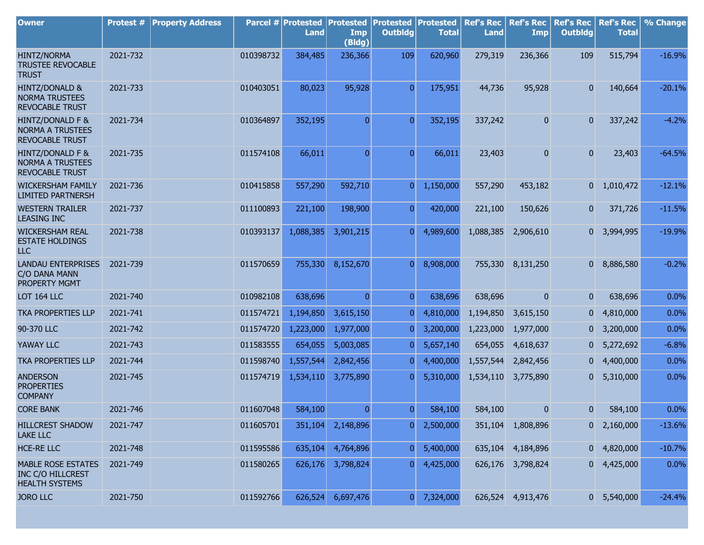| <b>Owner</b>                                                            | <b>Protest #</b> | <b>Property Address</b> |           | Parcel # Protested<br><b>Land</b> | <b>Protested</b><br>Imp<br>(Bldg) | <b>Protested</b><br><b>Outbldg</b> | Protested<br><b>Total</b> | <b>Ref's Rec</b><br><b>Land</b> | <b>Ref's Rec</b><br>Imp | <b>Ref's Rec</b><br><b>Outbldg</b> | <b>Ref's Rec</b><br><b>Total</b> | % Change |
|-------------------------------------------------------------------------|------------------|-------------------------|-----------|-----------------------------------|-----------------------------------|------------------------------------|---------------------------|---------------------------------|-------------------------|------------------------------------|----------------------------------|----------|
| <b>HINTZ/NORMA</b><br><b>TRUSTEE REVOCABLE</b><br><b>TRUST</b>          | 2021-732         |                         | 010398732 | 384,485                           | 236,366                           | 109                                | 620,960                   | 279,319                         | 236,366                 | 109                                | 515,794                          | $-16.9%$ |
| <b>HINTZ/DONALD &amp;</b><br><b>NORMA TRUSTEES</b><br>REVOCABLE TRUST   | 2021-733         |                         | 010403051 | 80,023                            | 95,928                            | $\overline{0}$                     | 175,951                   | 44,736                          | 95,928                  | $\mathbf{0}$                       | 140,664                          | $-20.1%$ |
| HINTZ/DONALD F &<br><b>NORMA A TRUSTEES</b><br><b>REVOCABLE TRUST</b>   | 2021-734         |                         | 010364897 | 352,195                           | $\overline{0}$                    | $\overline{0}$                     | 352,195                   | 337,242                         | 0                       | $\mathbf{0}$                       | 337,242                          | $-4.2%$  |
| HINTZ/DONALD F &<br><b>NORMA A TRUSTEES</b><br><b>REVOCABLE TRUST</b>   | 2021-735         |                         | 011574108 | 66,011                            | $\overline{0}$                    | $\overline{0}$                     | 66,011                    | 23,403                          | 0                       | $\overline{0}$                     | 23,403                           | $-64.5%$ |
| <b>WICKERSHAM FAMILY</b><br><b>LIMITED PARTNERSH</b>                    | 2021-736         |                         | 010415858 | 557,290                           | 592,710                           | $\overline{0}$                     | 1,150,000                 | 557,290                         | 453,182                 |                                    | $0 \quad 1,010,472$              | $-12.1%$ |
| <b>WESTERN TRAILER</b><br><b>LEASING INC</b>                            | 2021-737         |                         | 011100893 | 221,100                           | 198,900                           | $\overline{0}$                     | 420,000                   | 221,100                         | 150,626                 | 0                                  | 371,726                          | $-11.5%$ |
| <b>WICKERSHAM REAL</b><br><b>ESTATE HOLDINGS</b><br>ILC                 | 2021-738         |                         | 010393137 | 1,088,385                         | 3,901,215                         | $\overline{0}$                     | 4,989,600                 | 1,088,385                       | 2,906,610               |                                    | 0 3,994,995                      | $-19.9%$ |
| <b>LANDAU ENTERPRISES</b><br>C/O DANA MANN<br>PROPERTY MGMT             | 2021-739         |                         | 011570659 | 755,330                           | 8,152,670                         | $\overline{0}$                     | 8,908,000                 | 755,330                         | 8,131,250               | $\overline{0}$                     | 8,886,580                        | $-0.2%$  |
| LOT 164 LLC                                                             | 2021-740         |                         | 010982108 | 638,696                           | $\overline{0}$                    | $\overline{0}$                     | 638,696                   | 638,696                         | $\overline{0}$          | $\mathbf{0}$                       | 638,696                          | 0.0%     |
| <b>TKA PROPERTIES LLP</b>                                               | 2021-741         |                         | 011574721 | 1,194,850                         | 3,615,150                         | $\mathbf 0$                        | 4,810,000                 | 1,194,850                       | 3,615,150               | 0                                  | 4,810,000                        | 0.0%     |
| 90-370 LLC                                                              | 2021-742         |                         | 011574720 | 1,223,000                         | 1,977,000                         | 0                                  | 3,200,000                 | 1,223,000                       | 1,977,000               | $\overline{0}$                     | 3,200,000                        | 0.0%     |
| YAWAY LLC                                                               | 2021-743         |                         | 011583555 | 654,055                           | 5,003,085                         | 0                                  | 5,657,140                 | 654,055                         | 4,618,637               | 0                                  | 5,272,692                        | $-6.8%$  |
| <b>TKA PROPERTIES LLP</b>                                               | 2021-744         |                         | 011598740 | 1,557,544                         | 2,842,456                         | 0                                  | 4,400,000                 | 1,557,544                       | 2,842,456               | $\overline{0}$                     | 4,400,000                        | 0.0%     |
| <b>ANDERSON</b><br><b>PROPERTIES</b><br><b>COMPANY</b>                  | 2021-745         |                         | 011574719 | 1,534,110                         | 3,775,890                         | 0                                  | 5,310,000                 | 1,534,110                       | 3,775,890               | $\overline{\mathbf{0}}$            | 5,310,000                        | 0.0%     |
| <b>CORE BANK</b>                                                        | 2021-746         |                         | 011607048 | 584,100                           | 0                                 | $\overline{0}$                     | 584,100                   | 584,100                         | 0                       | 0                                  | 584,100                          | 0.0%     |
| <b>HILLCREST SHADOW</b><br><b>LAKE LLC</b>                              | 2021-747         |                         | 011605701 | 351,104                           | 2,148,896                         | $\overline{0}$                     | 2,500,000                 |                                 | 351,104 1,808,896       |                                    | $0\quad 2,160,000$               | $-13.6%$ |
| <b>HCE-RE LLC</b>                                                       | 2021-748         |                         | 011595586 | 635,104                           | 4,764,896                         | 0                                  | 5,400,000                 |                                 | 635,104 4,184,896       |                                    | $0\quad 4,820,000$               | $-10.7%$ |
| <b>MABLE ROSE ESTATES</b><br>INC C/O HILLCREST<br><b>HEALTH SYSTEMS</b> | 2021-749         |                         | 011580265 | 626,176                           | 3,798,824                         | 0                                  | 4,425,000                 |                                 | 626,176 3,798,824       |                                    | $0\quad 4,425,000$               | 0.0%     |
| <b>JORO LLC</b>                                                         | 2021-750         |                         | 011592766 | 626,524                           | 6,697,476                         | 0                                  | 7,324,000                 |                                 | 626,524 4,913,476       |                                    | $0\quad 5,540,000$               | $-24.4%$ |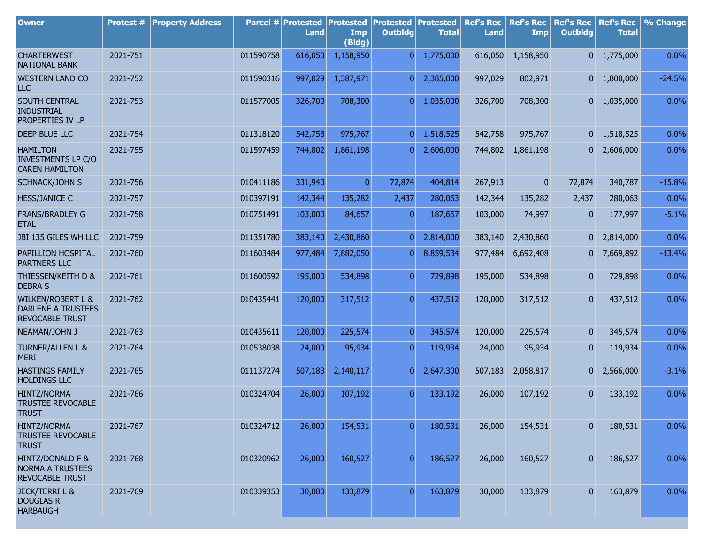| <b>Owner</b>                                                                        | <b>Protest #</b> | <b>Property Address</b> |           | Parcel # Protested<br>Land | <b>Protested</b><br>Imp<br>(Bldg) | <b>Protested</b><br><b>Outbldg</b> | <b>Protested</b><br><b>Total</b> | <b>Ref's Rec</b><br><b>Land</b> | <b>Ref's Rec</b><br>Imp | <b>Ref's Rec</b><br><b>Outbldg</b> | <b>Ref's Rec</b><br><b>Total</b> | % Change |
|-------------------------------------------------------------------------------------|------------------|-------------------------|-----------|----------------------------|-----------------------------------|------------------------------------|----------------------------------|---------------------------------|-------------------------|------------------------------------|----------------------------------|----------|
| <b>CHARTERWEST</b><br><b>NATIONAL BANK</b>                                          | 2021-751         |                         | 011590758 | 616,050                    | 1,158,950                         | $\overline{0}$                     | 1,775,000                        | 616,050                         | 1,158,950               |                                    | $0 \quad 1,775,000$              | 0.0%     |
| <b>WESTERN LAND CO</b><br><b>LLC</b>                                                | 2021-752         |                         | 011590316 | 997,029                    | 1,387,971                         | 0                                  | 2,385,000                        | 997,029                         | 802,971                 |                                    | $0 \quad 1,800,000$              | $-24.5%$ |
| SOUTH CENTRAL<br><b>INDUSTRIAL</b><br>PROPERTIES IV LP                              | 2021-753         |                         | 011577005 | 326,700                    | 708,300                           | 01                                 | 1,035,000                        | 326,700                         | 708,300                 |                                    | $0 \quad 1,035,000$              | 0.0%     |
| DEEP BLUE LLC                                                                       | 2021-754         |                         | 011318120 | 542,758                    | 975,767                           | 0                                  | 1,518,525                        | 542,758                         | 975,767                 |                                    | $0 \quad 1,518,525$              | 0.0%     |
| <b>HAMILTON</b><br><b>INVESTMENTS LP C/O</b><br><b>CAREN HAMILTON</b>               | 2021-755         |                         | 011597459 | 744,802                    | 1,861,198                         | $\overline{0}$                     | 2,606,000                        | 744,802                         | 1,861,198               |                                    | $0\quad 2,606,000$               | 0.0%     |
| SCHNACK/JOHN S                                                                      | 2021-756         |                         | 010411186 | 331,940                    | $\overline{0}$                    | 72,874                             | 404,814                          | 267,913                         | $\overline{0}$          | 72,874                             | 340,787                          | $-15.8%$ |
| <b>HESS/JANICE C</b>                                                                | 2021-757         |                         | 010397191 | 142,344                    | 135,282                           | 2,437                              | 280,063                          | 142,344                         | 135,282                 | 2,437                              | 280,063                          | 0.0%     |
| <b>FRANS/BRADLEY G</b><br><b>ETAL</b>                                               | 2021-758         |                         | 010751491 | 103,000                    | 84,657                            | 0                                  | 187,657                          | 103,000                         | 74,997                  | 0                                  | 177,997                          | $-5.1%$  |
| JBI 135 GILES WH LLC                                                                | 2021-759         |                         | 011351780 | 383,140                    | 2,430,860                         | 0                                  | 2,814,000                        | 383,140                         | 2,430,860               | 01                                 | 2,814,000                        | 0.0%     |
| PAPILLION HOSPITAL<br><b>PARTNERS LLC</b>                                           | 2021-760         |                         | 011603484 | 977,484                    | 7,882,050                         | 0                                  | 8,859,534                        | 977,484                         | 6,692,408               | 01                                 | 7,669,892                        | $-13.4%$ |
| THIESSEN/KEITH D &<br><b>DEBRA S</b>                                                | 2021-761         |                         | 011600592 | 195,000                    | 534,898                           | $\mathbf{0}$                       | 729,898                          | 195,000                         | 534,898                 | 0                                  | 729,898                          | 0.0%     |
| <b>WILKEN/ROBERT L &amp;</b><br><b>DARLENE A TRUSTEES</b><br><b>REVOCABLE TRUST</b> | 2021-762         |                         | 010435441 | 120,000                    | 317,512                           | $\overline{0}$                     | 437,512                          | 120,000                         | 317,512                 | 0                                  | 437,512                          | 0.0%     |
| NEAMAN/JOHN J                                                                       | 2021-763         |                         | 010435611 | 120,000                    | 225,574                           | $\overline{0}$                     | 345,574                          | 120,000                         | 225,574                 | 0                                  | 345,574                          | 0.0%     |
| <b>TURNER/ALLEN L &amp;</b><br><b>MERI</b>                                          | 2021-764         |                         | 010538038 | 24,000                     | 95,934                            | 0                                  | 119,934                          | 24,000                          | 95,934                  | $\mathbf{0}$                       | 119,934                          | 0.0%     |
| <b>HASTINGS FAMILY</b><br><b>HOLDINGS LLC</b>                                       | 2021-765         |                         | 011137274 | 507,183                    | 2,140,117                         | $\overline{0}$                     | 2,647,300                        | 507,183                         | 2,058,817               | 0                                  | 2,566,000                        | $-3.1%$  |
| <b>HINTZ/NORMA</b><br><b>TRUSTEE REVOCABLE</b><br><b>TRUST</b>                      | 2021-766         |                         | 010324704 | 26,000                     | 107,192                           | $\overline{0}$                     | 133,192                          | 26,000                          | 107,192                 | 0                                  | 133,192                          | 0.0%     |
| HINTZ/NORMA<br><b>TRUSTEE REVOCABLE</b><br><b>TRUST</b>                             | 2021-767         |                         | 010324712 | 26,000                     | 154,531                           | 0                                  | 180,531                          | 26,000                          | 154,531                 | 0                                  | 180,531                          | 0.0%     |
| HINTZ/DONALD F &<br><b>NORMA A TRUSTEES</b><br>REVOCABLE TRUST                      | 2021-768         |                         | 010320962 | 26,000                     | 160,527                           | $\overline{0}$                     | 186,527                          | 26,000                          | 160,527                 | $\overline{0}$                     | 186,527                          | 0.0%     |
| <b>JECK/TERRIL &amp;</b><br><b>DOUGLAS R</b><br><b>HARBAUGH</b>                     | 2021-769         |                         | 010339353 | 30,000                     | 133,879                           | $\overline{0}$                     | 163,879                          | 30,000                          | 133,879                 | $\mathbf{0}$                       | 163,879                          | 0.0%     |